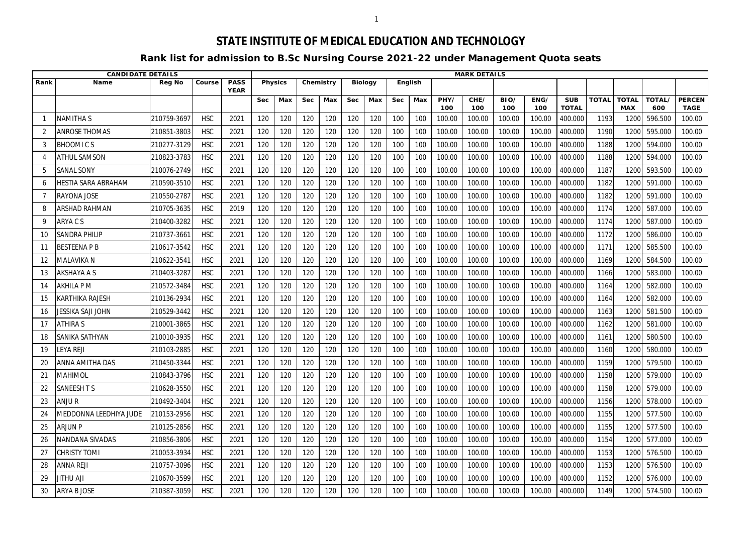## **STATE INSTITUTE OF MEDICAL EDUCATION AND TECHNOLOGY**

## **Rank list for admission to B.Sc Nursing Course 2021-22 under Management Quota seats**

|      | <b>CANDIDATE DETAILS</b>   |               |            |                            |            |                |            |           |            |                |            |     |             | <b>MARK DETAILS</b> |             |             |                            |              |                            |                     |                              |
|------|----------------------------|---------------|------------|----------------------------|------------|----------------|------------|-----------|------------|----------------|------------|-----|-------------|---------------------|-------------|-------------|----------------------------|--------------|----------------------------|---------------------|------------------------------|
| Rank | <b>Name</b>                | <b>Reg No</b> | Course     | <b>PASS</b><br><b>YEAR</b> |            | <b>Physics</b> |            | Chemistry |            | <b>Biology</b> | English    |     |             |                     |             |             |                            |              |                            |                     |                              |
|      |                            |               |            |                            | <b>Sec</b> | Max            | <b>Sec</b> | Max       | <b>Sec</b> | Max            | <b>Sec</b> | Max | PHY/<br>100 | CHE/<br>100         | BIO/<br>100 | ENG/<br>100 | <b>SUB</b><br><b>TOTAL</b> | <b>TOTAL</b> | <b>TOTAL</b><br><b>MAX</b> | <b>TOTAL</b><br>600 | <b>PERCEN</b><br><b>TAGE</b> |
|      | NAMITHA S                  | 210759-3697   | <b>HSC</b> | 2021                       | 120        | 120            | 120        | 120       | 120        | 120            | 100        | 100 | 100.00      | 100.00              | 100.00      | 100.00      | 400.000                    | 1193         | 1200                       | 596.500             | 100.00                       |
|      | <b>ANROSE THOMAS</b>       | 210851-3803   | <b>HSC</b> | 2021                       | 120        | 120            | 120        | 120       | 120        | 120            | 100        | 100 | 100.00      | 100.00              | 100.00      | 100.00      | 400.000                    | 1190         | 1200                       | 595.000             | 100.00                       |
| 3    | <b>BHOOMICS</b>            | 210277-3129   | <b>HSC</b> | 2021                       | 120        | 120            | 120        | 120       | 120        | 120            | 100        | 100 | 100.00      | 100.00              | 100.00      | 100.00      | 400.000                    | 1188         | 1200                       | 594.000             | 100.00                       |
|      | ATHUL SAMSON               | 210823-3783   | <b>HSC</b> | 2021                       | 120        | 120            | 120        | 120       | 120        | 120            | 100        | 100 | 100.00      | 100.00              | 100.00      | 100.00      | 400.000                    | 1188         | 1200                       | 594.000             | 100.00                       |
| 5    | <b>SANAL SONY</b>          | 210076-2749   | <b>HSC</b> | 2021                       | 120        | 120            | 120        | 120       | 120        | 120            | 100        | 100 | 100.00      | 100.00              | 100.00      | 100.00      | 400.000                    | 1187         | 1200                       | 593.500             | 100.00                       |
| 6    | <b>HESTIA SARA ABRAHAM</b> | 210590-3510   | <b>HSC</b> | 2021                       | 120        | 120            | 120        | 120       | 120        | 120            | 100        | 100 | 100.00      | 100.00              | 100.00      | 100.00      | 400.000                    | 1182         | 1200                       | 591.000             | 100.00                       |
|      | RAYONA JOSE                | 210550-2787   | <b>HSC</b> | 2021                       | 120        | 120            | 120        | 120       | 120        | 120            | 100        | 100 | 100.00      | 100.00              | 100.00      | 100.00      | 400.000                    | 1182         | 1200                       | 591.000             | 100.00                       |
| 8    | ARSHAD RAHMAN              | 210705-3635   | <b>HSC</b> | 2019                       | 120        | 120            | 120        | 120       | 120        | 120            | 100        | 100 | 100.00      | 100.00              | 100.00      | 100.00      | 400.000                    | 1174         | 1200                       | 587.000             | 100.00                       |
| 9    | ARYA C S                   | 210400-3282   | <b>HSC</b> | 2021                       | 120        | 120            | 120        | 120       | 120        | 120            | 100        | 100 | 100.00      | 100.00              | 100.00      | 100.00      | 400.000                    | 1174         | 1200                       | 587.000             | 100.00                       |
| 10   | SANDRA PHILIP              | 210737-366    | <b>HSC</b> | 2021                       | 120        | 120            | 120        | 120       | 120        | 120            | 100        | 100 | 100.00      | 100.00              | 100.00      | 100.00      | 400.000                    | 1172         | 1200                       | 586.000             | 100.00                       |
| 11   | <b>BESTEENAPB</b>          | 210617-3542   | <b>HSC</b> | 2021                       | 120        | 120            | 120        | 120       | 120        | 120            | 100        | 100 | 100.00      | 100.00              | 100.00      | 100.00      | 400.000                    | 1171         | 1200                       | 585.500             | 100.00                       |
| 12   | MALAVIKA N                 | 210622-354    | <b>HSC</b> | 2021                       | 120        | 120            | 120        | 120       | 120        | 120            | 100        | 100 | 100.00      | 100.00              | 100.00      | 100.00      | 400.000                    | 1169         | 1200                       | 584.500             | 100.00                       |
| 13   | AKSHAYA A S                | 210403-3287   | <b>HSC</b> | 2021                       | 120        | 120            | 120        | 120       | 120        | 120            | 100        | 100 | 100.00      | 100.00              | 100.00      | 100.00      | 400.000                    | 1166         | 1200                       | 583.000             | 100.00                       |
| 14   | <b>AKHILA P M</b>          | 210572-3484   | <b>HSC</b> | 2021                       | 120        | 120            | 120        | 120       | 120        | 120            | 100        | 100 | 100.00      | 100.00              | 100.00      | 100.00      | 400.000                    | 1164         | 1200                       | 582.000             | 100.00                       |
| 15   | KARTHIKA RAJESH            | 210136-2934   | <b>HSC</b> | 2021                       | 120        | 120            | 120        | 120       | 120        | 120            | 100        | 100 | 100.00      | 100.00              | 100.00      | 100.00      | 400.000                    | 1164         | 1200                       | 582.000             | 100.00                       |
| 16   | JESSIKA SAJI JOHN          | 210529-3442   | <b>HSC</b> | 2021                       | 120        | 120            | 120        | 120       | 120        | 120            | 100        | 100 | 100.00      | 100.00              | 100.00      | 100.00      | 400.000                    | 1163         | 1200                       | 581.500             | 100.00                       |
| 17   | <b>ATHIRA S</b>            | 210001-3865   | <b>HSC</b> | 2021                       | 120        | 120            | 120        | 120       | 120        | 120            | 100        | 100 | 100.00      | 100.00              | 100.00      | 100.00      | 400.000                    | 1162         | 1200                       | 581.000             | 100.00                       |
| 18   | SANIKA SATHYAN             | 210010-3935   | <b>HSC</b> | 2021                       | 120        | 120            | 120        | 120       | 120        | 120            | 100        | 100 | 100.00      | 100.00              | 100.00      | 100.00      | 400.000                    | 1161         | 1200                       | 580.500             | 100.00                       |
| 19   | EYA REJI                   | 210103-2885   | <b>HSC</b> | 2021                       | 120        | 120            | 120        | 120       | 120        | 120            | 100        | 100 | 100.00      | 100.00              | 100.00      | 100.00      | 400.000                    | 1160         | 1200                       | 580.000             | 100.00                       |
| 20   | ANNA AMITHA DAS            | 210450-3344   | <b>HSC</b> | 2021                       | 120        | 120            | 120        | 120       | 120        | 120            | 100        | 100 | 100.00      | 100.00              | 100.00      | 100.00      | 400.000                    | 1159         | 1200                       | 579.500             | 100.00                       |
| 21   | <b>MAHIMOL</b>             | 210843-3796   | <b>HSC</b> | 2021                       | 120        | 120            | 120        | 120       | 120        | 120            | 100        | 100 | 100.00      | 100.00              | 100.00      | 100.00      | 400.000                    | 1158         | 1200                       | 579.000             | 100.00                       |
| 22   | <b>SANEESH T S</b>         | 210628-3550   | <b>HSC</b> | 2021                       | 120        | 120            | 120        | 120       | 120        | 120            | 100        | 100 | 100.00      | 100.00              | 100.00      | 100.00      | 400.000                    | 1158         | 1200                       | 579.000             | 100.00                       |
| 23   | <b>ANJUR</b>               | 210492-3404   | <b>HSC</b> | 2021                       | 120        | 120            | 120        | 120       | 120        | 120            | 100        | 100 | 100.00      | 100.00              | 100.00      | 100.00      | 400.000                    | 1156         | 1200                       | 578.000             | 100.00                       |
| 24   | MEDDONNA LEEDHIYA JUDE     | 210153-2956   | <b>HSC</b> | 2021                       | 120        | 120            | 120        | 120       | 120        | 120            | 100        | 100 | 100.00      | 100.00              | 100.00      | 100.00      | 400.000                    | 1155         | 1200                       | 577.500             | 100.00                       |
| 25   | <b>ARJUN P</b>             | 210125-2856   | <b>HSC</b> | 2021                       | 120        | 120            | 120        | 120       | 120        | 120            | 100        | 100 | 100.00      | 100.00              | 100.00      | 100.00      | 400.000                    | 1155         | 1200                       | 577.500             | 100.00                       |
| 26   | NANDANA SIVADAS            | 210856-3806   | <b>HSC</b> | 2021                       | 120        | 120            | 120        | 120       | 120        | 120            | 100        | 100 | 100.00      | 100.00              | 100.00      | 100.00      | 400.000                    | 1154         | 1200                       | 577.000             | 100.00                       |
|      | <b>CHRISTY TOMI</b>        | 210053-3934   | <b>HSC</b> | 2021                       | 120        | 120            | 120        | 120       | 120        | 120            | 100        | 100 | 100.00      | 100.00              | 100.00      | 100.00      | 400.000                    | 1153         | 1200                       | 576.500             | 100.00                       |
| 28   | <b>ANNA REJI</b>           | 210757-3096   | <b>HSC</b> | 2021                       | 120        | 120            | 120        | 120       | 120        | 120            | 100        | 100 | 100.00      | 100.00              | 100.00      | 100.00      | 400.000                    | 1153         | 1200                       | 576.500             | 100.00                       |
| 29   | <b>JITHU AJI</b>           | 210670-3599   | <b>HSC</b> | 2021                       | 120        | 120            | 120        | 120       | 120        | 120            | 100        | 100 | 100.00      | 100.00              | 100.00      | 100.00      | 400.000                    | 1152         | 1200                       | 576.000             | 100.00                       |
| 30   | <b>ARYA B JOSE</b>         | 210387-3059   | <b>HSC</b> | 2021                       | 120        | 120            | 120        | 120       | 120        | 120            | 100        | 100 | 100.00      | 100.00              | 100.00      | 100.00      | 400.000                    | 1149         | 1200                       | 574.500             | 100.00                       |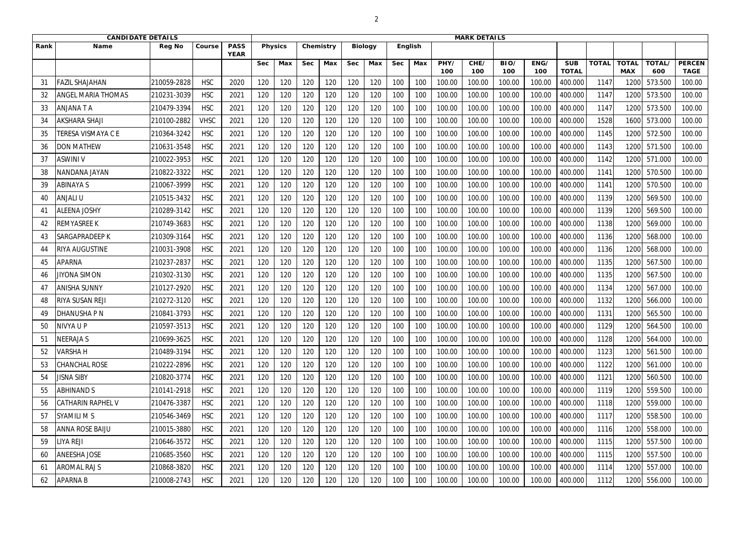|      | <b>CANDIDATE DETAILS</b>  |               |             |                            |            |                |            |           |            |                |            |                |             | <b>MARK DETAILS</b> |             |             |                            |              |                            |               |                              |
|------|---------------------------|---------------|-------------|----------------------------|------------|----------------|------------|-----------|------------|----------------|------------|----------------|-------------|---------------------|-------------|-------------|----------------------------|--------------|----------------------------|---------------|------------------------------|
| Rank | <b>Name</b>               | <b>Reg No</b> | Course      | <b>PASS</b><br><b>YEAR</b> |            | <b>Physics</b> |            | Chemistry |            | <b>Biology</b> |            | <b>English</b> |             |                     |             |             |                            |              |                            |               |                              |
|      |                           |               |             |                            | <b>Sec</b> | Max            | <b>Sec</b> | Max       | <b>Sec</b> | Max            | <b>Sec</b> | Max            | PHY/<br>100 | CHE/<br>100         | BIO/<br>100 | ENG/<br>100 | <b>SUB</b><br><b>TOTAL</b> | <b>TOTAL</b> | <b>TOTAL</b><br><b>MAX</b> | TOTAL/<br>600 | <b>PERCEN</b><br><b>TAGE</b> |
| 31   | <b>AZIL SHAJAHAN</b>      | 210059-2828   | <b>HSC</b>  | 2020                       | 120        | 120            | 120        | 120       | 120        | 120            | 100        | 100            | 100.00      | 100.00              | 100.00      | 100.00      | 400.000                    | 1147         | 120                        | 573.500       | 100.00                       |
| 32   | ANGEL MARIA THOMAS        | 210231-3039   | <b>HSC</b>  | 2021                       | 120        | 120            | 120        | 120       | 120        | 120            | 100        | 100            | 100.00      | 100.00              | 100.00      | 100.00      | 400.000                    | 1147         | 1200                       | 573.500       | 100.00                       |
| 33   | ANJANA T A                | 210479-3394   | <b>HSC</b>  | 2021                       | 120        | 120            | 120        | 120       | 120        | 120            | 100        | 100            | 100.00      | 100.00              | 100.00      | 100.00      | 400.000                    | 1147         | 1200                       | 573.500       | 100.00                       |
| 34   | <b>AKSHARA SHAJI</b>      | 210100-2882   | <b>VHSC</b> | 2021                       | 120        | 120            | 120        | 120       | 120        | 120            | 100        | 100            | 100.00      | 100.00              | 100.00      | 100.00      | 400.000                    | 1528         | 1600                       | 573.000       | 100.00                       |
| 35   | <b>FERESA VISMAYA C E</b> | 210364-3242   | <b>HSC</b>  | 2021                       | 120        | 120            | 120        | 120       | 120        | 120            | 100        | 100            | 100.00      | 100.00              | 100.00      | 100.00      | 400.000                    | 1145         | 1200                       | 572.500       | 100.00                       |
| 36   | <b>DON MATHEW</b>         | 210631-3548   | <b>HSC</b>  | 2021                       | 120        | 120            | 120        | 120       | 120        | 120            | 100        | 100            | 100.00      | 100.00              | 100.00      | 100.00      | 400.000                    | 1143         | 1200                       | 571.500       | 100.00                       |
| 37   | <b>ASWINI V</b>           | 210022-3953   | <b>HSC</b>  | 2021                       | 120        | 120            | 120        | 120       | 120        | 120            | 100        | 100            | 100.00      | 100.00              | 100.00      | 100.00      | 400.000                    | 1142         | 1200                       | 571.000       | 100.00                       |
| 38   | NANDANA JAYAN             | 210822-3322   | <b>HSC</b>  | 2021                       | 120        | 120            | 120        | 120       | 120        | 120            | 100        | 100            | 100.00      | 100.00              | 100.00      | 100.00      | 400.000                    | 1141         | 1200                       | 570.500       | 100.00                       |
| 39   | <b>ABINAYA S</b>          | 210067-3999   | <b>HSC</b>  | 2021                       | 120        | 120            | 120        | 120       | 120        | 120            | 100        | 100            | 100.00      | 100.00              | 100.00      | 100.00      | 400.000                    | 1141         | 1200                       | 570.500       | 100.00                       |
| 40   | ANJALI U                  | 210515-3432   | <b>HSC</b>  | 2021                       | 120        | 120            | 120        | 120       | 120        | 120            | 100        | 100            | 100.00      | 100.00              | 100.00      | 100.00      | 400.000                    | 1139         | 1200                       | 569.500       | 100.00                       |
| 41   | <b>ALEENA JOSHY</b>       | 210289-3142   | <b>HSC</b>  | 2021                       | 120        | 120            | 120        | 120       | 120        | 120            | 100        | 100            | 100.00      | 100.00              | 100.00      | 100.00      | 400.000                    | 1139         | 1200                       | 569.500       | 100.00                       |
| 42   | <b>REMYASREE K</b>        | 210749-3683   | <b>HSC</b>  | 2021                       | 120        | 120            | 120        | 120       | 120        | 120            | 100        | 100            | 100.00      | 100.00              | 100.00      | 100.00      | 400.000                    | 1138         | 1200                       | 569.000       | 100.00                       |
| 43   | <b>SARGAPRADEEP K</b>     | 210309-3164   | <b>HSC</b>  | 2021                       | 120        | 120            | 120        | 120       | 120        | 120            | 100        | 100            | 100.00      | 100.00              | 100.00      | 100.00      | 400.000                    | 1136         | 1200                       | 568.000       | 100.00                       |
| 44   | RIYA AUGUSTINE            | 210031-3908   | <b>HSC</b>  | 2021                       | 120        | 120            | 120        | 120       | 120        | 120            | 100        | 100            | 100.00      | 100.00              | 100.00      | 100.00      | 400.000                    | 1136         | 1200                       | 568.000       | 100.00                       |
| 45   | <b>APARNA</b>             | 210237-2837   | <b>HSC</b>  | 2021                       | 120        | 120            | 120        | 120       | 120        | 120            | 100        | 100            | 100.00      | 100.00              | 100.00      | 100.00      | 400.000                    | 1135         | 1200                       | 567.500       | 100.00                       |
| 46   | <b>JIYONA SIMON</b>       | 210302-3130   | <b>HSC</b>  | 2021                       | 120        | 120            | 120        | 120       | 120        | 120            | 100        | 100            | 100.00      | 100.00              | 100.00      | 100.00      | 400.000                    | 1135         | 1200                       | 567.500       | 100.00                       |
| 47   | <b>ANISHA SUNNY</b>       | 210127-2920   | <b>HSC</b>  | 2021                       | 120        | 120            | 120        | 120       | 120        | 120            | 100        | 100            | 100.00      | 100.00              | 100.00      | 100.00      | 400.000                    | 1134         | 1200                       | 567.000       | 100.00                       |
| 48   | RIYA SUSAN REJI           | 210272-3120   | <b>HSC</b>  | 2021                       | 120        | 120            | 120        | 120       | 120        | 120            | 100        | 100            | 100.00      | 100.00              | 100.00      | 100.00      | 400.000                    | 1132         | 1200                       | 566.000       | 100.00                       |
| 49   | DHANUSHA P N              | 210841-3793   | <b>HSC</b>  | 2021                       | 120        | 120            | 120        | 120       | 120        | 120            | 100        | 100            | 100.00      | 100.00              | 100.00      | 100.00      | 400.000                    | 1131         | 1200                       | 565.500       | 100.00                       |
| 50   | NIVYA U P                 | 210597-3513   | <b>HSC</b>  | 2021                       | 120        | 120            | 120        | 120       | 120        | 120            | 100        | 100            | 100.00      | 100.00              | 100.00      | 100.00      | 400.000                    | 1129         | 1200                       | 564.500       | 100.00                       |
| -51  | NEERAJA S                 | 210699-3625   | <b>HSC</b>  | 2021                       | 120        | 120            | 120        | 120       | 120        | 120            | 100        | 100            | 100.00      | 100.00              | 100.00      | 100.00      | 400.000                    | 1128         | 1200                       | 564.000       | 100.00                       |
| 52   | <b>VARSHAH</b>            | 210489-3194   | <b>HSC</b>  | 2021                       | 120        | 120            | 120        | 120       | 120        | 120            | 100        | 100            | 100.00      | 100.00              | 100.00      | 100.00      | 400.000                    | 1123         | 1200                       | 561.500       | 100.00                       |
| 53   | <b>CHANCHAL ROSE</b>      | 210222-2896   | <b>HSC</b>  | 2021                       | 120        | 120            | 120        | 120       | 120        | 120            | 100        | 100            | 100.00      | 100.00              | 100.00      | 100.00      | 400.000                    | 1122         | 1200                       | 561.000       | 100.00                       |
| -54  | <b>JISNA SIBY</b>         | 210820-3774   | <b>HSC</b>  | 2021                       | 120        | 120            | 120        | 120       | 120        | 120            | 100        | 100            | 100.00      | 100.00              | 100.00      | 100.00      | 400.000                    | 1121         | 1200                       | 560.500       | 100.00                       |
| 55   | <b>ABHINAND S</b>         | 210141-2918   | <b>HSC</b>  | 2021                       | 120        | 120            | 120        | 120       | 120        | 120            | 100        | 100            | 100.00      | 100.00              | 100.00      | 100.00      | 400.000                    | 1119         | 1200                       | 559.500       | 100.00                       |
| 56   | <b>CATHARIN RAPHEL V</b>  | 210476-3387   | <b>HSC</b>  | 2021                       | 120        | 120            | 120        | 120       | 120        | 120            | 100        | 100            | 100.00      | 100.00              | 100.00      | 100.00      | 400.000                    | 1118         | 1200                       | 559.000       | 100.00                       |
| 57   | <b>SYAMILI MS</b>         | 210546-3469   | <b>HSC</b>  | 2021                       | 120        | 120            | 120        | 120       | 120        | 120            | 100        | 100            | 100.00      | 100.00              | 100.00      | 100.00      | 400.000                    | 1117         | 1200                       | 558.500       | 100.00                       |
| 58   | <b>ANNA ROSE BAIJU</b>    | 210015-3880   | <b>HSC</b>  | 2021                       | 120        | 120            | 120        | 120       | 120        | 120            | 100        | 100            | 100.00      | 100.00              | 100.00      | 100.00      | 400.000                    | 1116         | 1200                       | 558.000       | 100.00                       |
| 59   | liya Reji                 | 210646-3572   | <b>HSC</b>  | 2021                       | 120        | 120            | 120        | 120       | 120        | 120            | 100        | 100            | 100.00      | 100.00              | 100.00      | 100.00      | 400.000                    | 1115         | 1200                       | 557.500       | 100.00                       |
| 60   | <b>ANEESHA JOSE</b>       | 210685-3560   | <b>HSC</b>  | 2021                       | 120        | 120            | 120        | 120       | 120        | 120            | 100        | 100            | 100.00      | 100.00              | 100.00      | 100.00      | 400.000                    | 1115         | 1200                       | 557.500       | 100.00                       |
| -61  | AROMAL RAJ S              | 210868-3820   | <b>HSC</b>  | 2021                       | 120        | 120            | 120        | 120       | 120        | 120            | 100        | 100            | 100.00      | 100.00              | 100.00      | 100.00      | 400.000                    | 1114         | 1200                       | 557.000       | 100.00                       |
| 62   | <b>APARNA B</b>           | 210008-2743   | <b>HSC</b>  | 2021                       | 120        | 120            | 120        | 120       | 120        | 120            | 100        | 100            | 100.00      | 100.00              | 100.00      | 100.00      | 400.000                    | 1112         | 1200                       | 556.000       | 100.00                       |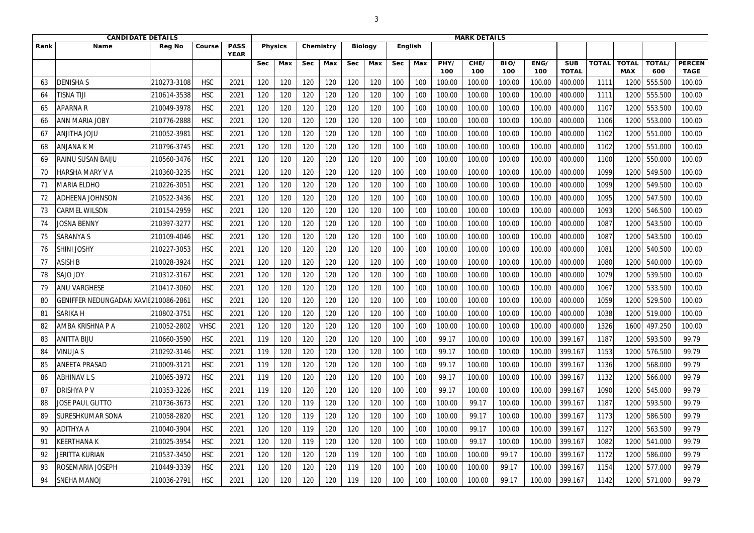|      | <b>CANDIDATE DETAILS</b>        |               |             |                            |            |                |            |           |            |                |            |                |             | <b>MARK DETAILS</b> |             |             |                            |              |                            |               |                              |
|------|---------------------------------|---------------|-------------|----------------------------|------------|----------------|------------|-----------|------------|----------------|------------|----------------|-------------|---------------------|-------------|-------------|----------------------------|--------------|----------------------------|---------------|------------------------------|
| Rank | <b>Name</b>                     | <b>Reg No</b> | Course      | <b>PASS</b><br><b>YEAR</b> |            | <b>Physics</b> |            | Chemistry |            | <b>Biology</b> |            | <b>English</b> |             |                     |             |             |                            |              |                            |               |                              |
|      |                                 |               |             |                            | <b>Sec</b> | Max            | <b>Sec</b> | Max       | <b>Sec</b> | Max            | <b>Sec</b> | Max            | PHY/<br>100 | CHE/<br>100         | BIO/<br>100 | ENG/<br>100 | <b>SUB</b><br><b>TOTAL</b> | <b>TOTAL</b> | <b>TOTAL</b><br><b>MAX</b> | TOTAL/<br>600 | <b>PERCEN</b><br><b>TAGE</b> |
| 63   | <b>DENISHAS</b>                 | 210273-3108   | <b>HSC</b>  | 2021                       | 120        | 120            | 120        | 120       | 120        | 120            | 100        | 100            | 100.00      | 100.00              | 100.00      | 100.00      | 400.000                    | 1111         | 120                        | 555.500       | 100.00                       |
| 64   | TISNA TIJI                      | 210614-3538   | <b>HSC</b>  | 2021                       | 120        | 120            | 120        | 120       | 120        | 120            | 100        | 100            | 100.00      | 100.00              | 100.00      | 100.00      | 400.000                    | 1111         | 1200                       | 555.500       | 100.00                       |
| 65   | <b>APARNAR</b>                  | 210049-3978   | <b>HSC</b>  | 2021                       | 120        | 120            | 120        | 120       | 120        | 120            | 100        | 100            | 100.00      | 100.00              | 100.00      | 100.00      | 400.000                    | 1107         | 1200                       | 553.500       | 100.00                       |
|      | <b>ANN MARIA JOBY</b>           | 210776-2888   | <b>HSC</b>  | 2021                       | 120        | 120            | 120        | 120       | 120        | 120            | 100        | 100            | 100.00      | 100.00              | 100.00      | 100.00      | 400.000                    | 1106         | 1200                       | 553.000       | 100.00                       |
| 67   | <b>ULOL AHTILIAN</b>            | 210052-3981   | <b>HSC</b>  | 2021                       | 120        | 120            | 120        | 120       | 120        | 120            | 100        | 100            | 100.00      | 100.00              | 100.00      | 100.00      | 400.000                    | 1102         | 1200                       | 551.000       | 100.00                       |
| 68   | <b>ANJANA K M</b>               | 210796-3745   | <b>HSC</b>  | 2021                       | 120        | 120            | 120        | 120       | 120        | 120            | 100        | 100            | 100.00      | 100.00              | 100.00      | 100.00      | 400.000                    | 1102         | 1200                       | 551.000       | 100.00                       |
| 69   | <b>RAINU SUSAN BAIJU</b>        | 210560-3476   | <b>HSC</b>  | 2021                       | 120        | 120            | 120        | 120       | 120        | 120            | 100        | 100            | 100.00      | 100.00              | 100.00      | 100.00      | 400.000                    | 1100         | 1200                       | 550.000       | 100.00                       |
| 70   | <b>HARSHA MARY V A</b>          | 210360-3235   | <b>HSC</b>  | 2021                       | 120        | 120            | 120        | 120       | 120        | 120            | 100        | 100            | 100.00      | 100.00              | 100.00      | 100.00      | 400.000                    | 1099         | 1200                       | 549.500       | 100.00                       |
| 71   | <b>MARIA ELDHO</b>              | 210226-3051   | <b>HSC</b>  | 2021                       | 120        | 120            | 120        | 120       | 120        | 120            | 100        | 100            | 100.00      | 100.00              | 100.00      | 100.00      | 400.000                    | 1099         | 1200                       | 549.500       | 100.00                       |
| 72   | <b>ADHEENA JOHNSON</b>          | 210522-3436   | <b>HSC</b>  | 2021                       | 120        | 120            | 120        | 120       | 120        | 120            | 100        | 100            | 100.00      | 100.00              | 100.00      | 100.00      | 400.000                    | 1095         | 1200                       | 547.500       | 100.00                       |
|      | <b>CARMEL WILSON</b>            | 210154-2959   | <b>HSC</b>  | 2021                       | 120        | 120            | 120        | 120       | 120        | 120            | 100        | 100            | 100.00      | 100.00              | 100.00      | 100.00      | 400.000                    | 1093         | 1200                       | 546.500       | 100.00                       |
| 74   | <b>JOSNA BENNY</b>              | 210397-3277   | <b>HSC</b>  | 2021                       | 120        | 120            | 120        | 120       | 120        | 120            | 100        | 100            | 100.00      | 100.00              | 100.00      | 100.00      | 400.000                    | 1087         | 1200                       | 543.500       | 100.00                       |
| 75   | <b>SARANYA S</b>                | 210109-4046   | <b>HSC</b>  | 2021                       | 120        | 120            | 120        | 120       | 120        | 120            | 100        | 100            | 100.00      | 100.00              | 100.00      | 100.00      | 400.000                    | 1087         | 1200                       | 543.500       | 100.00                       |
| 76   | <b>SHINI JOSHY</b>              | 210227-3053   | <b>HSC</b>  | 2021                       | 120        | 120            | 120        | 120       | 120        | 120            | 100        | 100            | 100.00      | 100.00              | 100.00      | 100.00      | 400.000                    | 1081         | 1200                       | 540.500       | 100.00                       |
| 77   | <b>ASISH B</b>                  | 210028-3924   | <b>HSC</b>  | 2021                       | 120        | 120            | 120        | 120       | 120        | 120            | 100        | 100            | 100.00      | 100.00              | 100.00      | 100.00      | 400.000                    | 1080         | 1200                       | 540.000       | 100.00                       |
| 78   | <b>SAJO JOY</b>                 | 210312-3167   | <b>HSC</b>  | 2021                       | 120        | 120            | 120        | 120       | 120        | 120            | 100        | 100            | 100.00      | 100.00              | 100.00      | 100.00      | 400.000                    | 1079         | 1200                       | 539.500       | 100.00                       |
| 79   | <b>ANU VARGHESE</b>             | 210417-3060   | <b>HSC</b>  | 2021                       | 120        | 120            | 120        | 120       | 120        | 120            | 100        | 100            | 100.00      | 100.00              | 100.00      | 100.00      | 400.000                    | 1067         | 1200                       | 533.500       | 100.00                       |
| 80   | <b>GENIFFER NEDUNGADAN XAVI</b> | 210086-2861   | <b>HSC</b>  | 2021                       | 120        | 120            | 120        | 120       | 120        | 120            | 100        | 100            | 100.00      | 100.00              | 100.00      | 100.00      | 400.000                    | 1059         | 1200                       | 529.500       | 100.00                       |
| 81   | <b>SARIKA H</b>                 | 210802-3751   | <b>HSC</b>  | 2021                       | 120        | 120            | 120        | 120       | 120        | 120            | 100        | 100            | 100.00      | 100.00              | 100.00      | 100.00      | 400.000                    | 1038         | 1200                       | 519.000       | 100.00                       |
| 82   | <b>JAMBA KRISHNA P A</b>        | 210052-2802   | <b>VHSC</b> | 2021                       | 120        | 120            | 120        | 120       | 120        | 120            | 100        | 100            | 100.00      | 100.00              | 100.00      | 100.00      | 400.000                    | 1326         | 1600                       | 497.250       | 100.00                       |
| 83   | <b>ANITTA BIJU</b>              | 210660-3590   | <b>HSC</b>  | 2021                       | 119        | 120            | 120        | 120       | 120        | 120            | 100        | 100            | 99.17       | 100.00              | 100.00      | 100.00      | 399.167                    | 1187         | 1200                       | 593.500       | 99.79                        |
|      | <b>VINUJA S</b>                 | 210292-3146   | <b>HSC</b>  | 2021                       | 119        | 120            | 120        | 120       | 120        | 120            | 100        | 100            | 99.17       | 100.00              | 100.00      | 100.00      | 399.167                    | 1153         | 1200                       | 576.500       | 99.79                        |
| 85   | <b>ANEETA PRASAD</b>            | 210009-3121   | <b>HSC</b>  | 2021                       | 119        | 120            | 120        | 120       | 120        | 120            | 100        | 100            | 99.17       | 100.00              | 100.00      | 100.00      | 399.167                    | 1136         | 1200                       | 568.000       | 99.79                        |
| 86   | <b>ABHINAV L S</b>              | 210065-3972   | <b>HSC</b>  | 2021                       | 119        | 120            | 120        | 120       | 120        | 120            | 100        | 100            | 99.17       | 100.00              | 100.00      | 100.00      | 399.167                    | 1132         | 1200                       | 566.000       | 99.79                        |
| 87   | <b>DRISHYAPV</b>                | 210353-3226   | <b>HSC</b>  | 2021                       | 119        | 120            | 120        | 120       | 120        | 120            | 100        | 100            | 99.17       | 100.00              | 100.00      | 100.00      | 399.167                    | 1090         | 1200                       | 545.000       | 99.79                        |
| 88   | <b>JOSE PAUL GLITTO</b>         | 210736-3673   | <b>HSC</b>  | 2021                       | 120        | 120            | 119        | 120       | 120        | 120            | 100        | 100            | 100.00      | 99.17               | 100.00      | 100.00      | 399.167                    | 1187         | 1200                       | 593.500       | 99.79                        |
| 89   | <b>SURESHKUMAR SONA</b>         | 210058-2820   | <b>HSC</b>  | 2021                       | 120        | 120            | 119        | 120       | 120        | 120            | 100        | 100            | 100.00      | 99.17               | 100.00      | 100.00      | 399.167                    | 1173         | 1200                       | 586.500       | 99.79                        |
| 90   | <b>ADITHYA A</b>                | 210040-3904   | <b>HSC</b>  | 2021                       | 120        | 120            | 119        | 120       | 120        | 120            | 100        | 100            | 100.00      | 99.17               | 100.00      | 100.00      | 399.167                    | 1127         | 1200                       | 563.500       | 99.79                        |
| 91   | KEERTHANA K                     | 210025-3954   | <b>HSC</b>  | 2021                       | 120        | 120            | 119        | 120       | 120        | 120            | 100        | 100            | 100.00      | 99.17               | 100.00      | 100.00      | 399.167                    | 1082         | 1200                       | 541.000       | 99.79                        |
| 92   | <b>JERITTA KURIAN</b>           | 210537-3450   | <b>HSC</b>  | 2021                       | 120        | 120            | 120        | 120       | 119        | 120            | 100        | 100            | 100.00      | 100.00              | 99.17       | 100.00      | 399.167                    | 1172         | 1200                       | 586.000       | 99.79                        |
| 93   | <b>ROSEMARIA JOSEPH</b>         | 210449-3339   | <b>HSC</b>  | 2021                       | 120        | 120            | 120        | 120       | 119        | 120            | 100        | 100            | 100.00      | 100.00              | 99.17       | 100.00      | 399.167                    | 1154         | 1200                       | 577.000       | 99.79                        |
| 94   | <b>SNEHA MANOJ</b>              | 210036-2791   | <b>HSC</b>  | 2021                       | 120        | 120            | 120        | 120       | 119        | 120            | 100        | 100            | 100.00      | 100.00              | 99.17       | 100.00      | 399.167                    | 1142         | 1200                       | 571.000       | 99.79                        |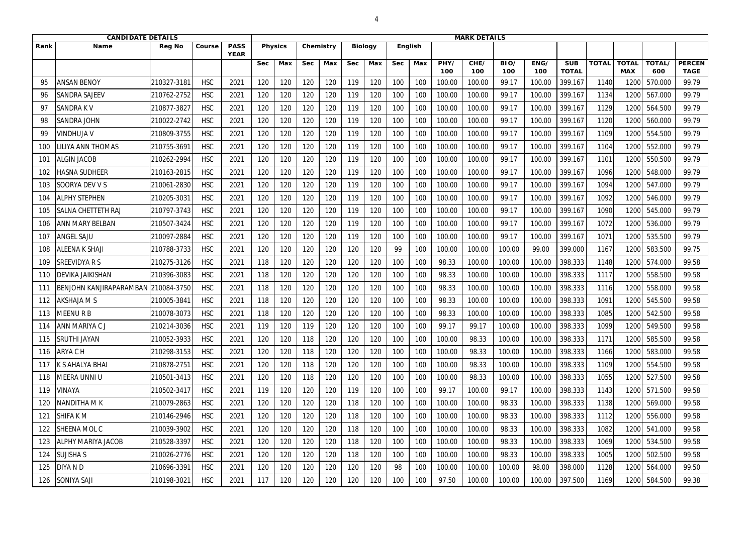|      | <b>CANDIDATE DETAILS</b>       |               |            |                            |            |                |            |           |            |                |            |                |             | <b>MARK DETAILS</b> |             |             |                            |              |                            |               |                              |
|------|--------------------------------|---------------|------------|----------------------------|------------|----------------|------------|-----------|------------|----------------|------------|----------------|-------------|---------------------|-------------|-------------|----------------------------|--------------|----------------------------|---------------|------------------------------|
| Rank | <b>Name</b>                    | <b>Reg No</b> | Course     | <b>PASS</b><br><b>YEAR</b> |            | <b>Physics</b> |            | Chemistry |            | <b>Biology</b> |            | <b>English</b> |             |                     |             |             |                            |              |                            |               |                              |
|      |                                |               |            |                            | <b>Sec</b> | Max            | <b>Sec</b> | Max       | <b>Sec</b> | Max            | <b>Sec</b> | Max            | PHY/<br>100 | CHE/<br>100         | BIO/<br>100 | ENG/<br>100 | <b>SUB</b><br><b>TOTAL</b> | <b>TOTAL</b> | <b>TOTAL</b><br><b>MAX</b> | TOTAL/<br>600 | <b>PERCEN</b><br><b>TAGE</b> |
|      | <b>ANSAN BENOY</b>             | 210327-3181   | <b>HSC</b> | 2021                       | 120        | 120            | 120        | 120       | 119        | 120            | 100        | 100            | 100.00      | 100.00              | 99.17       | 100.00      | 399.167                    | 1140         | 120                        | 570.000       | 99.79                        |
| 96   | <b>SANDRA SAJEEV</b>           | 210762-2752   | <b>HSC</b> | 2021                       | 120        | 120            | 120        | 120       | 119        | 120            | 100        | 100            | 100.00      | 100.00              | 99.17       | 100.00      | 399.167                    | 1134         | 1200                       | 567.000       | 99.79                        |
| 97   | <b>SANDRAKV</b>                | 210877-3827   | <b>HSC</b> | 2021                       | 120        | 120            | 120        | 120       | 119        | 120            | 100        | 100            | 100.00      | 100.00              | 99.17       | 100.00      | 399.167                    | 1129         | 1200                       | 564.500       | 99.79                        |
|      | <b>SANDRA JOHN</b>             | 210022-2742   | <b>HSC</b> | 2021                       | 120        | 120            | 120        | 120       | 119        | 120            | 100        | 100            | 100.00      | 100.00              | 99.17       | 100.00      | 399.167                    | 1120         | 1200                       | 560.000       | 99.79                        |
| 99   | <b>VINDHUJA V</b>              | 210809-3755   | <b>HSC</b> | 2021                       | 120        | 120            | 120        | 120       | 119        | 120            | 100        | 100            | 100.00      | 100.00              | 99.17       | 100.00      | 399.167                    | 1109         | 1200                       | 554.500       | 99.79                        |
| 100  | <b>ILIYA ANN THOMAS</b>        | 210755-3691   | <b>HSC</b> | 2021                       | 120        | 120            | 120        | 120       | 119        | 120            | 100        | 100            | 100.00      | 100.00              | 99.17       | 100.00      | 399.167                    | 1104         | 1200                       | 552.000       | 99.79                        |
| 101  | <b>ALGIN JACOB</b>             | 210262-2994   | <b>HSC</b> | 2021                       | 120        | 120            | 120        | 120       | 119        | 120            | 100        | 100            | 100.00      | 100.00              | 99.17       | 100.00      | 399.167                    | 1101         | 1200                       | 550.500       | 99.79                        |
| 102  | <b>HASNA SUDHEER</b>           | 210163-2815   | <b>HSC</b> | 2021                       | 120        | 120            | 120        | 120       | 119        | 120            | 100        | 100            | 100.00      | 100.00              | 99.17       | 100.00      | 399.167                    | 1096         | 1200                       | 548.000       | 99.79                        |
| 103  | SOORYA DEV V S                 | 210061-2830   | <b>HSC</b> | 2021                       | 120        | 120            | 120        | 120       | 119        | 120            | 100        | 100            | 100.00      | 100.00              | 99.17       | 100.00      | 399.167                    | 1094         | 1200                       | 547.000       | 99.79                        |
| 104  | <b>ALPHY STEPHEN</b>           | 210205-3031   | <b>HSC</b> | 2021                       | 120        | 120            | 120        | 120       | 119        | 120            | 100        | 100            | 100.00      | 100.00              | 99.17       | 100.00      | 399.167                    | 1092         | 1200                       | 546.000       | 99.79                        |
| 105  | <b>SALNA CHETTETH RAJ</b>      | 210797-3743   | <b>HSC</b> | 2021                       | 120        | 120            | 120        | 120       | 119        | 120            | 100        | 100            | 100.00      | 100.00              | 99.17       | 100.00      | 399.167                    | 1090         | 1200                       | 545.000       | 99.79                        |
| 106  | <b>ANN MARY BELBAN</b>         | 210507-3424   | <b>HSC</b> | 2021                       | 120        | 120            | 120        | 120       | 119        | 120            | 100        | 100            | 100.00      | 100.00              | 99.17       | 100.00      | 399.167                    | 1072         | 1200                       | 536.000       | 99.79                        |
| 107  | <b>ANGEL SAJU</b>              | 210097-2884   | <b>HSC</b> | 2021                       | 120        | 120            | 120        | 120       | 119        | 120            | 100        | 100            | 100.00      | 100.00              | 99.17       | 100.00      | 399.167                    | 1071         | 1200                       | 535.500       | 99.79                        |
| 108  | <b>ALEENA K SHAJI</b>          | 210788-3733   | <b>HSC</b> | 2021                       | 120        | 120            | 120        | 120       | 120        | 120            | 99         | 100            | 100.00      | 100.00              | 100.00      | 99.00       | 399.000                    | 1167         | 1200                       | 583.500       | 99.75                        |
| 109  | <b>SREEVIDYARS</b>             | 210275-3126   | <b>HSC</b> | 2021                       | 118        | 120            | 120        | 120       | 120        | 120            | 100        | 100            | 98.33       | 100.00              | 100.00      | 100.00      | 398.333                    | 1148         | 1200                       | 574.000       | 99.58                        |
| 110  | <b>DEVIKA JAIKISHAN</b>        | 210396-3083   | <b>HSC</b> | 2021                       | 118        | 120            | 120        | 120       | 120        | 120            | 100        | 100            | 98.33       | 100.00              | 100.00      | 100.00      | 398.333                    | 1117         | 1200                       | 558.500       | 99.58                        |
| 111  | <b>BENJOHN KANJIRAPARAMBAN</b> | 210084-3750   | <b>HSC</b> | 2021                       | 118        | 120            | 120        | 120       | 120        | 120            | 100        | 100            | 98.33       | 100.00              | 100.00      | 100.00      | 398.333                    | 1116         | 1200                       | 558.000       | 99.58                        |
| 112  | <b>AKSHAJA M S</b>             | 210005-3841   | <b>HSC</b> | 2021                       | 118        | 120            | 120        | 120       | 120        | 120            | 100        | 100            | 98.33       | 100.00              | 100.00      | 100.00      | 398.333                    | 1091         | 1200                       | 545.500       | 99.58                        |
| 113  | <b>MEENURB</b>                 | 210078-3073   | <b>HSC</b> | 2021                       | 118        | 120            | 120        | 120       | 120        | 120            | 100        | 100            | 98.33       | 100.00              | 100.00      | 100.00      | 398.333                    | 1085         | 1200                       | 542.500       | 99.58                        |
| 114  | <b>JANN MARIYA CJ</b>          | 210214-3036   | <b>HSC</b> | 2021                       | 119        | 120            | 119        | 120       | 120        | 120            | 100        | 100            | 99.17       | 99.17               | 100.00      | 100.00      | 398.333                    | 1099         | 1200                       | 549.500       | 99.58                        |
| 115  | <b>SRUTHI JAYAN</b>            | 210052-3933   | <b>HSC</b> | 2021                       | 120        | 120            | 118        | 120       | 120        | 120            | 100        | 100            | 100.00      | 98.33               | 100.00      | 100.00      | 398.333                    | 1171         | 1200                       | 585.500       | 99.58                        |
| 116  | <b>ARYA CH</b>                 | 210298-3153   | <b>HSC</b> | 2021                       | 120        | 120            | 118        | 120       | 120        | 120            | 100        | 100            | 100.00      | 98.33               | 100.00      | 100.00      | 398.333                    | 1166         | 1200                       | 583.000       | 99.58                        |
| 117  | K S AHALYA BHAI                | 210878-2751   | <b>HSC</b> | 2021                       | 120        | 120            | 118        | 120       | 120        | 120            | 100        | 100            | 100.00      | 98.33               | 100.00      | 100.00      | 398.333                    | 1109         | 1200                       | 554.500       | 99.58                        |
| 118  | <b>IMEERA UNNI U</b>           | 210501-3413   | <b>HSC</b> | 2021                       | 120        | 120            | 118        | 120       | 120        | 120            | 100        | 100            | 100.00      | 98.33               | 100.00      | 100.00      | 398.333                    | 1055         | 1200                       | 527.500       | 99.58                        |
| 119  | <b>VINAYA</b>                  | 210502-3417   | <b>HSC</b> | 2021                       | 119        | 120            | 120        | 120       | 119        | 120            | 100        | 100            | 99.17       | 100.00              | 99.17       | 100.00      | 398.333                    | 1143         | 1200                       | 571.500       | 99.58                        |
| 120  | <b>NANDITHA MK</b>             | 210079-2863   | <b>HSC</b> | 2021                       | 120        | 120            | 120        | 120       | 118        | 120            | 100        | 100            | 100.00      | 100.00              | 98.33       | 100.00      | 398.333                    | 1138         | 1200                       | 569.000       | 99.58                        |
| 121  | <b>SHIFAKM</b>                 | 210146-2946   | <b>HSC</b> | 2021                       | 120        | 120            | 120        | 120       | 118        | 120            | 100        | 100            | 100.00      | 100.00              | 98.33       | 100.00      | 398.333                    | 1112         | 1200                       | 556.000       | 99.58                        |
| 122  | <b>SHEENA MOL C</b>            | 210039-3902   | <b>HSC</b> | 2021                       | 120        | 120            | 120        | 120       | 118        | 120            | 100        | 100            | 100.00      | 100.00              | 98.33       | 100.00      | 398.333                    | 1082         | 1200                       | 541.000       | 99.58                        |
| 123  | <b>ALPHY MARIYA JACOB</b>      | 210528-3397   | <b>HSC</b> | 2021                       | 120        | 120            | 120        | 120       | 118        | 120            | 100        | 100            | 100.00      | 100.00              | 98.33       | 100.00      | 398.333                    | 1069         | 1200                       | 534.500       | 99.58                        |
| 124  | <b>SUJISHA S</b>               | 210026-2776   | <b>HSC</b> | 2021                       | 120        | 120            | 120        | 120       | 118        | 120            | 100        | 100            | 100.00      | 100.00              | 98.33       | 100.00      | 398.333                    | 1005         | 1200                       | 502.500       | 99.58                        |
| 125  | <b>DIYAND</b>                  | 210696-3391   | <b>HSC</b> | 2021                       | 120        | 120            | 120        | 120       | 120        | 120            | 98         | 100            | 100.00      | 100.00              | 100.00      | 98.00       | 398.000                    | 1128         | 1200                       | 564.000       | 99.50                        |
| 126  | <b>SONIYA SAJI</b>             | 210198-3021   | <b>HSC</b> | 2021                       | 117        | 120            | 120        | 120       | 120        | 120            | 100        | 100            | 97.50       | 100.00              | 100.00      | 100.00      | 397.500                    | 1169         | 1200                       | 584.500       | 99.38                        |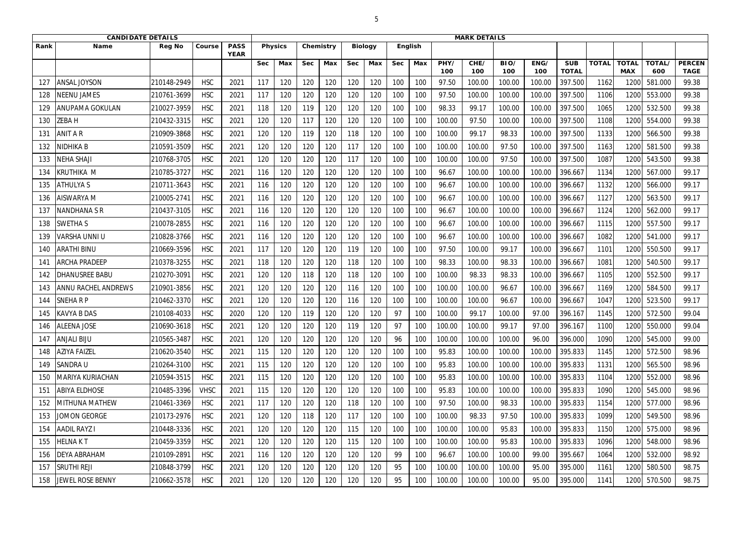|              | <b>CANDIDATE DETAILS</b>   |               |             |                            |            |                |            |           |            |                |            |                |             | <b>MARK DETAILS</b> |             |             |                            |              |                            |               |                              |
|--------------|----------------------------|---------------|-------------|----------------------------|------------|----------------|------------|-----------|------------|----------------|------------|----------------|-------------|---------------------|-------------|-------------|----------------------------|--------------|----------------------------|---------------|------------------------------|
| Rank         | <b>Name</b>                | <b>Reg No</b> | Course      | <b>PASS</b><br><b>YEAR</b> |            | <b>Physics</b> |            | Chemistry |            | <b>Biology</b> |            | <b>English</b> |             |                     |             |             |                            |              |                            |               |                              |
|              |                            |               |             |                            | <b>Sec</b> | Max            | <b>Sec</b> | Max       | <b>Sec</b> | Max            | <b>Sec</b> | Max            | PHY/<br>100 | CHE/<br>100         | BIO/<br>100 | ENG/<br>100 | <b>SUB</b><br><b>TOTAL</b> | <b>TOTAL</b> | <b>TOTAL</b><br><b>MAX</b> | TOTAL/<br>600 | <b>PERCEN</b><br><b>TAGE</b> |
| $12^{\circ}$ | <b>ANSAL JOYSON</b>        | 210148-2949   | <b>HSC</b>  | 2021                       | 117        | 120            | 120        | 120       | 120        | 120            | 100        | 100            | 97.50       | 100.00              | 100.00      | 100.00      | 397.500                    | 1162         | 120                        | 581.000       | 99.38                        |
| 128          | <b>NEENU JAMES</b>         | 210761-3699   | <b>HSC</b>  | 2021                       | 117        | 120            | 120        | 120       | 120        | 120            | 100        | 100            | 97.50       | 100.00              | 100.00      | 100.00      | 397.500                    | 1106         | 1200                       | 553.000       | 99.38                        |
| 129          | <b>ANUPAMA GOKULAN</b>     | 210027-3959   | <b>HSC</b>  | 2021                       | 118        | 120            | 119        | 120       | 120        | 120            | 100        | 100            | 98.33       | 99.17               | 100.00      | 100.00      | 397.500                    | 1065         | 1200                       | 532.500       | 99.38                        |
| 130          | <b>ZEBAH</b>               | 210432-3315   | <b>HSC</b>  | 2021                       | 120        | 120            | 117        | 120       | 120        | 120            | 100        | 100            | 100.00      | 97.50               | 100.00      | 100.00      | 397.500                    | 1108         | 1200                       | 554.000       | 99.38                        |
| 131          | <b>ANIT A R</b>            | 210909-3868   | <b>HSC</b>  | 2021                       | 120        | 120            | 119        | 120       | 118        | 120            | 100        | 100            | 100.00      | 99.17               | 98.33       | 100.00      | 397.500                    | 1133         | 1200                       | 566.500       | 99.38                        |
| 132          | NIDHIKA B                  | 210591-3509   | <b>HSC</b>  | 2021                       | 120        | 120            | 120        | 120       | 117        | 120            | 100        | 100            | 100.00      | 100.00              | 97.50       | 100.00      | 397.500                    | 1163         | 1200                       | 581.500       | 99.38                        |
| 133          | <b>NEHA SHAJI</b>          | 210768-3705   | <b>HSC</b>  | 2021                       | 120        | 120            | 120        | 120       | 117        | 120            | 100        | 100            | 100.00      | 100.00              | 97.50       | 100.00      | 397.500                    | 1087         | 1200                       | 543.500       | 99.38                        |
| 134          | <b>KRUTHIKA M</b>          | 210785-3727   | <b>HSC</b>  | 2021                       | 116        | 120            | 120        | 120       | 120        | 120            | 100        | 100            | 96.67       | 100.00              | 100.00      | 100.00      | 396.667                    | 1134         | 1200                       | 567.000       | 99.17                        |
| 135          | <b>ATHULYAS</b>            | 210711-3643   | <b>HSC</b>  | 2021                       | 116        | 120            | 120        | 120       | 120        | 120            | 100        | 100            | 96.67       | 100.00              | 100.00      | 100.00      | 396.667                    | 1132         | 1200                       | 566.000       | 99.17                        |
| 136          | AISWARYA M                 | 210005-2741   | <b>HSC</b>  | 2021                       | 116        | 120            | 120        | 120       | 120        | 120            | 100        | 100            | 96.67       | 100.00              | 100.00      | 100.00      | 396.667                    | 1127         | 1200                       | 563.500       | 99.17                        |
| 137          | <b>NANDHANA S R</b>        | 210437-3105   | <b>HSC</b>  | 2021                       | 116        | 120            | 120        | 120       | 120        | 120            | 100        | 100            | 96.67       | 100.00              | 100.00      | 100.00      | 396.667                    | 1124         | 1200                       | 562.000       | 99.17                        |
| 138          | <b>SWETHAS</b>             | 210078-2855   | <b>HSC</b>  | 2021                       | 116        | 120            | 120        | 120       | 120        | 120            | 100        | 100            | 96.67       | 100.00              | 100.00      | 100.00      | 396.667                    | 1115         | 1200                       | 557.500       | 99.17                        |
| 139          | <b>VARSHA UNNI U</b>       | 210828-3766   | <b>HSC</b>  | 2021                       | 116        | 120            | 120        | 120       | 120        | 120            | 100        | 100            | 96.67       | 100.00              | 100.00      | 100.00      | 396.667                    | 1082         | 1200                       | 541.000       | 99.17                        |
| 140          | ARATHI BINU                | 210669-3596   | <b>HSC</b>  | 2021                       | 117        | 120            | 120        | 120       | 119        | 120            | 100        | 100            | 97.50       | 100.00              | 99.17       | 100.00      | 396.667                    | 1101         | 1200                       | 550.500       | 99.17                        |
| 141          | <b>ARCHA PRADEEP</b>       | 210378-3255   | <b>HSC</b>  | 2021                       | 118        | 120            | 120        | 120       | 118        | 120            | 100        | 100            | 98.33       | 100.00              | 98.33       | 100.00      | 396.667                    | 1081         | 1200                       | 540.500       | 99.17                        |
| 142          | DHANUSREE BABU             | 210270-3091   | <b>HSC</b>  | 2021                       | 120        | 120            | 118        | 120       | 118        | 120            | 100        | 100            | 100.00      | 98.33               | 98.33       | 100.00      | 396.667                    | 1105         | 1200                       | 552.500       | 99.17                        |
| 143          | <b>ANNU RACHEL ANDREWS</b> | 210901-3856   | <b>HSC</b>  | 2021                       | 120        | 120            | 120        | 120       | 116        | 120            | 100        | 100            | 100.00      | 100.00              | 96.67       | 100.00      | 396.667                    | 1169         | 1200                       | 584.500       | 99.17                        |
| 144          | <b>SNEHARP</b>             | 210462-3370   | <b>HSC</b>  | 2021                       | 120        | 120            | 120        | 120       | 116        | 120            | 100        | 100            | 100.00      | 100.00              | 96.67       | 100.00      | 396.667                    | 1047         | 1200                       | 523.500       | 99.17                        |
| 145          | <b>KAVYA B DAS</b>         | 210108-4033   | <b>HSC</b>  | 2020                       | 120        | 120            | 119        | 120       | 120        | 120            | 97         | 100            | 100.00      | 99.17               | 100.00      | 97.00       | 396.167                    | 1145         | 1200                       | 572.500       | 99.04                        |
| 146          | <b>ALEENA JOSE</b>         | 210690-3618   | <b>HSC</b>  | 2021                       | 120        | 120            | 120        | 120       | 119        | 120            | 97         | 100            | 100.00      | 100.00              | 99.17       | 97.00       | 396.167                    | 1100         | 1200                       | 550.000       | 99.04                        |
| 147          | <b>ANJALI BIJU</b>         | 210565-3487   | <b>HSC</b>  | 2021                       | 120        | 120            | 120        | 120       | 120        | 120            | 96         | 100            | 100.00      | 100.00              | 100.00      | 96.00       | 396.000                    | 1090         | 1200                       | 545.000       | 99.00                        |
| 148          | <b>AZIYA FAIZEL</b>        | 210620-3540   | <b>HSC</b>  | 2021                       | 115        | 120            | 120        | 120       | 120        | 120            | 100        | 100            | 95.83       | 100.00              | 100.00      | 100.00      | 395.833                    | 1145         | 1200                       | 572.500       | 98.96                        |
| 149          | <b>SANDRA U</b>            | 210264-3100   | <b>HSC</b>  | 2021                       | 115        | 120            | 120        | 120       | 120        | 120            | 100        | 100            | 95.83       | 100.00              | 100.00      | 100.00      | 395.833                    | 1131         | 1200                       | 565.500       | 98.96                        |
| 150          | MARIYA KURIACHAN           | 210594-3515   | <b>HSC</b>  | 2021                       | 115        | 120            | 120        | 120       | 120        | 120            | 100        | 100            | 95.83       | 100.00              | 100.00      | 100.00      | 395.833                    | 1104         | 1200                       | 552.000       | 98.96                        |
| 151          | <b>ABIYA ELDHOSE</b>       | 210485-3396   | <b>VHSC</b> | 2021                       | 115        | 120            | 120        | 120       | 120        | 120            | 100        | 100            | 95.83       | 100.00              | 100.00      | 100.00      | 395.833                    | 1090         | 1200                       | 545.000       | 98.96                        |
| 152          | <b>MITHUNA MATHEW</b>      | 210461-3369   | <b>HSC</b>  | 2021                       | 117        | 120            | 120        | 120       | 118        | 120            | 100        | 100            | 97.50       | 100.00              | 98.33       | 100.00      | 395.833                    | 1154         | 1200                       | 577.000       | 98.96                        |
| 153          | JOMON GEORGE               | 210173-2976   | <b>HSC</b>  | 2021                       | 120        | 120            | 118        | 120       | 117        | 120            | 100        | 100            | 100.00      | 98.33               | 97.50       | 100.00      | 395.833                    | 1099         | 1200                       | 549.500       | 98.96                        |
| 154          | <b>AADIL RAYZ I</b>        | 210448-3336   | <b>HSC</b>  | 2021                       | 120        | 120            | 120        | 120       | 115        | 120            | 100        | 100            | 100.00      | 100.00              | 95.83       | 100.00      | 395.833                    | 1150         | 1200                       | 575.000       | 98.96                        |
| 155          | <b>HELNAKT</b>             | 210459-3359   | <b>HSC</b>  | 2021                       | 120        | 120            | 120        | 120       | 115        | 120            | 100        | 100            | 100.00      | 100.00              | 95.83       | 100.00      | 395.833                    | 1096         | 1200                       | 548.000       | 98.96                        |
| 156          | <b>DEYA ABRAHAM</b>        | 210109-2891   | <b>HSC</b>  | 2021                       | 116        | 120            | 120        | 120       | 120        | 120            | 99         | 100            | 96.67       | 100.00              | 100.00      | 99.00       | 395.667                    | 1064         | 1200                       | 532.000       | 98.92                        |
| 157          | <b>SRUTHI REJI</b>         | 210848-3799   | <b>HSC</b>  | 2021                       | 120        | 120            | 120        | 120       | 120        | 120            | 95         | 100            | 100.00      | 100.00              | 100.00      | 95.00       | 395.000                    | 1161         | 1200                       | 580.500       | 98.75                        |
| 158          | JEWEL ROSE BENNY           | 210662-3578   | <b>HSC</b>  | 2021                       | 120        | 120            | 120        | 120       | 120        | 120            | 95         | 100            | 100.00      | 100.00              | 100.00      | 95.00       | 395.000                    | 1141         | 1200                       | 570.500       | 98.75                        |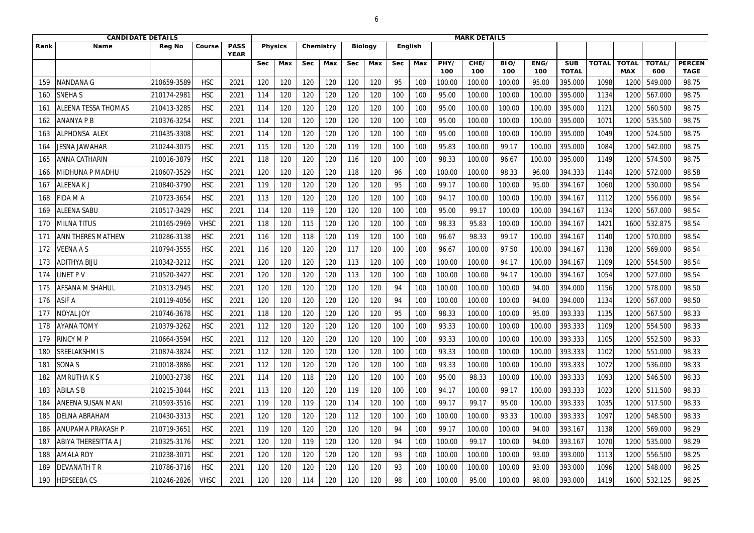|      | <b>CANDIDATE DETAILS</b>    |               |             |                            |            |                |            |           |            |                |            |                |             | <b>MARK DETAILS</b> |             |             |                            |              |                            |               |                              |
|------|-----------------------------|---------------|-------------|----------------------------|------------|----------------|------------|-----------|------------|----------------|------------|----------------|-------------|---------------------|-------------|-------------|----------------------------|--------------|----------------------------|---------------|------------------------------|
| Rank | <b>Name</b>                 | <b>Reg No</b> | Course      | <b>PASS</b><br><b>YEAR</b> |            | <b>Physics</b> |            | Chemistry |            | <b>Biology</b> |            | <b>English</b> |             |                     |             |             |                            |              |                            |               |                              |
|      |                             |               |             |                            | <b>Sec</b> | Max            | <b>Sec</b> | Max       | <b>Sec</b> | Max            | <b>Sec</b> | Max            | PHY/<br>100 | CHE/<br>100         | BIO/<br>100 | ENG/<br>100 | <b>SUB</b><br><b>TOTAL</b> | <b>TOTAL</b> | <b>TOTAL</b><br><b>MAX</b> | TOTAL/<br>600 | <b>PERCEN</b><br><b>TAGE</b> |
| 159  | <b>NANDANA G</b>            | 210659-3589   | <b>HSC</b>  | 2021                       | 120        | 120            | 120        | 120       | 120        | 120            | 95         | 100            | 100.00      | 100.00              | 100.00      | 95.00       | 395.000                    | 1098         | 120                        | 549.000       | 98.75                        |
| 160  | <b>SNEHA S</b>              | 210174-2981   | <b>HSC</b>  | 2021                       | 114        | 120            | 120        | 120       | 120        | 120            | 100        | 100            | 95.00       | 100.00              | 100.00      | 100.00      | 395.000                    | 1134         | 1200                       | 567.000       | 98.75                        |
| 161  | <b>ALEENA TESSA THOMAS</b>  | 210413-3285   | <b>HSC</b>  | 2021                       | 114        | 120            | 120        | 120       | 120        | 120            | 100        | 100            | 95.00       | 100.00              | 100.00      | 100.00      | 395.000                    | 1121         | 1200                       | 560.500       | 98.75                        |
| 162  | <b>ANANYA P B</b>           | 210376-3254   | <b>HSC</b>  | 2021                       | 114        | 120            | 120        | 120       | 120        | 120            | 100        | 100            | 95.00       | 100.00              | 100.00      | 100.00      | 395.000                    | 1071         | 1200                       | 535.500       | 98.75                        |
| 163  | ALPHONSA ALEX               | 210435-3308   | <b>HSC</b>  | 2021                       | 114        | 120            | 120        | 120       | 120        | 120            | 100        | 100            | 95.00       | 100.00              | 100.00      | 100.00      | 395.000                    | 1049         | 1200                       | 524.500       | 98.75                        |
| 164  | JESNA JAWAHAR               | 210244-3075   | <b>HSC</b>  | 2021                       | 115        | 120            | 120        | 120       | 119        | 120            | 100        | 100            | 95.83       | 100.00              | 99.17       | 100.00      | 395.000                    | 1084         | 1200                       | 542.000       | 98.75                        |
| 165  | IANNA CATHARIN              | 210016-3879   | <b>HSC</b>  | 2021                       | 118        | 120            | 120        | 120       | 116        | 120            | 100        | 100            | 98.33       | 100.00              | 96.67       | 100.00      | 395.000                    | 1149         | 1200                       | 574.500       | 98.75                        |
| 166  | MIDHUNA P MADHU             | 210607-3529   | <b>HSC</b>  | 2021                       | 120        | 120            | 120        | 120       | 118        | 120            | 96         | 100            | 100.00      | 100.00              | 98.33       | 96.00       | 394.333                    | 1144         | 1200                       | 572.000       | 98.58                        |
| 167  | <b>ALEENAKJ</b>             | 210840-3790   | <b>HSC</b>  | 2021                       | 119        | 120            | 120        | 120       | 120        | 120            | 95         | 100            | 99.17       | 100.00              | 100.00      | 95.00       | 394.167                    | 1060         | 1200                       | 530.000       | 98.54                        |
| 168  | FIDA M A                    | 210723-3654   | <b>HSC</b>  | 2021                       | 113        | 120            | 120        | 120       | 120        | 120            | 100        | 100            | 94.17       | 100.00              | 100.00      | 100.00      | 394.167                    | 1112         | 1200                       | 556.000       | 98.54                        |
| 169  | <b>ALEENA SABU</b>          | 210517-3429   | <b>HSC</b>  | 2021                       | 114        | 120            | 119        | 120       | 120        | 120            | 100        | 100            | 95.00       | 99.17               | 100.00      | 100.00      | 394.167                    | 1134         | 1200                       | 567.000       | 98.54                        |
|      | <b>MILNATITUS</b>           | 210165-2969   | <b>VHSC</b> | 2021                       | 118        | 120            | 115        | 120       | 120        | 120            | 100        | 100            | 98.33       | 95.83               | 100.00      | 100.00      | 394.167                    | 1421         | 1600                       | 532.875       | 98.54                        |
| 171  | <b>ANN THERES MATHEW</b>    | 210286-3138   | <b>HSC</b>  | 2021                       | 116        | 120            | 118        | 120       | 119        | 120            | 100        | 100            | 96.67       | 98.33               | 99.17       | 100.00      | 394.167                    | 1140         | 1200                       | 570.000       | 98.54                        |
| 172  | <b>VEENA A S</b>            | 210794-3555   | <b>HSC</b>  | 2021                       | 116        | 120            | 120        | 120       | 117        | 120            | 100        | 100            | 96.67       | 100.00              | 97.50       | 100.00      | 394.167                    | 1138         | 1200                       | 569.000       | 98.54                        |
|      | <b>ADITHYA BIJU</b>         | 210342-3212   | <b>HSC</b>  | 2021                       | 120        | 120            | 120        | 120       | 113        | 120            | 100        | 100            | 100.00      | 100.00              | 94.17       | 100.00      | 394.167                    | 1109         | 1200                       | 554.500       | 98.54                        |
| 174  | INET P V                    | 210520-3427   | <b>HSC</b>  | 2021                       | 120        | 120            | 120        | 120       | 113        | 120            | 100        | 100            | 100.00      | 100.00              | 94.17       | 100.00      | 394.167                    | 1054         | 1200                       | 527.000       | 98.54                        |
|      | <b>AFSANA M SHAHUL</b>      | 210313-2945   | <b>HSC</b>  | 2021                       | 120        | 120            | 120        | 120       | 120        | 120            | 94         | 100            | 100.00      | 100.00              | 100.00      | 94.00       | 394.000                    | 1156         | 1200                       | 578.000       | 98.50                        |
| 176  | <b>ASIF A</b>               | 210119-4056   | <b>HSC</b>  | 2021                       | 120        | 120            | 120        | 120       | 120        | 120            | 94         | 100            | 100.00      | 100.00              | 100.00      | 94.00       | 394.000                    | 1134         | 1200                       | 567.000       | 98.50                        |
| 177  | NOYAL JOY                   | 210746-3678   | <b>HSC</b>  | 2021                       | 118        | 120            | 120        | 120       | 120        | 120            | 95         | 100            | 98.33       | 100.00              | 100.00      | 95.00       | 393.333                    | 1135         | 1200                       | 567.500       | 98.33                        |
|      | <b>AYANA TOMY</b>           | 210379-3262   | <b>HSC</b>  | 2021                       | 112        | 120            | 120        | 120       | 120        | 120            | 100        | 100            | 93.33       | 100.00              | 100.00      | 100.00      | 393.333                    | 1109         | 1200                       | 554.500       | 98.33                        |
| 179  | <b>RINCY MP</b>             | 210664-3594   | <b>HSC</b>  | 2021                       | 112        | 120            | 120        | 120       | 120        | 120            | 100        | 100            | 93.33       | 100.00              | 100.00      | 100.00      | 393.333                    | 1105         | 1200                       | 552.500       | 98.33                        |
| 180  | <b>SREELAKSHMIS</b>         | 210874-3824   | <b>HSC</b>  | 2021                       | 112        | 120            | 120        | 120       | 120        | 120            | 100        | 100            | 93.33       | 100.00              | 100.00      | 100.00      | 393.333                    | 1102         | 1200                       | 551.000       | 98.33                        |
| 181  | <b>SONAS</b>                | 210018-3886   | <b>HSC</b>  | 2021                       | 112        | 120            | 120        | 120       | 120        | 120            | 100        | 100            | 93.33       | 100.00              | 100.00      | 100.00      | 393.333                    | 1072         | 1200                       | 536.000       | 98.33                        |
| 182  | <b>AMRUTHAKS</b>            | 210003-2738   | <b>HSC</b>  | 2021                       | 114        | 120            | 118        | 120       | 120        | 120            | 100        | 100            | 95.00       | 98.33               | 100.00      | 100.00      | 393.333                    | 1093         | 1200                       | 546.500       | 98.33                        |
| 183  | <b>ABILA S B</b>            | 210215-3044   | <b>HSC</b>  | 2021                       | 113        | 120            | 120        | 120       | 119        | 120            | 100        | 100            | 94.17       | 100.00              | 99.17       | 100.00      | 393.333                    | 1023         | 1200                       | 511.500       | 98.33                        |
| 184  | <b>ANEENA SUSAN MANI</b>    | 210593-3516   | <b>HSC</b>  | 2021                       | 119        | 120            | 119        | 120       | 114        | 120            | 100        | 100            | 99.17       | 99.17               | 95.00       | 100.00      | 393.333                    | 1035         | 1200                       | 517.500       | 98.33                        |
| 185  | <b>DELNA ABRAHAM</b>        | 210430-3313   | <b>HSC</b>  | 2021                       | 120        | 120            | 120        | 120       | 112        | 120            | 100        | 100            | 100.00      | 100.00              | 93.33       | 100.00      | 393.333                    | 1097         | 1200                       | 548.500       | 98.33                        |
| 186  | <b>ANUPAMA PRAKASH P</b>    | 210719-3651   | <b>HSC</b>  | 2021                       | 119        | 120            | 120        | 120       | 120        | 120            | 94         | 100            | 99.17       | 100.00              | 100.00      | 94.00       | 393.167                    | 1138         | 1200                       | 569.000       | 98.29                        |
| 187  | <b>ABIYA THERESITTA A J</b> | 210325-3176   | <b>HSC</b>  | 2021                       | 120        | 120            | 119        | 120       | 120        | 120            | 94         | 100            | 100.00      | 99.17               | 100.00      | 94.00       | 393.167                    | 1070         | 1200                       | 535.000       | 98.29                        |
| 188  | <b>AMALA ROY</b>            | 210238-3071   | <b>HSC</b>  | 2021                       | 120        | 120            | 120        | 120       | 120        | 120            | 93         | 100            | 100.00      | 100.00              | 100.00      | 93.00       | 393.000                    | 1113         | 1200                       | 556.500       | 98.25                        |
| 189  | <b>DEVANATH T R</b>         | 210786-3716   | <b>HSC</b>  | 2021                       | 120        | 120            | 120        | 120       | 120        | 120            | 93         | 100            | 100.00      | 100.00              | 100.00      | 93.00       | 393.000                    | 1096         | 1200                       | 548.000       | 98.25                        |
| 190  | <b>HEPSEEBACS</b>           | 210246-2826   | <b>VHSC</b> | 2021                       | 120        | 120            | 114        | 120       | 120        | 120            | 98         | 100            | 100.00      | 95.00               | 100.00      | 98.00       | 393.000                    | 1419         | 1600                       | 532.125       | 98.25                        |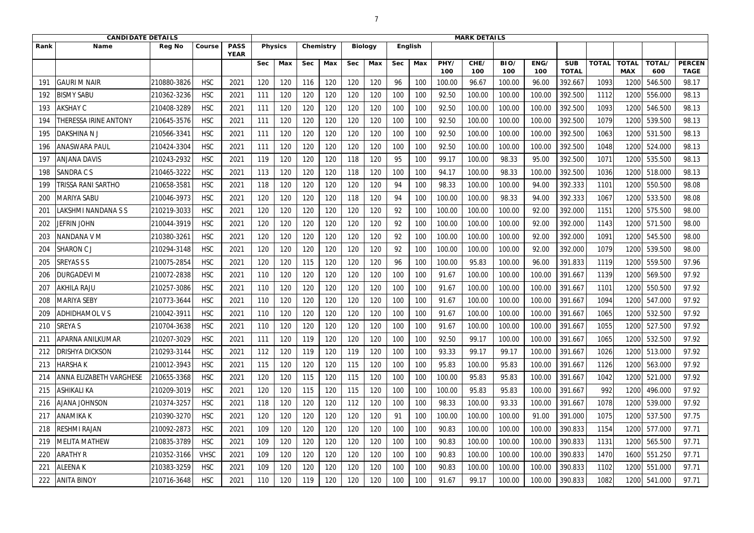|            | <b>CANDIDATE DETAILS</b>       |               |             |                            |            |                |            |           |            |                |            | <b>MARK DETAILS</b> |             |             |             |             |                            |              |                            |               |                              |
|------------|--------------------------------|---------------|-------------|----------------------------|------------|----------------|------------|-----------|------------|----------------|------------|---------------------|-------------|-------------|-------------|-------------|----------------------------|--------------|----------------------------|---------------|------------------------------|
| Rank       | <b>Name</b>                    | <b>Reg No</b> | Course      | <b>PASS</b><br><b>YEAR</b> |            | <b>Physics</b> |            | Chemistry |            | <b>Biology</b> |            | English             |             |             |             |             |                            |              |                            |               |                              |
|            |                                |               |             |                            | <b>Sec</b> | <b>Max</b>     | <b>Sec</b> | Max       | <b>Sec</b> | Max            | <b>Sec</b> | Max                 | PHY/<br>100 | CHE/<br>100 | BIO/<br>100 | ENG/<br>100 | <b>SUB</b><br><b>TOTAL</b> | <b>TOTAL</b> | <b>TOTAL</b><br><b>MAX</b> | TOTAL/<br>600 | <b>PERCEN</b><br><b>TAGE</b> |
| 191        | <b>GAURI M NAIR</b>            | 210880-3826   | <b>HSC</b>  | 2021                       | 120        | 120            | 116        | 120       | 120        | 120            | 96         | 100                 | 100.00      | 96.67       | 100.00      | 96.00       | 392.667                    | 1093         | 1200                       | 546.500       | 98.17                        |
| 192        | <b>BISMY SABU</b>              | 210362-3236   | <b>HSC</b>  | 2021                       | 111        | 120            | 120        | 120       | 120        | 120            | 100        | 100                 | 92.50       | 100.00      | 100.00      | 100.00      | 392.500                    | 1112         | 1200                       | 556.000       | 98.13                        |
| 193        | <b>AKSHAY C</b>                | 210408-3289   | <b>HSC</b>  | 2021                       | 111        | 120            | 120        | 120       | 120        | 120            | 100        | 100                 | 92.50       | 100.00      | 100.00      | 100.00      | 392.500                    | 1093         | 1200                       | 546.500       | 98.13                        |
| 194        | <b>HERESSA IRINE ANTONY</b>    | 210645-3576   | <b>HSC</b>  | 2021                       | 111        | 120            | 120        | 120       | 120        | 120            | 100        | 100                 | 92.50       | 100.00      | 100.00      | 100.00      | 392.500                    | 1079         | 1200                       | 539.500       | 98.13                        |
| 195        | DAKSHINA N J                   | 210566-3341   | <b>HSC</b>  | 2021                       | 111        | 120            | 120        | 120       | 120        | 120            | 100        | 100                 | 92.50       | 100.00      | 100.00      | 100.00      | 392.500                    | 1063         | 1200                       | 531.500       | 98.13                        |
| 196        | ANASWARA PAUL                  | 210424-3304   | <b>HSC</b>  | 2021                       | 111        | 120            | 120        | 120       | 120        | 120            | 100        | 100                 | 92.50       | 100.00      | 100.00      | 100.00      | 392.500                    | 1048         | 1200                       | 524.000       | 98.13                        |
| -197       | <b>ANJANA DAVIS</b>            | 210243-2932   | <b>HSC</b>  | 2021                       | 119        | 120            | 120        | 120       | 118        | 120            | 95         | 100                 | 99.17       | 100.00      | 98.33       | 95.00       | 392.500                    | 1071         | 1200                       | 535.500       | 98.13                        |
| 198        | <b>SANDRACS</b>                | 210465-3222   | <b>HSC</b>  | 2021                       | 113        | 120            | 120        | 120       | 118        | 120            | 100        | 100                 | 94.17       | 100.00      | 98.33       | 100.00      | 392.500                    | 1036         | 1200                       | 518.000       | 98.13                        |
| 199        | <b>RISSA RANI SARTHO</b>       | 210658-3581   | <b>HSC</b>  | 2021                       | 118        | 120            | 120        | 120       | 120        | 120            | 94         | 100                 | 98.33       | 100.00      | 100.00      | 94.00       | 392.333                    | 1101         | 1200                       | 550.500       | 98.08                        |
| <b>200</b> | MARIYA SABU                    | 210046-3973   | <b>HSC</b>  | 2021                       | 120        | 120            | 120        | 120       | 118        | 120            | 94         | 100                 | 100.00      | 100.00      | 98.33       | 94.00       | 392.333                    | 1067         | 1200                       | 533.500       | 98.08                        |
| 201        | LAKSHMI NANDANA S S            | 210219-3033   | <b>HSC</b>  | 2021                       | 120        | 120            | 120        | 120       | 120        | 120            | 92         | 100                 | 100.00      | 100.00      | 100.00      | 92.00       | 392.000                    | 1151         | 1200                       | 575.500       | 98.00                        |
| 202        | <b>JEFRIN JOHN</b>             | 210044-3919   | <b>HSC</b>  | 2021                       | 120        | 120            | 120        | 120       | 120        | 120            | 92         | 100                 | 100.00      | 100.00      | 100.00      | 92.00       | 392.000                    | 1143         | 1200                       | 571.500       | 98.00                        |
| 203        | NANDANA V M                    | 210380-3261   | <b>HSC</b>  | 2021                       | 120        | 120            | 120        | 120       | 120        | 120            | 92         | 100                 | 100.00      | 100.00      | 100.00      | 92.00       | 392.000                    | 1091         | 1200                       | 545.500       | 98.00                        |
| 204        | <b>SHARON CJ</b>               | 210294-3148   | <b>HSC</b>  | 2021                       | 120        | 120            | 120        | 120       | 120        | 120            | 92         | 100                 | 100.00      | 100.00      | 100.00      | 92.00       | 392.000                    | 1079         | 1200                       | 539.500       | 98.00                        |
| 205        | <b>SREYAS S S</b>              | 210075-2854   | <b>HSC</b>  | 2021                       | 120        | 120            | 115        | 120       | 120        | 120            | 96         | 100                 | 100.00      | 95.83       | 100.00      | 96.00       | 391.833                    | 1119         | 1200                       | 559.500       | 97.96                        |
| 206        | <b>DURGADEVI M</b>             | 210072-2838   | <b>HSC</b>  | 2021                       | 110        | 120            | 120        | 120       | 120        | 120            | 100        | 100                 | 91.67       | 100.00      | 100.00      | 100.00      | 391.667                    | 1139         | 1200                       | 569.500       | 97.92                        |
| 207        | <b>AKHILA RAJU</b>             | 210257-3086   | <b>HSC</b>  | 2021                       | 110        | 120            | 120        | 120       | 120        | 120            | 100        | 100                 | 91.67       | 100.00      | 100.00      | 100.00      | 391.667                    | 1101         | 1200                       | 550.500       | 97.92                        |
| 208        | MARIYA SEBY                    | 210773-3644   | <b>HSC</b>  | 2021                       | 110        | 120            | 120        | 120       | 120        | 120            | 100        | 100                 | 91.67       | 100.00      | 100.00      | 100.00      | 391.667                    | 1094         | 1200                       | 547.000       | 97.92                        |
| 209        | <b>ADHIDHAMOL VS</b>           | 210042-3911   | <b>HSC</b>  | 2021                       | 110        | 120            | 120        | 120       | 120        | 120            | 100        | 100                 | 91.67       | 100.00      | 100.00      | 100.00      | 391.667                    | 1065         | 1200                       | 532.500       | 97.92                        |
| 210        | <b>SREYAS</b>                  | 210704-3638   | <b>HSC</b>  | 2021                       | 110        | 120            | 120        | 120       | 120        | 120            | 100        | 100                 | 91.67       | 100.00      | 100.00      | 100.00      | 391.667                    | 1055         | 1200                       | 527.500       | 97.92                        |
| 211        | <b>APARNA ANILKUMAR</b>        | 210207-3029   | <b>HSC</b>  | 2021                       | 111        | 120            | 119        | 120       | 120        | 120            | 100        | 100                 | 92.50       | 99.17       | 100.00      | 100.00      | 391.667                    | 1065         | 1200                       | 532.500       | 97.92                        |
| 212        | <b>DRISHYA DICKSON</b>         | 210293-3144   | <b>HSC</b>  | 2021                       | 112        | 120            | 119        | 120       | 119        | 120            | 100        | 100                 | 93.33       | 99.17       | 99.17       | 100.00      | 391.667                    | 1026         | 1200                       | 513.000       | 97.92                        |
| 213        | <b>HARSHAK</b>                 | 210012-3943   | <b>HSC</b>  | 2021                       | 115        | 120            | 120        | 120       | 115        | 120            | 100        | 100                 | 95.83       | 100.00      | 95.83       | 100.00      | 391.667                    | 1126         | 1200                       | 563.000       | 97.92                        |
| -214       | <b>ANNA ELIZABETH VARGHESE</b> | 210655-3368   | <b>HSC</b>  | 2021                       | 120        | 120            | 115        | 120       | 115        | 120            | 100        | 100                 | 100.00      | 95.83       | 95.83       | 100.00      | 391.667                    | 1042         | 1200                       | 521.000       | 97.92                        |
| 215        | <b>ASHIKALI KA</b>             | 210209-3019   | <b>HSC</b>  | 2021                       | 120        | 120            | 115        | 120       | 115        | 120            | 100        | 100                 | 100.00      | 95.83       | 95.83       | 100.00      | 391.667                    | 992          | 1200                       | 496.000       | 97.92                        |
| 216        | <b>AJANA JOHNSON</b>           | 210374-3257   | <b>HSC</b>  | 2021                       | 118        | 120            | 120        | 120       | 112        | 120            | 100        | 100                 | 98.33       | 100.00      | 93.33       | 100.00      | 391.667                    | 1078         | 1200                       | 539.000       | 97.92                        |
| 217        | <b>ANAMIKA K</b>               | 210390-3270   | <b>HSC</b>  | 2021                       | 120        | 120            | 120        | 120       | 120        | 120            | 91         | 100                 | 100.00      | 100.00      | 100.00      | 91.00       | 391.000                    | 1075         | 1200                       | 537.500       | 97.75                        |
| 218        | <b>RESHMI RAJAN</b>            | 210092-2873   | <b>HSC</b>  | 2021                       | 109        | 120            | 120        | 120       | 120        | 120            | 100        | 100                 | 90.83       | 100.00      | 100.00      | 100.00      | 390.833                    | 1154         | 1200                       | 577.000       | 97.71                        |
| 219        | <b>MELITA MATHEW</b>           | 210835-3789   | <b>HSC</b>  | 2021                       | 109        | 120            | 120        | 120       | 120        | 120            | 100        | 100                 | 90.83       | 100.00      | 100.00      | 100.00      | 390.833                    | 1131         | 1200                       | 565.500       | 97.71                        |
| 220        | <b>ARATHY R</b>                | 210352-3166   | <b>VHSC</b> | 2021                       | 109        | 120            | 120        | 120       | 120        | 120            | 100        | 100                 | 90.83       | 100.00      | 100.00      | 100.00      | 390.833                    | 1470         | 1600                       | 551.250       | 97.71                        |
| 221        | <b>ALEENAK</b>                 | 210383-3259   | <b>HSC</b>  | 2021                       | 109        | 120            | 120        | 120       | 120        | 120            | 100        | 100                 | 90.83       | 100.00      | 100.00      | 100.00      | 390.833                    | 1102         | 1200                       | 551.000       | 97.71                        |
| 222        | <b>ANITA BINOY</b>             | 210716-3648   | <b>HSC</b>  | 2021                       | 110        | 120            | 119        | 120       | 120        | 120            | 100        | 100                 | 91.67       | 99.17       | 100.00      | 100.00      | 390.833                    | 1082         | 1200                       | 541.000       | 97.71                        |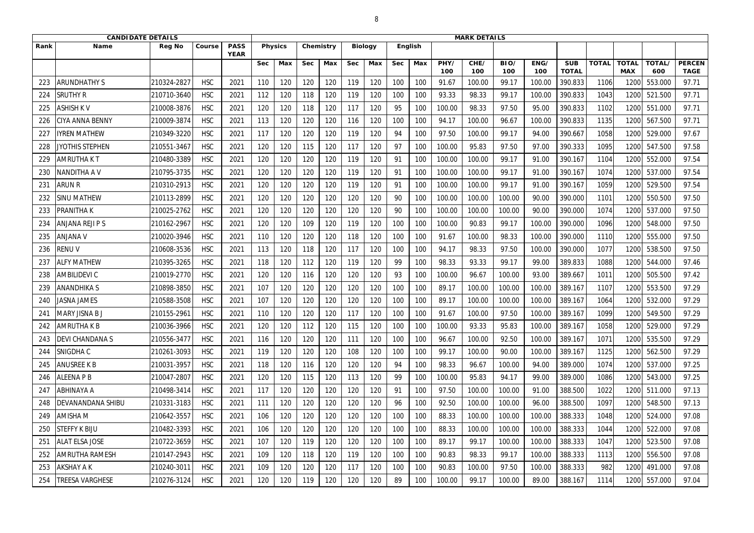|            | <b>CANDIDATE DETAILS</b> |               |            |                            |            |                |            |           |            |                |            |         |             | <b>MARK DETAILS</b> |             |             |                            |              |                            |               |                              |
|------------|--------------------------|---------------|------------|----------------------------|------------|----------------|------------|-----------|------------|----------------|------------|---------|-------------|---------------------|-------------|-------------|----------------------------|--------------|----------------------------|---------------|------------------------------|
| Rank       | <b>Name</b>              | <b>Reg No</b> | Course     | <b>PASS</b><br><b>YEAR</b> |            | <b>Physics</b> |            | Chemistry |            | <b>Biology</b> |            | English |             |                     |             |             |                            |              |                            |               |                              |
|            |                          |               |            |                            | <b>Sec</b> | Max            | <b>Sec</b> | Max       | <b>Sec</b> | Max            | <b>Sec</b> | Max     | PHY/<br>100 | CHE/<br>100         | BIO/<br>100 | ENG/<br>100 | <b>SUB</b><br><b>TOTAL</b> | <b>TOTAL</b> | <b>TOTAL</b><br><b>MAX</b> | TOTAL/<br>600 | <b>PERCEN</b><br><b>TAGE</b> |
|            | <b>ARUNDHATHY S</b>      | 210324-2827   | <b>HSC</b> | 2021                       | 110        | 120            | 120        | 120       | 119        | 120            | 100        | 100     | 91.67       | 100.00              | 99.17       | 100.00      | 390.833                    | 1106         | 120                        | 553.000       | 97.71                        |
| 224        | <b>SRUTHY R</b>          | 210710-3640   | <b>HSC</b> | 2021                       | 112        | 120            | 118        | 120       | 119        | 120            | 100        | 100     | 93.33       | 98.33               | 99.17       | 100.00      | 390.833                    | 1043         | 1200                       | 521.500       | 97.71                        |
| 225        | <b>ASHISH KV</b>         | 210008-3876   | <b>HSC</b> | 2021                       | 120        | 120            | 118        | 120       | 117        | 120            | 95         | 100     | 100.00      | 98.33               | 97.50       | 95.00       | 390.833                    | 1102         | 1200                       | 551.000       | 97.71                        |
| 226        | <b>CIYA ANNA BENNY</b>   | 210009-3874   | <b>HSC</b> | 2021                       | 113        | 120            | 120        | 120       | 116        | 120            | 100        | 100     | 94.17       | 100.00              | 96.67       | 100.00      | 390.833                    | 1135         | 1200                       | 567.500       | 97.71                        |
| 227        | <b>IYREN MATHEW</b>      | 210349-3220   | <b>HSC</b> | 2021                       | 117        | 120            | 120        | 120       | 119        | 120            | 94         | 100     | 97.50       | 100.00              | 99.17       | 94.00       | 390.667                    | 1058         | 1200                       | 529.000       | 97.67                        |
| 228        | JYOTHIS STEPHEN          | 210551-3467   | <b>HSC</b> | 2021                       | 120        | 120            | 115        | 120       | 117        | 120            | 97         | 100     | 100.00      | 95.83               | 97.50       | 97.00       | 390.333                    | 1095         | 1200                       | 547.500       | 97.58                        |
| -229       | <b>AMRUTHA KT</b>        | 210480-3389   | <b>HSC</b> | 2021                       | 120        | 120            | 120        | 120       | 119        | 120            | 91         | 100     | 100.00      | 100.00              | 99.17       | 91.00       | 390.167                    | 1104         | 1200                       | 552.000       | 97.54                        |
| <b>230</b> | <b>NANDITHA AV</b>       | 210795-3735   | <b>HSC</b> | 2021                       | 120        | 120            | 120        | 120       | 119        | 120            | 91         | 100     | 100.00      | 100.00              | 99.17       | 91.00       | 390.167                    | 1074         | 1200                       | 537.000       | 97.54                        |
| 231        | <b>ARUN R</b>            | 210310-2913   | <b>HSC</b> | 2021                       | 120        | 120            | 120        | 120       | 119        | 120            | 91         | 100     | 100.00      | 100.00              | 99.17       | 91.00       | 390.167                    | 1059         | 1200                       | 529.500       | 97.54                        |
| 232        | <b>SINU MATHEW</b>       | 210113-2899   | <b>HSC</b> | 2021                       | 120        | 120            | 120        | 120       | 120        | 120            | 90         | 100     | 100.00      | 100.00              | 100.00      | 90.00       | 390.000                    | 1101         | 1200                       | 550.500       | 97.50                        |
| 233        | <b>PRANITHAK</b>         | 210025-2762   | <b>HSC</b> | 2021                       | 120        | 120            | 120        | 120       | 120        | 120            | 90         | 100     | 100.00      | 100.00              | 100.00      | 90.00       | 390.000                    | 1074         | 1200                       | 537.000       | 97.50                        |
| 234        | <b>ANJANA REJI P S</b>   | 210162-2967   | <b>HSC</b> | 2021                       | 120        | 120            | 109        | 120       | 119        | 120            | 100        | 100     | 100.00      | 90.83               | 99.17       | 100.00      | 390.000                    | 1096         | 1200                       | 548.000       | 97.50                        |
| 235        | <b>ANJANA V</b>          | 210020-3946   | <b>HSC</b> | 2021                       | 110        | 120            | 120        | 120       | 118        | 120            | 100        | 100     | 91.67       | 100.00              | 98.33       | 100.00      | 390.000                    | 1110         | 1200                       | 555.000       | 97.50                        |
| 236        | <b>RENUV</b>             | 210608-3536   | <b>HSC</b> | 2021                       | 113        | 120            | 118        | 120       | 117        | 120            | 100        | 100     | 94.17       | 98.33               | 97.50       | 100.00      | 390.000                    | 1077         | 1200                       | 538.500       | 97.50                        |
| 237        | <b>ALFY MATHEW</b>       | 210395-3265   | <b>HSC</b> | 2021                       | 118        | 120            | 112        | 120       | 119        | 120            | 99         | 100     | 98.33       | 93.33               | 99.17       | 99.00       | 389.833                    | 1088         | 1200                       | 544.000       | 97.46                        |
| 238        | <b>AMBILIDEVI C</b>      | 210019-2770   | <b>HSC</b> | 2021                       | 120        | 120            | 116        | 120       | 120        | 120            | 93         | 100     | 100.00      | 96.67               | 100.00      | 93.00       | 389.667                    | 1011         | 1200                       | 505.500       | 97.42                        |
| 239        | <b>ANANDHIKAS</b>        | 210898-3850   | <b>HSC</b> | 2021                       | 107        | 120            | 120        | 120       | 120        | 120            | 100        | 100     | 89.17       | 100.00              | 100.00      | 100.00      | 389.167                    | 1107         | 1200                       | 553.500       | 97.29                        |
| 240        | JASNA JAMES              | 210588-3508   | <b>HSC</b> | 2021                       | 107        | 120            | 120        | 120       | 120        | 120            | 100        | 100     | 89.17       | 100.00              | 100.00      | 100.00      | 389.167                    | 1064         | 1200                       | 532.000       | 97.29                        |
| 241        | <b>MARY JISNA BJ</b>     | 210155-2961   | <b>HSC</b> | 2021                       | 110        | 120            | 120        | 120       | 117        | 120            | 100        | 100     | 91.67       | 100.00              | 97.50       | 100.00      | 389.167                    | 1099         | 1200                       | 549.500       | 97.29                        |
| 242        | <b>AMRUTHA K B</b>       | 210036-3966   | <b>HSC</b> | 2021                       | 120        | 120            | 112        | 120       | 115        | 120            | 100        | 100     | 100.00      | 93.33               | 95.83       | 100.00      | 389.167                    | 1058         | 1200                       | 529.000       | 97.29                        |
| 243        | <b>DEVI CHANDANA S</b>   | 210556-3477   | <b>HSC</b> | 2021                       | 116        | 120            | 120        | 120       | 111        | 120            | 100        | 100     | 96.67       | 100.00              | 92.50       | 100.00      | 389.167                    | 1071         | 1200                       | 535.500       | 97.29                        |
| 244        | <b>SNIGDHAC</b>          | 210261-3093   | <b>HSC</b> | 2021                       | 119        | 120            | 120        | 120       | 108        | 120            | 100        | 100     | 99.17       | 100.00              | 90.00       | 100.00      | 389.167                    | 1125         | 1200                       | 562.500       | 97.29                        |
| 245        | <b>ANUSREE K B</b>       | 210031-3957   | <b>HSC</b> | 2021                       | 118        | 120            | 116        | 120       | 120        | 120            | 94         | 100     | 98.33       | 96.67               | 100.00      | 94.00       | 389.000                    | 1074         | 1200                       | 537.000       | 97.25                        |
| 246        | <b>ALEENA P B</b>        | 210047-2807   | <b>HSC</b> | 2021                       | 120        | 120            | 115        | 120       | 113        | 120            | 99         | 100     | 100.00      | 95.83               | 94.17       | 99.00       | 389.000                    | 1086         | 1200                       | 543.000       | 97.25                        |
| 247        | <b>ABHINAYA A</b>        | 210498-3414   | <b>HSC</b> | 2021                       | 117        | 120            | 120        | 120       | 120        | 120            | 91         | 100     | 97.50       | 100.00              | 100.00      | 91.00       | 388.500                    | 1022         | 1200                       | 511.000       | 97.13                        |
| 248        | <b>DEVANANDANA SHIBU</b> | 210331-3183   | <b>HSC</b> | 2021                       | 111        | 120            | 120        | 120       | 120        | 120            | 96         | 100     | 92.50       | 100.00              | 100.00      | 96.00       | 388.500                    | 1097         | 1200                       | 548.500       | 97.13                        |
| 249        | <b>AMISHA M</b>          | 210642-3557   | <b>HSC</b> | 2021                       | 106        | 120            | 120        | 120       | 120        | 120            | 100        | 100     | 88.33       | 100.00              | 100.00      | 100.00      | 388.333                    | 1048         | 1200                       | 524.000       | 97.08                        |
| 250        | <b>STEFFY K BIJU</b>     | 210482-3393   | <b>HSC</b> | 2021                       | 106        | 120            | 120        | 120       | 120        | 120            | 100        | 100     | 88.33       | 100.00              | 100.00      | 100.00      | 388.333                    | 1044         | 1200                       | 522.000       | 97.08                        |
| 251        | <b>ALAT ELSA JOSE</b>    | 210722-3659   | <b>HSC</b> | 2021                       | 107        | 120            | 119        | 120       | 120        | 120            | 100        | 100     | 89.17       | 99.17               | 100.00      | 100.00      | 388.333                    | 1047         | 1200                       | 523.500       | 97.08                        |
| 252        | <b>AMRUTHA RAMESH</b>    | 210147-2943   | <b>HSC</b> | 2021                       | 109        | 120            | 118        | 120       | 119        | 120            | 100        | 100     | 90.83       | 98.33               | 99.17       | 100.00      | 388.333                    | 1113         | 1200                       | 556.500       | 97.08                        |
| 253        | <b>AKSHAY A K</b>        | 210240-3011   | <b>HSC</b> | 2021                       | 109        | 120            | 120        | 120       | 117        | 120            | 100        | 100     | 90.83       | 100.00              | 97.50       | 100.00      | 388.333                    | 982          | 1200                       | 491.000       | 97.08                        |
| 254        | <b>TREESA VARGHESE</b>   | 210276-3124   | <b>HSC</b> | 2021                       | 120        | 120            | 119        | 120       | 120        | 120            | 89         | 100     | 100.00      | 99.17               | 100.00      | 89.00       | 388.167                    | 1114         | 1200                       | 557.000       | 97.04                        |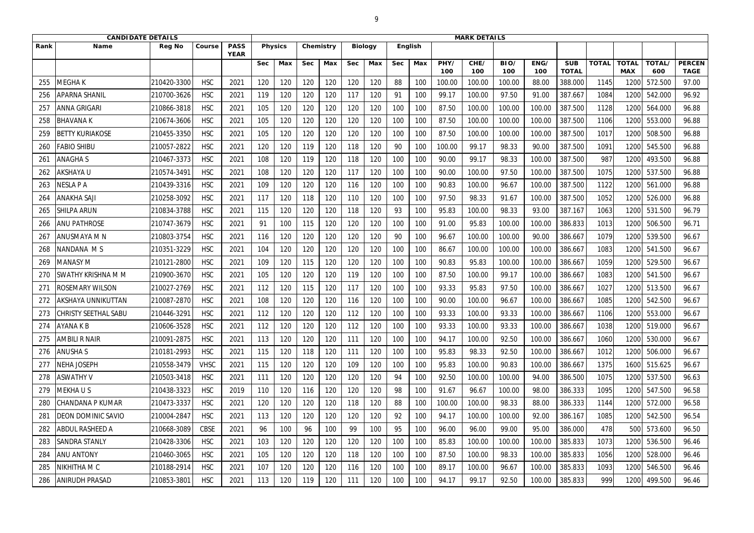|      | <b>CANDIDATE DETAILS</b>    |               |             |                            |            |                |            |           |            |                |            |         | <b>MARK DETAILS</b> |             |             |             |                            |              |                            |               |                              |
|------|-----------------------------|---------------|-------------|----------------------------|------------|----------------|------------|-----------|------------|----------------|------------|---------|---------------------|-------------|-------------|-------------|----------------------------|--------------|----------------------------|---------------|------------------------------|
| Rank | <b>Name</b>                 | <b>Reg No</b> | Course      | <b>PASS</b><br><b>YEAR</b> |            | <b>Physics</b> |            | Chemistry |            | <b>Biology</b> |            | English |                     |             |             |             |                            |              |                            |               |                              |
|      |                             |               |             |                            | <b>Sec</b> | Max            | <b>Sec</b> | Max       | <b>Sec</b> | Max            | <b>Sec</b> | Max     | PHY/<br>100         | CHE/<br>100 | BIO/<br>100 | ENG/<br>100 | <b>SUB</b><br><b>TOTAL</b> | <b>TOTAL</b> | <b>TOTAL</b><br><b>MAX</b> | TOTAL/<br>600 | <b>PERCEN</b><br><b>TAGE</b> |
| 255  | MEGHA K                     | 210420-3300   | <b>HSC</b>  | 2021                       | 120        | 120            | 120        | 120       | 120        | 120            | 88         | 100     | 100.00              | 100.00      | 100.00      | 88.00       | 388.000                    | 1145         | 120                        | 572.500       | 97.00                        |
| 256  | <b>APARNA SHANIL</b>        | 210700-3626   | <b>HSC</b>  | 2021                       | 119        | 120            | 120        | 120       | 117        | 120            | 91         | 100     | 99.17               | 100.00      | 97.50       | 91.00       | 387.667                    | 1084         | 1200                       | 542.000       | 96.92                        |
| 257  | <b>ANNA GRIGARI</b>         | 210866-3818   | <b>HSC</b>  | 2021                       | 105        | 120            | 120        | 120       | 120        | 120            | 100        | 100     | 87.50               | 100.00      | 100.00      | 100.00      | 387.500                    | 1128         | 1200                       | 564.000       | 96.88                        |
| 258  | <b>BHAVANAK</b>             | 210674-3606   | <b>HSC</b>  | 2021                       | 105        | 120            | 120        | 120       | 120        | 120            | 100        | 100     | 87.50               | 100.00      | 100.00      | 100.00      | 387.500                    | 1106         | 1200                       | 553.000       | 96.88                        |
| 259  | <b>BETTY KURIAKOSE</b>      | 210455-3350   | <b>HSC</b>  | 2021                       | 105        | 120            | 120        | 120       | 120        | 120            | 100        | 100     | 87.50               | 100.00      | 100.00      | 100.00      | 387.500                    | 1017         | 1200                       | 508.500       | 96.88                        |
| 260  | <b>FABIO SHIBU</b>          | 210057-2822   | <b>HSC</b>  | 2021                       | 120        | 120            | 119        | 120       | 118        | 120            | 90         | 100     | 100.00              | 99.17       | 98.33       | 90.00       | 387.500                    | 1091         | 1200                       | 545.500       | 96.88                        |
| 261  | <b>ANAGHAS</b>              | 210467-3373   | <b>HSC</b>  | 2021                       | 108        | 120            | 119        | 120       | 118        | 120            | 100        | 100     | 90.00               | 99.17       | 98.33       | 100.00      | 387.500                    | 987          | 1200                       | 493.500       | 96.88                        |
| 262  | <b>AKSHAYA U</b>            | 210574-3491   | <b>HSC</b>  | 2021                       | 108        | 120            | 120        | 120       | 117        | 120            | 100        | 100     | 90.00               | 100.00      | 97.50       | 100.00      | 387.500                    | 1075         | 1200                       | 537.500       | 96.88                        |
| 263  | NESLA P A                   | 210439-3316   | <b>HSC</b>  | 2021                       | 109        | 120            | 120        | 120       | 116        | 120            | 100        | 100     | 90.83               | 100.00      | 96.67       | 100.00      | 387.500                    | 1122         | 1200                       | 561.000       | 96.88                        |
| 264  | ANAKHA SAJI                 | 210258-3092   | <b>HSC</b>  | 2021                       | 117        | 120            | 118        | 120       | 110        | 120            | 100        | 100     | 97.50               | 98.33       | 91.67       | 100.00      | 387.500                    | 1052         | 1200                       | 526.000       | 96.88                        |
| 265  | <b>SHILPA ARUN</b>          | 210834-3788   | <b>HSC</b>  | 2021                       | 115        | 120            | 120        | 120       | 118        | 120            | 93         | 100     | 95.83               | 100.00      | 98.33       | 93.00       | 387.167                    | 1063         | 1200                       | 531.500       | 96.79                        |
| 266  | <b>ANU PATHROSE</b>         | 210747-3679   | <b>HSC</b>  | 2021                       | 91         | 100            | 115        | 120       | 120        | 120            | 100        | 100     | 91.00               | 95.83       | 100.00      | 100.00      | 386.833                    | 1013         | 1200                       | 506.500       | 96.71                        |
| 267  | ANUSMAYA M N                | 210803-3754   | <b>HSC</b>  | 2021                       | 116        | 120            | 120        | 120       | 120        | 120            | 90         | 100     | 96.67               | 100.00      | 100.00      | 90.00       | 386.667                    | 1079         | 1200                       | 539.500       | 96.67                        |
| 268  | NANDANA MS                  | 210351-3229   | <b>HSC</b>  | 2021                       | 104        | 120            | 120        | 120       | 120        | 120            | 100        | 100     | 86.67               | 100.00      | 100.00      | 100.00      | 386.667                    | 1083         | 1200                       | 541.500       | 96.67                        |
| 269  | <b>MANASY M</b>             | 210121-2800   | <b>HSC</b>  | 2021                       | 109        | 120            | 115        | 120       | 120        | 120            | 100        | 100     | 90.83               | 95.83       | 100.00      | 100.00      | 386.667                    | 1059         | 1200                       | 529.500       | 96.67                        |
| 270  | <b>SWATHY KRISHNA M M</b>   | 210900-3670   | <b>HSC</b>  | 2021                       | 105        | 120            | 120        | 120       | 119        | 120            | 100        | 100     | 87.50               | 100.00      | 99.17       | 100.00      | 386.667                    | 1083         | 1200                       | 541.500       | 96.67                        |
| 271  | ROSEMARY WILSON             | 210027-2769   | <b>HSC</b>  | 2021                       | 112        | 120            | 115        | 120       | 117        | 120            | 100        | 100     | 93.33               | 95.83       | 97.50       | 100.00      | 386.667                    | 1027         | 1200                       | 513.500       | 96.67                        |
| 272  | AKSHAYA UNNIKUTTAN          | 210087-2870   | <b>HSC</b>  | 2021                       | 108        | 120            | 120        | 120       | 116        | 120            | 100        | 100     | 90.00               | 100.00      | 96.67       | 100.00      | 386.667                    | 1085         | 1200                       | 542.500       | 96.67                        |
| 273  | <b>CHRISTY SEETHAL SABU</b> | 210446-3291   | <b>HSC</b>  | 2021                       | 112        | 120            | 120        | 120       | 112        | 120            | 100        | 100     | 93.33               | 100.00      | 93.33       | 100.00      | 386.667                    | 1106         | 1200                       | 553.000       | 96.67                        |
| 274  | AYANA K B                   | 210606-3528   | <b>HSC</b>  | 2021                       | 112        | 120            | 120        | 120       | 112        | 120            | 100        | 100     | 93.33               | 100.00      | 93.33       | 100.00      | 386.667                    | 1038         | 1200                       | 519.000       | 96.67                        |
| 275  | <b>AMBILI R NAIR</b>        | 210091-2875   | <b>HSC</b>  | 2021                       | 113        | 120            | 120        | 120       | 111        | 120            | 100        | 100     | 94.17               | 100.00      | 92.50       | 100.00      | 386.667                    | 1060         | 1200                       | 530.000       | 96.67                        |
| 276  | <b>ANUSHAS</b>              | 210181-2993   | <b>HSC</b>  | 2021                       | 115        | 120            | 118        | 120       | 111        | 120            | 100        | 100     | 95.83               | 98.33       | 92.50       | 100.00      | 386.667                    | 1012         | 1200                       | 506.000       | 96.67                        |
| 277  | <b>NEHA JOSEPH</b>          | 210558-3479   | <b>VHSC</b> | 2021                       | 115        | 120            | 120        | 120       | 109        | 120            | 100        | 100     | 95.83               | 100.00      | 90.83       | 100.00      | 386.667                    | 1375         | 1600                       | 515.625       | 96.67                        |
| 278  | <b>ASWATHY V</b>            | 210503-3418   | <b>HSC</b>  | 2021                       | 111        | 120            | 120        | 120       | 120        | 120            | 94         | 100     | 92.50               | 100.00      | 100.00      | 94.00       | 386.500                    | 1075         | 1200                       | 537.500       | 96.63                        |
| 279  | <b>MEKHAUS</b>              | 210438-3323   | <b>HSC</b>  | 2019                       | 110        | 120            | 116        | 120       | 120        | 120            | 98         | 100     | 91.67               | 96.67       | 100.00      | 98.00       | 386.333                    | 1095         | 1200                       | 547.500       | 96.58                        |
| 280  | <b>CHANDANA P KUMAR</b>     | 210473-3337   | <b>HSC</b>  | 2021                       | 120        | 120            | 120        | 120       | 118        | 120            | 88         | 100     | 100.00              | 100.00      | 98.33       | 88.00       | 386.333                    | 1144         | 1200                       | 572.000       | 96.58                        |
| 281  | <b>DEON DOMINIC SAVIO</b>   | 210004-2847   | <b>HSC</b>  | 2021                       | 113        | 120            | 120        | 120       | 120        | 120            | 92         | 100     | 94.17               | 100.00      | 100.00      | 92.00       | 386.167                    | 1085         | 1200                       | 542.500       | 96.54                        |
| 282  | <b>ABDUL RASHEED A</b>      | 210668-3089   | <b>CBSE</b> | 2021                       | 96         | 100            | 96         | 100       | 99         | 100            | 95         | 100     | 96.00               | 96.00       | 99.00       | 95.00       | 386.000                    | 478          | 500                        | 573.600       | 96.50                        |
| 283  | <b>SANDRA STANLY</b>        | 210428-3306   | <b>HSC</b>  | 2021                       | 103        | 120            | 120        | 120       | 120        | 120            | 100        | 100     | 85.83               | 100.00      | 100.00      | 100.00      | 385.833                    | 1073         | 1200                       | 536.500       | 96.46                        |
| 284  | <b>ANU ANTONY</b>           | 210460-3065   | <b>HSC</b>  | 2021                       | 105        | 120            | 120        | 120       | 118        | 120            | 100        | 100     | 87.50               | 100.00      | 98.33       | 100.00      | 385.833                    | 1056         | 1200                       | 528.000       | 96.46                        |
| 285  | NIKHITHA M C                | 210188-2914   | <b>HSC</b>  | 2021                       | 107        | 120            | 120        | 120       | 116        | 120            | 100        | 100     | 89.17               | 100.00      | 96.67       | 100.00      | 385.833                    | 1093         | 1200                       | 546.500       | 96.46                        |
| 286  | <b>ANIRUDH PRASAD</b>       | 210853-3801   | <b>HSC</b>  | 2021                       | 113        | 120            | 119        | 120       | 111        | 120            | 100        | 100     | 94.17               | 99.17       | 92.50       | 100.00      | 385.833                    | 999          | 1200                       | 499.500       | 96.46                        |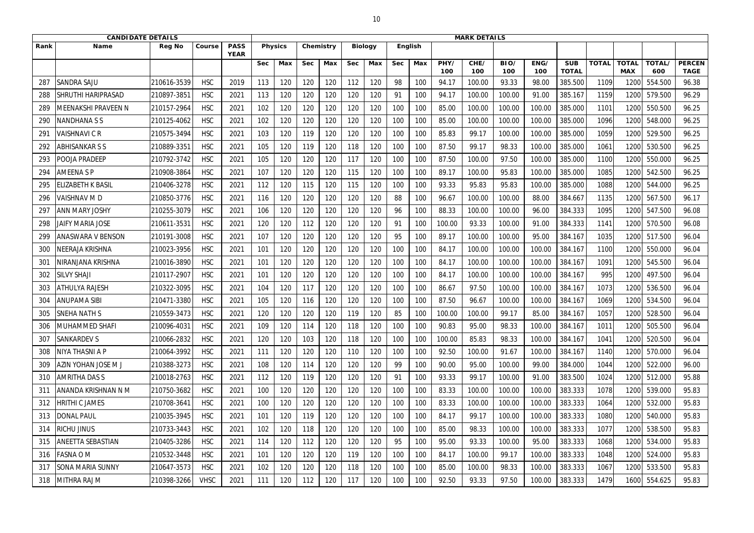|                 | <b>CANDIDATE DETAILS</b>  |               |             |                            |            |                |            |           |            |                |            |         | <b>MARK DETAILS</b> |             |             |             |                            |              |                            |               |                              |
|-----------------|---------------------------|---------------|-------------|----------------------------|------------|----------------|------------|-----------|------------|----------------|------------|---------|---------------------|-------------|-------------|-------------|----------------------------|--------------|----------------------------|---------------|------------------------------|
| Rank            | <b>Name</b>               | <b>Reg No</b> | Course      | <b>PASS</b><br><b>YEAR</b> |            | <b>Physics</b> |            | Chemistry |            | <b>Biology</b> |            | English |                     |             |             |             |                            |              |                            |               |                              |
|                 |                           |               |             |                            | <b>Sec</b> | Max            | <b>Sec</b> | Max       | <b>Sec</b> | Max            | <b>Sec</b> | Max     | PHY/<br>100         | CHE/<br>100 | BIO/<br>100 | ENG/<br>100 | <b>SUB</b><br><b>TOTAL</b> | <b>TOTAL</b> | <b>TOTAL</b><br><b>MAX</b> | TOTAL/<br>600 | <b>PERCEN</b><br><b>TAGE</b> |
| 287             | <b>SANDRA SAJU</b>        | 210616-3539   | <b>HSC</b>  | 2019                       | 113        | 120            | 120        | 120       | 112        | 120            | 98         | 100     | 94.17               | 100.00      | 93.33       | 98.00       | 385.500                    | 1109         | 120                        | 554.500       | 96.38                        |
| 288             | <b>SHRUTHI HARIPRASAD</b> | 210897-385    | <b>HSC</b>  | 2021                       | 113        | 120            | 120        | 120       | 120        | 120            | 91         | 100     | 94.17               | 100.00      | 100.00      | 91.00       | 385.167                    | 1159         | 1200                       | 579.500       | 96.29                        |
| 289             | MEENAKSHI PRAVEEN N       | 210157-2964   | <b>HSC</b>  | 2021                       | 102        | 120            | 120        | 120       | 120        | 120            | 100        | 100     | 85.00               | 100.00      | 100.00      | 100.00      | 385.000                    | 1101         | 1200                       | 550.500       | 96.25                        |
| 290             | NANDHANA S S              | 210125-4062   | <b>HSC</b>  | 2021                       | 102        | 120            | 120        | 120       | 120        | 120            | 100        | 100     | 85.00               | 100.00      | 100.00      | 100.00      | 385.000                    | 1096         | 1200                       | 548.000       | 96.25                        |
| 29 <sup>°</sup> | <b>VAISHNAVICR</b>        | 210575-3494   | <b>HSC</b>  | 2021                       | 103        | 120            | 119        | 120       | 120        | 120            | 100        | 100     | 85.83               | 99.17       | 100.00      | 100.00      | 385.000                    | 1059         | 1200                       | 529.500       | 96.25                        |
| 292             | <b>ABHISANKAR S S</b>     | 210889-335    | <b>HSC</b>  | 2021                       | 105        | 120            | 119        | 120       | 118        | 120            | 100        | 100     | 87.50               | 99.17       | 98.33       | 100.00      | 385.000                    | 1061         | 1200                       | 530.500       | 96.25                        |
| 293             | POOJA PRADEEP             | 210792-3742   | <b>HSC</b>  | 2021                       | 105        | 120            | 120        | 120       | 117        | 120            | 100        | 100     | 87.50               | 100.00      | 97.50       | 100.00      | 385.000                    | 1100         | 1200                       | 550.000       | 96.25                        |
| 294             | <b>AMEENA SP</b>          | 210908-3864   | <b>HSC</b>  | 2021                       | 107        | 120            | 120        | 120       | 115        | 120            | 100        | 100     | 89.17               | 100.00      | 95.83       | 100.00      | 385.000                    | 1085         | 1200                       | 542.500       | 96.25                        |
| 295             | LIZABETH K BASIL          | 210406-3278   | <b>HSC</b>  | 2021                       | 112        | 120            | 115        | 120       | 115        | 120            | 100        | 100     | 93.33               | 95.83       | 95.83       | 100.00      | 385.000                    | 1088         | 1200                       | 544.000       | 96.25                        |
| 296             | VAISHNAV M D              | 210850-3776   | <b>HSC</b>  | 2021                       | 116        | 120            | 120        | 120       | 120        | 120            | 88         | 100     | 96.67               | 100.00      | 100.00      | 88.00       | 384.667                    | 1135         | 1200                       | 567.500       | 96.17                        |
| 297             | <b>ANN MARY JOSHY</b>     | 210255-3079   | <b>HSC</b>  | 2021                       | 106        | 120            | 120        | 120       | 120        | 120            | 96         | 100     | 88.33               | 100.00      | 100.00      | 96.00       | 384.333                    | 1095         | 1200                       | 547.500       | 96.08                        |
| 298             | <b>JAIFY MARIA JOSE</b>   | 210611-353    | <b>HSC</b>  | 2021                       | 120        | 120            | 112        | 120       | 120        | 120            | 91         | 100     | 100.00              | 93.33       | 100.00      | 91.00       | 384.333                    | 1141         | 1200                       | 570.500       | 96.08                        |
| 299             | <b>ANASWARA V BENSON</b>  | 210191-3008   | <b>HSC</b>  | 2021                       | 107        | 120            | 120        | 120       | 120        | 120            | 95         | 100     | 89.17               | 100.00      | 100.00      | 95.00       | 384.167                    | 1035         | 1200                       | 517.500       | 96.04                        |
| 300             | NEERAJA KRISHNA           | 210023-3956   | <b>HSC</b>  | 2021                       | 101        | 120            | 120        | 120       | 120        | 120            | 100        | 100     | 84.17               | 100.00      | 100.00      | 100.00      | 384.167                    | 1100         | 1200                       | 550.000       | 96.04                        |
| 301             | NIRANJANA KRISHNA         | 210016-3890   | <b>HSC</b>  | 2021                       | 101        | 120            | 120        | 120       | 120        | 120            | 100        | 100     | 84.17               | 100.00      | 100.00      | 100.00      | 384.167                    | 1091         | 1200                       | 545.500       | 96.04                        |
| 302             | <b>SILVY SHAJI</b>        | 210117-2907   | <b>HSC</b>  | 2021                       | 101        | 120            | 120        | 120       | 120        | 120            | 100        | 100     | 84.17               | 100.00      | 100.00      | 100.00      | 384.167                    | 995          | 1200                       | 497.500       | 96.04                        |
| 303             | <b>ATHULYA RAJESH</b>     | 210322-3095   | <b>HSC</b>  | 2021                       | 104        | 120            | 117        | 120       | 120        | 120            | 100        | 100     | 86.67               | 97.50       | 100.00      | 100.00      | 384.167                    | 1073         | 1200                       | 536.500       | 96.04                        |
| 304             | <b>ANUPAMA SIBI</b>       | 210471-3380   | <b>HSC</b>  | 2021                       | 105        | 120            | 116        | 120       | 120        | 120            | 100        | 100     | 87.50               | 96.67       | 100.00      | 100.00      | 384.167                    | 1069         | 1200                       | 534.500       | 96.04                        |
| 305             | <b>SNEHA NATH S</b>       | 210559-3473   | <b>HSC</b>  | 2021                       | 120        | 120            | 120        | 120       | 119        | 120            | 85         | 100     | 100.00              | 100.00      | 99.17       | 85.00       | 384.167                    | 1057         | 1200                       | 528.500       | 96.04                        |
| 306             | <b>MUHAMMED SHAFI</b>     | 210096-4031   | <b>HSC</b>  | 2021                       | 109        | 120            | 114        | 120       | 118        | 120            | 100        | 100     | 90.83               | 95.00       | 98.33       | 100.00      | 384.167                    | 1011         | 1200                       | 505.500       | 96.04                        |
| 307             | <b>SANKARDEV S</b>        | 210066-2832   | <b>HSC</b>  | 2021                       | 120        | 120            | 103        | 120       | 118        | 120            | 100        | 100     | 100.00              | 85.83       | 98.33       | 100.00      | 384.167                    | 1041         | 1200                       | 520.500       | 96.04                        |
| 308             | <b>NIYA THASNI A P</b>    | 210064-3992   | <b>HSC</b>  | 2021                       | 111        | 120            | 120        | 120       | 110        | 120            | 100        | 100     | 92.50               | 100.00      | 91.67       | 100.00      | 384.167                    | 1140         | 1200                       | 570.000       | 96.04                        |
| 309             | AZIN YOHAN JOSE M J       | 210388-3273   | <b>HSC</b>  | 2021                       | 108        | 120            | 114        | 120       | 120        | 120            | 99         | 100     | 90.00               | 95.00       | 100.00      | 99.00       | 384.000                    | 1044         | 1200                       | 522.000       | 96.00                        |
| 310             | <b>AMRITHA DAS S</b>      | 210018-2763   | <b>HSC</b>  | 2021                       | 112        | 120            | 119        | 120       | 120        | 120            | 91         | 100     | 93.33               | 99.17       | 100.00      | 91.00       | 383.500                    | 1024         | 1200                       | 512.000       | 95.88                        |
| 311             | ANANDA KRISHNAN N M       | 210750-3682   | <b>HSC</b>  | 2021                       | 100        | 120            | 120        | 120       | 120        | 120            | 100        | 100     | 83.33               | 100.00      | 100.00      | 100.00      | 383.333                    | 1078         | 1200                       | 539.000       | 95.83                        |
| 312             | <b>IRITHI C JAMES</b>     | 210708-3641   | <b>HSC</b>  | 2021                       | 100        | 120            | 120        | 120       | 120        | 120            | 100        | 100     | 83.33               | 100.00      | 100.00      | 100.00      | 383.333                    | 1064         | 1200                       | 532.000       | 95.83                        |
| 313             | <b>DONAL PAUL</b>         | 210035-3945   | <b>HSC</b>  | 2021                       | 101        | 120            | 119        | 120       | 120        | 120            | 100        | 100     | 84.17               | 99.17       | 100.00      | 100.00      | 383.333                    | 1080         | 1200                       | 540.000       | 95.83                        |
| 314             | RICHU JINUS               | 210733-3443   | <b>HSC</b>  | 2021                       | 102        | 120            | 118        | 120       | 120        | 120            | 100        | 100     | 85.00               | 98.33       | 100.00      | 100.00      | 383.333                    | 1077         | 1200                       | 538.500       | 95.83                        |
| 315             | <b>ANEETTA SEBASTIAN</b>  | 210405-3286   | <b>HSC</b>  | 2021                       | 114        | 120            | 112        | 120       | 120        | 120            | 95         | 100     | 95.00               | 93.33       | 100.00      | 95.00       | 383.333                    | 1068         | 1200                       | 534.000       | 95.83                        |
| 316             | <b>FASNA O M</b>          | 210532-3448   | <b>HSC</b>  | 2021                       | 101        | 120            | 120        | 120       | 119        | 120            | 100        | 100     | 84.17               | 100.00      | 99.17       | 100.00      | 383.333                    | 1048         | 1200                       | 524.000       | 95.83                        |
| 317             | <b>SONA MARIA SUNNY</b>   | 210647-3573   | <b>HSC</b>  | 2021                       | 102        | 120            | 120        | 120       | 118        | 120            | 100        | 100     | 85.00               | 100.00      | 98.33       | 100.00      | 383.333                    | 1067         | 1200                       | 533.500       | 95.83                        |
| 318             | MITHRA RAJ M              | 210398-3266   | <b>VHSC</b> | 2021                       | 111        | 120            | 112        | 120       | 117        | 120            | 100        | 100     | 92.50               | 93.33       | 97.50       | 100.00      | 383.333                    | 1479         | 1600                       | 554.625       | 95.83                        |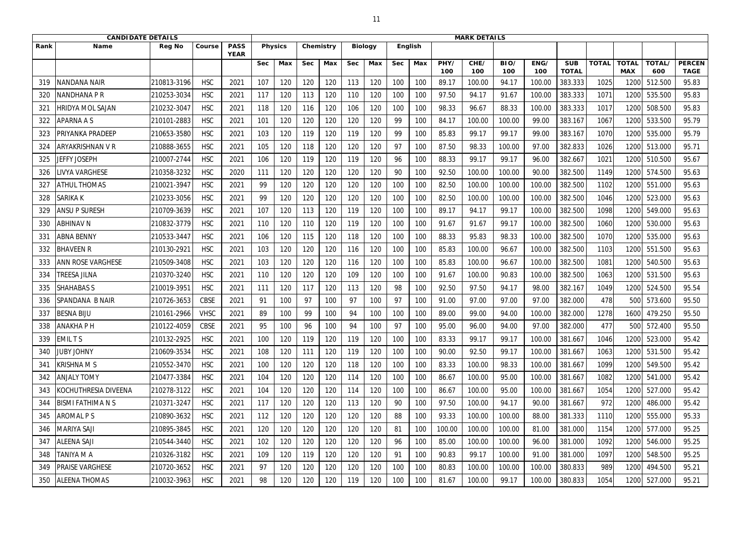|                 | <b>CANDIDATE DETAILS</b> |               |             |                            |            |                |            |           |            |                |            | <b>MARK DETAILS</b> |             |             |             |             |                            |              |                            |                      |                              |
|-----------------|--------------------------|---------------|-------------|----------------------------|------------|----------------|------------|-----------|------------|----------------|------------|---------------------|-------------|-------------|-------------|-------------|----------------------------|--------------|----------------------------|----------------------|------------------------------|
| Rank            | Name                     | <b>Reg No</b> | Course      | <b>PASS</b><br><b>YEAR</b> |            | <b>Physics</b> |            | Chemistry |            | <b>Biology</b> | English    |                     |             |             |             |             |                            |              |                            |                      |                              |
|                 |                          |               |             |                            | <b>Sec</b> | Max            | <b>Sec</b> | Max       | <b>Sec</b> | Max            | <b>Sec</b> | Max                 | PHY/<br>100 | CHE/<br>100 | BIO/<br>100 | ENG/<br>100 | <b>SUB</b><br><b>TOTAL</b> | <b>TOTAL</b> | <b>TOTAL</b><br><b>MAX</b> | <b>TOTAL/</b><br>600 | <b>PERCEN</b><br><b>TAGE</b> |
| 319             | NANDANA NAIR             | 210813-3196   | <b>HSC</b>  | 2021                       | 107        | 120            | 120        | 120       | 113        | 120            | 100        | 100                 | 89.17       | 100.00      | 94.17       | 100.00      | 383.333                    | 1025         | 120                        | 512.500              | 95.83                        |
| 320             | <b>NANDHANA P R</b>      | 210253-3034   | <b>HSC</b>  | 2021                       | 117        | 120            | 113        | 120       | 110        | 120            | 100        | 100                 | 97.50       | 94.17       | 91.67       | 100.00      | 383.333                    | 1071         | 1200                       | 535.500              | 95.83                        |
| 32 <sup>2</sup> | <b>HRIDYA MOL SAJAN</b>  | 210232-3047   | <b>HSC</b>  | 2021                       | 118        | 120            | 116        | 120       | 106        | 120            | 100        | 100                 | 98.33       | 96.67       | 88.33       | 100.00      | 383.333                    | 1017         | 1200                       | 508.500              | 95.83                        |
| 322             | <b>APARNA A S</b>        | 210101-2883   | <b>HSC</b>  | 2021                       | 101        | 120            | 120        | 120       | 120        | 120            | 99         | 100                 | 84.17       | 100.00      | 100.00      | 99.00       | 383.167                    | 1067         | 120                        | 533.500              | 95.79                        |
| 323             | PRIYANKA PRADEEP         | 210653-3580   | <b>HSC</b>  | 2021                       | 103        | 120            | 119        | 120       | 119        | 120            | 99         | 100                 | 85.83       | 99.17       | 99.17       | 99.00       | 383.167                    | 1070         | 1200                       | 535.000              | 95.79                        |
| 324             | ARYAKRISHNAN V R         | 210888-3655   | <b>HSC</b>  | 2021                       | 105        | 120            | 118        | 120       | 120        | 120            | 97         | 100                 | 87.50       | 98.33       | 100.00      | 97.00       | 382.833                    | 1026         | 1200                       | 513.000              | 95.71                        |
| 325             | JEFFY JOSEPH             | 210007-2744   | <b>HSC</b>  | 2021                       | 106        | 120            | 119        | 120       | 119        | 120            | 96         | 100                 | 88.33       | 99.17       | 99.17       | 96.00       | 382.667                    | 1021         | 1200                       | 510.500              | 95.67                        |
| 326             | <b>IVYA VARGHESE</b>     | 210358-3232   | <b>HSC</b>  | 2020                       | 111        | 120            | 120        | 120       | 120        | 120            | 90         | 100                 | 92.50       | 100.00      | 100.00      | 90.00       | 382.500                    | 1149         | 1200                       | 574.500              | 95.63                        |
| 327             | <b>ATHUL THOMAS</b>      | 210021-3947   | <b>HSC</b>  | 2021                       | 99         | 120            | 120        | 120       | 120        | 120            | 100        | 100                 | 82.50       | 100.00      | 100.00      | 100.00      | 382.500                    | 1102         | 1200                       | 551.000              | 95.63                        |
| 328             | <b>SARIKA K</b>          | 210233-3056   | <b>HSC</b>  | 2021                       | 99         | 120            | 120        | 120       | 120        | 120            | 100        | 100                 | 82.50       | 100.00      | 100.00      | 100.00      | 382.500                    | 1046         | 1200                       | 523.000              | 95.63                        |
| 329             | <b>ANSU P SURESH</b>     | 210709-3639   | <b>HSC</b>  | 2021                       | 107        | 120            | 113        | 120       | 119        | 120            | 100        | 100                 | 89.17       | 94.17       | 99.17       | 100.00      | 382.500                    | 1098         | 1200                       | 549.000              | 95.63                        |
| 330             | <b>ABHINAV N</b>         | 210832-3779   | <b>HSC</b>  | 2021                       | 110        | 120            | 110        | 120       | 119        | 120            | 100        | 100                 | 91.67       | 91.67       | 99.17       | 100.00      | 382.500                    | 1060         | 1200                       | 530.000              | 95.63                        |
| 33 <sup>2</sup> | <b>ABNA BENNY</b>        | 210533-3447   | <b>HSC</b>  | 2021                       | 106        | 120            | 115        | 120       | 118        | 120            | 100        | 100                 | 88.33       | 95.83       | 98.33       | 100.00      | 382.500                    | 1070         | 1200                       | 535.000              | 95.63                        |
| 332             | <b>BHAVEEN R</b>         | 210130-2921   | <b>HSC</b>  | 2021                       | 103        | 120            | 120        | 120       | 116        | 120            | 100        | 100                 | 85.83       | 100.00      | 96.67       | 100.00      | 382.500                    | 1103         | 1200                       | 551.500              | 95.63                        |
| 333             | ANN ROSE VARGHESE        | 210509-3408   | <b>HSC</b>  | 2021                       | 103        | 120            | 120        | 120       | 116        | 120            | 100        | 100                 | 85.83       | 100.00      | 96.67       | 100.00      | 382.500                    | 1081         | 1200                       | 540.500              | 95.63                        |
| 334             | <b>TREESA JILNA</b>      | 210370-3240   | <b>HSC</b>  | 2021                       | 110        | 120            | 120        | 120       | 109        | 120            | 100        | 100                 | 91.67       | 100.00      | 90.83       | 100.00      | 382.500                    | 1063         | 1200                       | 531.500              | 95.63                        |
| 335             | <b>SHAHABAS S</b>        | 210019-3951   | <b>HSC</b>  | 2021                       | 111        | 120            | 117        | 120       | 113        | 120            | 98         | 100                 | 92.50       | 97.50       | 94.17       | 98.00       | 382.167                    | 1049         | 1200                       | 524.500              | 95.54                        |
| 336             | SPANDANA B NAIR          | 210726-3653   | <b>CBSE</b> | 2021                       | 91         | 100            | 97         | 100       | 97         | 100            | 97         | 100                 | 91.00       | 97.00       | 97.00       | 97.00       | 382.000                    | 478          | 500                        | 573.600              | 95.50                        |
| 337             | <b>BESNA BIJU</b>        | 210161-2966   | <b>VHSC</b> | 2021                       | 89         | 100            | 99         | 100       | 94         | 100            | 100        | 100                 | 89.00       | 99.00       | 94.00       | 100.00      | 382.000                    | 1278         | 1600                       | 479.250              | 95.50                        |
| 338             | <b>ANAKHAPH</b>          | 210122-4059   | <b>CBSE</b> | 2021                       | 95         | 100            | 96         | 100       | 94         | 100            | 97         | 100                 | 95.00       | 96.00       | 94.00       | 97.00       | 382.000                    | 477          | 500                        | 572.400              | 95.50                        |
| 339             | <b>EMILTS</b>            | 210132-2925   | <b>HSC</b>  | 2021                       | 100        | 120            | 119        | 120       | 119        | 120            | 100        | 100                 | 83.33       | 99.17       | 99.17       | 100.00      | 381.667                    | 1046         | 1200                       | 523.000              | 95.42                        |
| 340             | <b>JUBY JOHNY</b>        | 210609-3534   | <b>HSC</b>  | 2021                       | 108        | 120            | 111        | 120       | 119        | 120            | 100        | 100                 | 90.00       | 92.50       | 99.17       | 100.00      | 381.667                    | 1063         | 1200                       | 531.500              | 95.42                        |
| 341             | <b>KRISHNAMS</b>         | 210552-3470   | <b>HSC</b>  | 2021                       | 100        | 120            | 120        | 120       | 118        | 120            | 100        | 100                 | 83.33       | 100.00      | 98.33       | 100.00      | 381.667                    | 1099         | 1200                       | 549.500              | 95.42                        |
| 342             | <b>ANJALY TOMY</b>       | 210477-3384   | <b>HSC</b>  | 2021                       | 104        | 120            | 120        | 120       | 114        | 120            | 100        | 100                 | 86.67       | 100.00      | 95.00       | 100.00      | 381.667                    | 1082         | 1200                       | 541.000              | 95.42                        |
| 343             | KOCHUTHRESIA DIVEENA     | 210278-3122   | <b>HSC</b>  | 2021                       | 104        | 120            | 120        | 120       | 114        | 120            | 100        | 100                 | 86.67       | 100.00      | 95.00       | 100.00      | 381.667                    | 1054         | 1200                       | 527.000              | 95.42                        |
| 344             | BISMI FATHIMA N S        | 210371-3247   | <b>HSC</b>  | 2021                       | 117        | 120            | 120        | 120       | 113        | 120            | 90         | 100                 | 97.50       | 100.00      | 94.17       | 90.00       | 381.667                    | 972          | 1200                       | 486.000              | 95.42                        |
| 345             | <b>AROMAL PS</b>         | 210890-3632   | <b>HSC</b>  | 2021                       | 112        | 120            | 120        | 120       | 120        | 120            | 88         | 100                 | 93.33       | 100.00      | 100.00      | 88.00       | 381.333                    | 1110         | 1200                       | 555.000              | 95.33                        |
| 346             | <b>MARIYA SAJI</b>       | 210895-3845   | <b>HSC</b>  | 2021                       | 120        | 120            | 120        | 120       | 120        | 120            | 81         | 100                 | 100.00      | 100.00      | 100.00      | 81.00       | 381.000                    | 1154         | 1200                       | 577.000              | 95.25                        |
| 347             | <b>ALEENA SAJI</b>       | 210544-3440   | <b>HSC</b>  | 2021                       | 102        | 120            | 120        | 120       | 120        | 120            | 96         | 100                 | 85.00       | 100.00      | 100.00      | 96.00       | 381.000                    | 1092         | 1200                       | 546.000              | 95.25                        |
| 348             | TANIYA M A               | 210326-3182   | <b>HSC</b>  | 2021                       | 109        | 120            | 119        | 120       | 120        | 120            | 91         | 100                 | 90.83       | 99.17       | 100.00      | 91.00       | 381.000                    | 1097         | 1200                       | 548.500              | 95.25                        |
| 349             | <b>PRAISE VARGHESE</b>   | 210720-3652   | <b>HSC</b>  | 2021                       | 97         | 120            | 120        | 120       | 120        | 120            | 100        | 100                 | 80.83       | 100.00      | 100.00      | 100.00      | 380.833                    | 989          | 1200                       | 494.500              | 95.21                        |
| 350             | <b>ALEENA THOMAS</b>     | 210032-3963   | <b>HSC</b>  | 2021                       | 98         | 120            | 120        | 120       | 119        | 120            | 100        | 100                 | 81.67       | 100.00      | 99.17       | 100.00      | 380.833                    | 1054         | 1200                       | 527.000              | 95.21                        |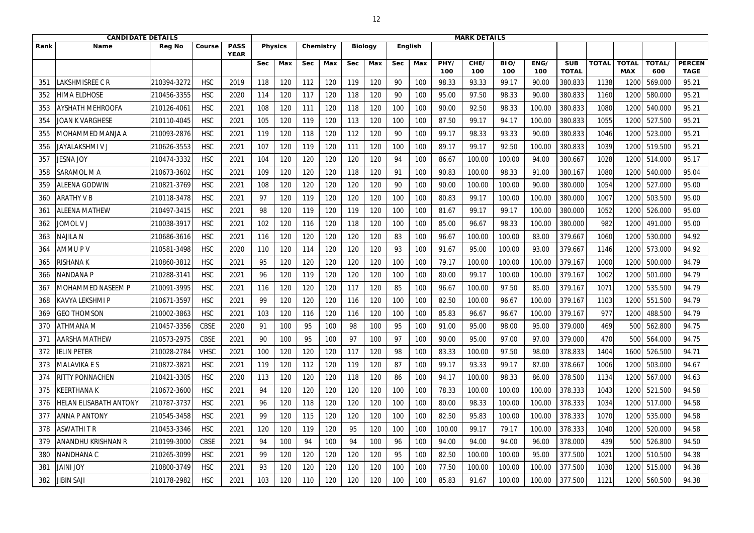|      | <b>CANDIDATE DETAILS</b>      |               |             |                            |            |                |            |           |            |                |            | <b>MARK DETAILS</b> |             |             |             |             |                            |              |                            |               |                              |
|------|-------------------------------|---------------|-------------|----------------------------|------------|----------------|------------|-----------|------------|----------------|------------|---------------------|-------------|-------------|-------------|-------------|----------------------------|--------------|----------------------------|---------------|------------------------------|
| Rank | <b>Name</b>                   | <b>Reg No</b> | Course      | <b>PASS</b><br><b>YEAR</b> |            | <b>Physics</b> |            | Chemistry |            | <b>Biology</b> |            | English             |             |             |             |             |                            |              |                            |               |                              |
|      |                               |               |             |                            | <b>Sec</b> | Max            | <b>Sec</b> | Max       | <b>Sec</b> | Max            | <b>Sec</b> | Max                 | PHY/<br>100 | CHE/<br>100 | BIO/<br>100 | ENG/<br>100 | <b>SUB</b><br><b>TOTAL</b> | <b>TOTAL</b> | <b>TOTAL</b><br><b>MAX</b> | TOTAL/<br>600 | <b>PERCEN</b><br><b>TAGE</b> |
| 351  | LAKSHMISREE C R               | 210394-3272   | <b>HSC</b>  | 2019                       | 118        | 120            | 112        | 120       | 119        | 120            | 90         | 100                 | 98.33       | 93.33       | 99.17       | 90.00       | 380.833                    | 1138         | 120                        | 569.000       | 95.21                        |
| 352  | <b>HIMA ELDHOSE</b>           | 210456-3355   | <b>HSC</b>  | 2020                       | 114        | 120            | 117        | 120       | 118        | 120            | 90         | 100                 | 95.00       | 97.50       | 98.33       | 90.00       | 380.833                    | 1160         | 1200                       | 580.000       | 95.21                        |
| 353  | <b>AYSHATH MEHROOFA</b>       | 210126-406    | <b>HSC</b>  | 2021                       | 108        | 120            | 111        | 120       | 118        | 120            | 100        | 100                 | 90.00       | 92.50       | 98.33       | 100.00      | 380.833                    | 1080         | 1200                       | 540.000       | 95.21                        |
| 354  | JOAN K VARGHESE               | 210110-4045   | <b>HSC</b>  | 2021                       | 105        | 120            | 119        | 120       | 113        | 120            | 100        | 100                 | 87.50       | 99.17       | 94.17       | 100.00      | 380.833                    | 1055         | 1200                       | 527.500       | 95.21                        |
| 355  | MOHAMMED MANJA A              | 210093-2876   | <b>HSC</b>  | 2021                       | 119        | 120            | 118        | 120       | 112        | 120            | 90         | 100                 | 99.17       | 98.33       | 93.33       | 90.00       | 380.833                    | 1046         | 1200                       | 523.000       | 95.21                        |
| 356  | <b>JAYALAKSHMI V J</b>        | 210626-3553   | <b>HSC</b>  | 2021                       | 107        | 120            | 119        | 120       | 111        | 120            | 100        | 100                 | 89.17       | 99.17       | 92.50       | 100.00      | 380.833                    | 1039         | 1200                       | 519.500       | 95.21                        |
| 357  | <b>JESNA JOY</b>              | 210474-3332   | <b>HSC</b>  | 2021                       | 104        | 120            | 120        | 120       | 120        | 120            | 94         | 100                 | 86.67       | 100.00      | 100.00      | 94.00       | 380.667                    | 1028         | 1200                       | 514.000       | 95.17                        |
| 358  | SARAMOL M A                   | 210673-3602   | <b>HSC</b>  | 2021                       | 109        | 120            | 120        | 120       | 118        | 120            | 91         | 100                 | 90.83       | 100.00      | 98.33       | 91.00       | 380.167                    | 1080         | 1200                       | 540.000       | 95.04                        |
| 359  | ALEENA GODWIN                 | 210821-3769   | <b>HSC</b>  | 2021                       | 108        | 120            | 120        | 120       | 120        | 120            | 90         | 100                 | 90.00       | 100.00      | 100.00      | 90.00       | 380.000                    | 1054         | 1200                       | 527.000       | 95.00                        |
| 360  | <b>ARATHY V B</b>             | 210118-3478   | <b>HSC</b>  | 2021                       | 97         | 120            | 119        | 120       | 120        | 120            | 100        | 100                 | 80.83       | 99.17       | 100.00      | 100.00      | 380.000                    | 1007         | 1200                       | 503.500       | 95.00                        |
| 361  | <b>ALEENA MATHEW</b>          | 210497-3415   | <b>HSC</b>  | 2021                       | 98         | 120            | 119        | 120       | 119        | 120            | 100        | 100                 | 81.67       | 99.17       | 99.17       | 100.00      | 380.000                    | 1052         | 1200                       | 526.000       | 95.00                        |
| 362  | <b>JOMOL V J</b>              | 210038-3917   | <b>HSC</b>  | 2021                       | 102        | 120            | 116        | 120       | 118        | 120            | 100        | 100                 | 85.00       | 96.67       | 98.33       | 100.00      | 380.000                    | 982          | 1200                       | 491.000       | 95.00                        |
| 363  | najila n                      | 210686-3616   | <b>HSC</b>  | 2021                       | 116        | 120            | 120        | 120       | 120        | 120            | 83         | 100                 | 96.67       | 100.00      | 100.00      | 83.00       | 379.667                    | 1060         | 1200                       | 530.000       | 94.92                        |
| 364  | AMMUPV                        | 210581-3498   | <b>HSC</b>  | 2020                       | 110        | 120            | 114        | 120       | 120        | 120            | 93         | 100                 | 91.67       | 95.00       | 100.00      | 93.00       | 379.667                    | 1146         | 1200                       | 573.000       | 94.92                        |
| 365  | RISHANA K                     | 210860-3812   | <b>HSC</b>  | 2021                       | 95         | 120            | 120        | 120       | 120        | 120            | 100        | 100                 | 79.17       | 100.00      | 100.00      | 100.00      | 379.167                    | 1000         | 1200                       | 500.000       | 94.79                        |
| 366  | NANDANA P                     | 210288-3141   | <b>HSC</b>  | 2021                       | 96         | 120            | 119        | 120       | 120        | 120            | 100        | 100                 | 80.00       | 99.17       | 100.00      | 100.00      | 379.167                    | 1002         | 1200                       | 501.000       | 94.79                        |
| 367  | MOHAMMED NASEEM P             | 210091-3995   | <b>HSC</b>  | 2021                       | 116        | 120            | 120        | 120       | 117        | 120            | 85         | 100                 | 96.67       | 100.00      | 97.50       | 85.00       | 379.167                    | 1071         | 1200                       | 535.500       | 94.79                        |
| 368  | KAVYA LEKSHMI P               | 210671-3597   | <b>HSC</b>  | 2021                       | 99         | 120            | 120        | 120       | 116        | 120            | 100        | 100                 | 82.50       | 100.00      | 96.67       | 100.00      | 379.167                    | 1103         | 1200                       | 551.500       | 94.79                        |
| 369  | <b>GEO THOMSON</b>            | 210002-3863   | <b>HSC</b>  | 2021                       | 103        | 120            | 116        | 120       | 116        | 120            | 100        | 100                 | 85.83       | 96.67       | 96.67       | 100.00      | 379.167                    | 977          | 1200                       | 488.500       | 94.79                        |
| 370  | <b>ATHMANA M</b>              | 210457-3356   | <b>CBSE</b> | 2020                       | 91         | 100            | 95         | 100       | 98         | 100            | 95         | 100                 | 91.00       | 95.00       | 98.00       | 95.00       | 379.000                    | 469          | 500                        | 562.800       | 94.75                        |
| 371  | <b>AARSHA MATHEW</b>          | 210573-2975   | <b>CBSE</b> | 2021                       | 90         | 100            | 95         | 100       | 97         | 100            | 97         | 100                 | 90.00       | 95.00       | 97.00       | 97.00       | 379.000                    | 470          | 500                        | 564.000       | 94.75                        |
| 372  | IELIN PETER                   | 210028-2784   | <b>VHSC</b> | 2021                       | 100        | 120            | 120        | 120       | 117        | 120            | 98         | 100                 | 83.33       | 100.00      | 97.50       | 98.00       | 378.833                    | 1404         | 1600                       | 526.500       | 94.71                        |
| 373  | <b>MALAVIKA E S</b>           | 210872-3821   | <b>HSC</b>  | 2021                       | 119        | 120            | 112        | 120       | 119        | 120            | 87         | 100                 | 99.17       | 93.33       | 99.17       | 87.00       | 378.667                    | 1006         | 1200                       | 503.000       | 94.67                        |
| 374  | <b>RITTY PONNACHEN</b>        | 210421-3305   | <b>HSC</b>  | 2020                       | 113        | 120            | 120        | 120       | 118        | 120            | 86         | 100                 | 94.17       | 100.00      | 98.33       | 86.00       | 378.500                    | 1134         | 1200                       | 567.000       | 94.63                        |
| 375  | <b>KEERTHANAK</b>             | 210672-3600   | <b>HSC</b>  | 2021                       | 94         | 120            | 120        | 120       | 120        | 120            | 100        | 100                 | 78.33       | 100.00      | 100.00      | 100.00      | 378.333                    | 1043         | 1200                       | 521.500       | 94.58                        |
| 376  | <b>HELAN ELISABATH ANTONY</b> | 210787-3737   | <b>HSC</b>  | 2021                       | 96         | 120            | 118        | 120       | 120        | 120            | 100        | 100                 | 80.00       | 98.33       | 100.00      | 100.00      | 378.333                    | 1034         | 1200                       | 517.000       | 94.58                        |
| 377  | <b>ANNA P ANTONY</b>          | 210545-3458   | <b>HSC</b>  | 2021                       | 99         | 120            | 115        | 120       | 120        | 120            | 100        | 100                 | 82.50       | 95.83       | 100.00      | 100.00      | 378.333                    | 1070         | 1200                       | 535.000       | 94.58                        |
| 378  | <b>ASWATHIT R</b>             | 210453-3346   | <b>HSC</b>  | 2021                       | 120        | 120            | 119        | 120       | 95         | 120            | 100        | 100                 | 100.00      | 99.17       | 79.17       | 100.00      | 378.333                    | 1040         | 1200                       | 520.000       | 94.58                        |
| 379  | <b>ANANDHU KRISHNAN R</b>     | 210199-3000   | <b>CBSE</b> | 2021                       | 94         | 100            | 94         | 100       | 94         | 100            | 96         | 100                 | 94.00       | 94.00       | 94.00       | 96.00       | 378.000                    | 439          | 500                        | 526.800       | 94.50                        |
| 380  | NANDHANA C                    | 210265-3099   | <b>HSC</b>  | 2021                       | 99         | 120            | 120        | 120       | 120        | 120            | 95         | 100                 | 82.50       | 100.00      | 100.00      | 95.00       | 377.500                    | 1021         | 1200                       | 510.500       | 94.38                        |
| 381  | <b>JAINI JOY</b>              | 210800-3749   | <b>HSC</b>  | 2021                       | 93         | 120            | 120        | 120       | 120        | 120            | 100        | 100                 | 77.50       | 100.00      | 100.00      | 100.00      | 377.500                    | 1030         | 1200                       | 515.000       | 94.38                        |
| 382  | <b>JIBIN SAJI</b>             | 210178-2982   | <b>HSC</b>  | 2021                       | 103        | 120            | 110        | 120       | 120        | 120            | 100        | 100                 | 85.83       | 91.67       | 100.00      | 100.00      | 377.500                    | 1121         | 1200                       | 560.500       | 94.38                        |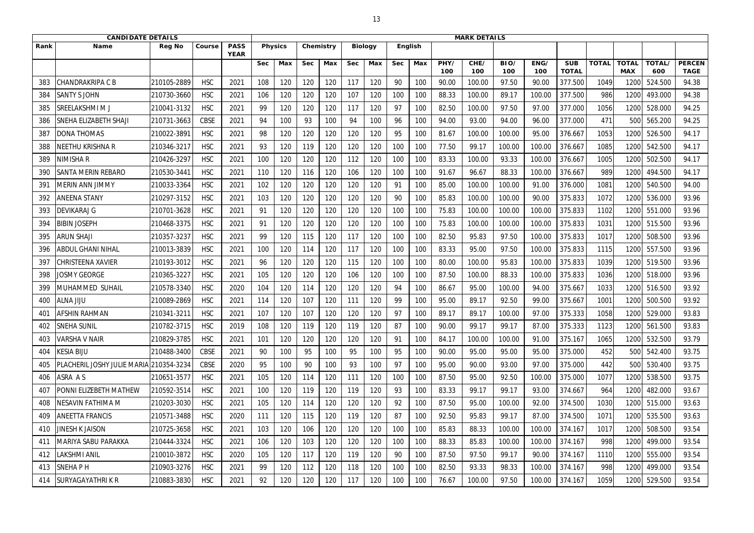|                 | <b>CANDIDATE DETAILS</b>                |               |             |                            |            |                |            |           |            |                |            |         |             | <b>MARK DETAILS</b> |             |             |                            |              |                            |               |                              |
|-----------------|-----------------------------------------|---------------|-------------|----------------------------|------------|----------------|------------|-----------|------------|----------------|------------|---------|-------------|---------------------|-------------|-------------|----------------------------|--------------|----------------------------|---------------|------------------------------|
| Rank            | Name                                    | <b>Reg No</b> | Course      | <b>PASS</b><br><b>YEAR</b> |            | <b>Physics</b> |            | Chemistry |            | <b>Biology</b> |            | English |             |                     |             |             |                            |              |                            |               |                              |
|                 |                                         |               |             |                            | <b>Sec</b> | Max            | <b>Sec</b> | Max       | <b>Sec</b> | Max            | <b>Sec</b> | Max     | PHY/<br>100 | CHE/<br>100         | BIO/<br>100 | ENG/<br>100 | <b>SUB</b><br><b>TOTAL</b> | <b>TOTAL</b> | <b>TOTAL</b><br><b>MAX</b> | TOTAL/<br>600 | <b>PERCEN</b><br><b>TAGE</b> |
| 383             | CHANDRAKRIPA C B                        | 210105-2889   | <b>HSC</b>  | 2021                       | 108        | 120            | 120        | 120       | 117        | 120            | 90         | 100     | 90.00       | 100.00              | 97.50       | 90.00       | 377.500                    | 1049         | 1200                       | 524.500       | 94.38                        |
| 384             | <b>SANTY S JOHN</b>                     | 210730-3660   | <b>HSC</b>  | 2021                       | 106        | 120            | 120        | 120       | 107        | 120            | 100        | 100     | 88.33       | 100.00              | 89.17       | 100.00      | 377.500                    | 986          | 1200                       | 493.000       | 94.38                        |
| 385             | SREELAKSHMI M J                         | 210041-3132   | <b>HSC</b>  | 2021                       | 99         | 120            | 120        | 120       | 117        | 120            | 97         | 100     | 82.50       | 100.00              | 97.50       | 97.00       | 377.000                    | 1056         | 1200                       | 528.000       | 94.25                        |
| 386             | SNEHA ELIZABETH SHAJI                   | 210731-3663   | <b>CBSE</b> | 2021                       | 94         | 100            | 93         | 100       | 94         | 100            | 96         | 100     | 94.00       | 93.00               | 94.00       | 96.00       | 377.000                    | 471          | 500                        | 565.200       | 94.25                        |
| 387             | <b>DONA THOMAS</b>                      | 210022-3891   | <b>HSC</b>  | 2021                       | 98         | 120            | 120        | 120       | 120        | 120            | 95         | 100     | 81.67       | 100.00              | 100.00      | 95.00       | 376.667                    | 1053         | 1200                       | 526.500       | 94.17                        |
| 388             | NEETHU KRISHNA R                        | 210346-3217   | <b>HSC</b>  | 2021                       | 93         | 120            | 119        | 120       | 120        | 120            | 100        | 100     | 77.50       | 99.17               | 100.00      | 100.00      | 376.667                    | 1085         | 1200                       | 542.500       | 94.17                        |
| 389             | NIMISHA R                               | 210426-3297   | <b>HSC</b>  | 2021                       | 100        | 120            | 120        | 120       | 112        | 120            | 100        | 100     | 83.33       | 100.00              | 93.33       | 100.00      | 376.667                    | 1005         | 1200                       | 502.500       | 94.17                        |
| 390             | <b>SANTA MERIN REBARO</b>               | 210530-344    | <b>HSC</b>  | 2021                       | 110        | 120            | 116        | 120       | 106        | 120            | 100        | 100     | 91.67       | 96.67               | 88.33       | 100.00      | 376.667                    | 989          | 1200                       | 494.500       | 94.17                        |
| 39 <sup>°</sup> | <b>MERIN ANN JIMMY</b>                  | 210033-3364   | <b>HSC</b>  | 2021                       | 102        | 120            | 120        | 120       | 120        | 120            | 91         | 100     | 85.00       | 100.00              | 100.00      | 91.00       | 376.000                    | 1081         | 1200                       | 540.500       | 94.00                        |
| 392             | <b>ANEENA STANY</b>                     | 210297-3152   | <b>HSC</b>  | 2021                       | 103        | 120            | 120        | 120       | 120        | 120            | 90         | 100     | 85.83       | 100.00              | 100.00      | 90.00       | 375.833                    | 1072         | 1200                       | 536.000       | 93.96                        |
| 393             | <b>DEVIKARAJ G</b>                      | 210701-3628   | <b>HSC</b>  | 2021                       | 91         | 120            | 120        | 120       | 120        | 120            | 100        | 100     | 75.83       | 100.00              | 100.00      | 100.00      | 375.833                    | 1102         | 1200                       | 551.000       | 93.96                        |
| 394             | <b>BIBIN JOSEPH</b>                     | 210468-3375   | <b>HSC</b>  | 2021                       | 91         | 120            | 120        | 120       | 120        | 120            | 100        | 100     | 75.83       | 100.00              | 100.00      | 100.00      | 375.833                    | 1031         | 1200                       | 515.500       | 93.96                        |
| 395             | <b>ARUN SHAJI</b>                       | 210357-3237   | <b>HSC</b>  | 2021                       | 99         | 120            | 115        | 120       | 117        | 120            | 100        | 100     | 82.50       | 95.83               | 97.50       | 100.00      | 375.833                    | 1017         | 1200                       | 508.500       | 93.96                        |
| 396             | <b>ABDUL GHANI NIHAL</b>                | 210013-3839   | <b>HSC</b>  | 2021                       | 100        | 120            | 114        | 120       | 117        | 120            | 100        | 100     | 83.33       | 95.00               | 97.50       | 100.00      | 375.833                    | 1115         | 1200                       | 557.500       | 93.96                        |
| 397             | <b>CHRISTEENA XAVIER</b>                | 210193-3012   | <b>HSC</b>  | 2021                       | 96         | 120            | 120        | 120       | 115        | 120            | 100        | 100     | 80.00       | 100.00              | 95.83       | 100.00      | 375.833                    | 1039         | 1200                       | 519.500       | 93.96                        |
| 398             | <b>JOSMY GEORGE</b>                     | 210365-3227   | <b>HSC</b>  | 2021                       | 105        | 120            | 120        | 120       | 106        | 120            | 100        | 100     | 87.50       | 100.00              | 88.33       | 100.00      | 375.833                    | 1036         | 1200                       | 518.000       | 93.96                        |
| 399             | MUHAMMED SUHAIL                         | 210578-3340   | <b>HSC</b>  | 2020                       | 104        | 120            | 114        | 120       | 120        | 120            | 94         | 100     | 86.67       | 95.00               | 100.00      | 94.00       | 375.667                    | 1033         | 1200                       | 516.500       | 93.92                        |
| 400             | <b>ALNA JIJU</b>                        | 210089-2869   | <b>HSC</b>  | 2021                       | 114        | 120            | 107        | 120       | 111        | 120            | 99         | 100     | 95.00       | 89.17               | 92.50       | 99.00       | 375.667                    | 1001         | 1200                       | 500.500       | 93.92                        |
| 40 <sup>-</sup> | <b>AFSHIN RAHMAN</b>                    | 210341-3211   | <b>HSC</b>  | 2021                       | 107        | 120            | 107        | 120       | 120        | 120            | 97         | 100     | 89.17       | 89.17               | 100.00      | 97.00       | 375.333                    | 1058         | 1200                       | 529.000       | 93.83                        |
| 402             | <b>SNEHA SUNIL</b>                      | 210782-3715   | <b>HSC</b>  | 2019                       | 108        | 120            | 119        | 120       | 119        | 120            | 87         | 100     | 90.00       | 99.17               | 99.17       | 87.00       | 375.333                    | 1123         | 1200                       | 561.500       | 93.83                        |
| 403             | <b>VARSHA V NAIR</b>                    | 210829-3785   | <b>HSC</b>  | 2021                       | 101        | 120            | 120        | 120       | 120        | 120            | 91         | 100     | 84.17       | 100.00              | 100.00      | 91.00       | 375.167                    | 1065         | 1200                       | 532.500       | 93.79                        |
| 404             | <b>KESIA BIJU</b>                       | 210488-3400   | <b>CBSE</b> | 2021                       | 90         | 100            | 95         | 100       | 95         | 100            | 95         | 100     | 90.00       | 95.00               | 95.00       | 95.00       | 375.000                    | 452          | 500                        | 542.400       | 93.75                        |
| 405             | PLACHERIL JOSHY JULIE MARIA 210354-3234 |               | <b>CBSE</b> | 2020                       | 95         | 100            | 90         | 100       | 93         | 100            | 97         | 100     | 95.00       | 90.00               | 93.00       | 97.00       | 375.000                    | 442          | 500                        | 530.400       | 93.75                        |
| 406             | ASRA AS                                 | 210651-3577   | <b>HSC</b>  | 2021                       | 105        | 120            | 114        | 120       | 111        | 120            | 100        | 100     | 87.50       | 95.00               | 92.50       | 100.00      | 375.000                    | 1077         | 1200                       | 538.500       | 93.75                        |
| 407             | PONNI ELIZEBETH MATHEW                  | 210592-3514   | <b>HSC</b>  | 2021                       | 100        | 120            | 119        | 120       | 119        | 120            | 93         | 100     | 83.33       | 99.17               | 99.17       | 93.00       | 374.667                    | 964          | 1200                       | 482.000       | 93.67                        |
| 408             | NESAVIN FATHIMA M                       | 210203-3030   | <b>HSC</b>  | 2021                       | 105        | 120            | 114        | 120       | 120        | 120            | 92         | 100     | 87.50       | 95.00               | 100.00      | 92.00       | 374.500                    | 1030         | 1200                       | 515.000       | 93.63                        |
| 409             | <b>ANEETTA FRANCIS</b>                  | 210571-3488   | <b>HSC</b>  | 2020                       | 111        | 120            | 115        | 120       | 119        | 120            | 87         | 100     | 92.50       | 95.83               | 99.17       | 87.00       | 374.500                    | 1071         | 1200                       | 535.500       | 93.63                        |
| 410             | <b>JINESH K JAISON</b>                  | 210725-3658   | <b>HSC</b>  | 2021                       | 103        | 120            | 106        | 120       | 120        | 120            | 100        | 100     | 85.83       | 88.33               | 100.00      | 100.00      | 374.167                    | 1017         | 1200                       | 508.500       | 93.54                        |
| -411            | MARIYA SABU PARAKKA                     | 210444-3324   | <b>HSC</b>  | 2021                       | 106        | 120            | 103        | 120       | 120        | 120            | 100        | 100     | 88.33       | 85.83               | 100.00      | 100.00      | 374.167                    | 998          | 1200                       | 499.000       | 93.54                        |
| 412             | LAKSHMI ANIL                            | 210010-3872   | <b>HSC</b>  | 2020                       | 105        | 120            | 117        | 120       | 119        | 120            | 90         | 100     | 87.50       | 97.50               | 99.17       | 90.00       | 374.167                    | 1110         | 1200                       | 555.000       | 93.54                        |
| 413             | <b>SNEHAPH</b>                          | 210903-3276   | <b>HSC</b>  | 2021                       | 99         | 120            | 112        | 120       | 118        | 120            | 100        | 100     | 82.50       | 93.33               | 98.33       | 100.00      | 374.167                    | 998          | 1200                       | 499.000       | 93.54                        |
| 414             | <b>SURYAGAYATHRIK R</b>                 | 210883-3830   | <b>HSC</b>  | 2021                       | 92         | 120            | 120        | 120       | 117        | 120            | 100        | 100     | 76.67       | 100.00              | 97.50       | 100.00      | 374.167                    | 1059         | 1200                       | 529.500       | 93.54                        |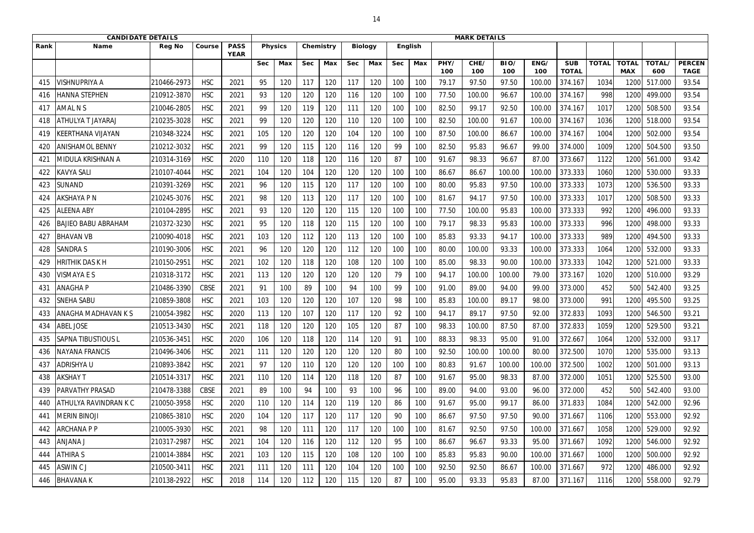|              | <b>CANDIDATE DETAILS</b>  |               |             |                            |            |                |            |           |            |                |            | <b>MARK DETAILS</b> |             |             |             |             |                            |              |                            |               |                              |
|--------------|---------------------------|---------------|-------------|----------------------------|------------|----------------|------------|-----------|------------|----------------|------------|---------------------|-------------|-------------|-------------|-------------|----------------------------|--------------|----------------------------|---------------|------------------------------|
| Rank         | <b>Name</b>               | <b>Reg No</b> | Course      | <b>PASS</b><br><b>YEAR</b> |            | <b>Physics</b> |            | Chemistry |            | <b>Biology</b> |            | <b>English</b>      |             |             |             |             |                            |              |                            |               |                              |
|              |                           |               |             |                            | <b>Sec</b> | Max            | <b>Sec</b> | Max       | <b>Sec</b> | Max            | <b>Sec</b> | Max                 | PHY/<br>100 | CHE/<br>100 | BIO/<br>100 | ENG/<br>100 | <b>SUB</b><br><b>TOTAL</b> | <b>TOTAL</b> | <b>TOTAL</b><br><b>MAX</b> | TOTAL/<br>600 | <b>PERCEN</b><br><b>TAGE</b> |
| 415          | VISHNUPRIYA A             | 210466-2973   | <b>HSC</b>  | 2021                       | 95         | 120            | 117        | 120       | 117        | 120            | 100        | 100                 | 79.17       | 97.50       | 97.50       | 100.00      | 374.167                    | 1034         | 1200                       | 517.000       | 93.54                        |
| 416          | <b>HANNA STEPHEN</b>      | 210912-3870   | <b>HSC</b>  | 2021                       | 93         | 120            | 120        | 120       | 116        | 120            | 100        | 100                 | 77.50       | 100.00      | 96.67       | 100.00      | 374.167                    | 998          | 1200                       | 499.000       | 93.54                        |
| 417          | <b>AMAL N S</b>           | 210046-2805   | <b>HSC</b>  | 2021                       | 99         | 120            | 119        | 120       | 111        | 120            | 100        | 100                 | 82.50       | 99.17       | 92.50       | 100.00      | 374.167                    | 1017         | 1200                       | 508.500       | 93.54                        |
| 418          | <b>ATHULYA T JAYARAJ</b>  | 210235-3028   | <b>HSC</b>  | 2021                       | 99         | 120            | 120        | 120       | 110        | 120            | 100        | 100                 | 82.50       | 100.00      | 91.67       | 100.00      | 374.167                    | 1036         | 1200                       | 518.000       | 93.54                        |
| 419          | <b>KEERTHANA VIJAYAN</b>  | 210348-3224   | <b>HSC</b>  | 2021                       | 105        | 120            | 120        | 120       | 104        | 120            | 100        | 100                 | 87.50       | 100.00      | 86.67       | 100.00      | 374.167                    | 1004         | 1200                       | 502.000       | 93.54                        |
| 420          | <b>ANISHAMOL BENNY</b>    | 210212-3032   | <b>HSC</b>  | 2021                       | 99         | 120            | 115        | 120       | 116        | 120            | 99         | 100                 | 82.50       | 95.83       | 96.67       | 99.00       | 374.000                    | 1009         | 1200                       | 504.500       | 93.50                        |
| $42^{\circ}$ | MIDULA KRISHNAN A         | 210314-3169   | <b>HSC</b>  | 2020                       | 110        | 120            | 118        | 120       | 116        | 120            | 87         | 100                 | 91.67       | 98.33       | 96.67       | 87.00       | 373.667                    | 1122         | 1200                       | 561.000       | 93.42                        |
| 422          | <b>KAVYA SALI</b>         | 210107-4044   | <b>HSC</b>  | 2021                       | 104        | 120            | 104        | 120       | 120        | 120            | 100        | 100                 | 86.67       | 86.67       | 100.00      | 100.00      | 373.333                    | 1060         | 1200                       | 530.000       | 93.33                        |
| 423          | SUNAND                    | 210391-3269   | <b>HSC</b>  | 2021                       | 96         | 120            | 115        | 120       | 117        | 120            | 100        | 100                 | 80.00       | 95.83       | 97.50       | 100.00      | 373.333                    | 1073         | 1200                       | 536.500       | 93.33                        |
| 424          | AKSHAYA P N               | 210245-3076   | <b>HSC</b>  | 2021                       | 98         | 120            | 113        | 120       | 117        | 120            | 100        | 100                 | 81.67       | 94.17       | 97.50       | 100.00      | 373.333                    | 1017         | 1200                       | 508.500       | 93.33                        |
| 425          | <b>ALEENA ABY</b>         | 210104-2895   | <b>HSC</b>  | 2021                       | 93         | 120            | 120        | 120       | 115        | 120            | 100        | 100                 | 77.50       | 100.00      | 95.83       | 100.00      | 373.333                    | 992          | 1200                       | 496.000       | 93.33                        |
| 426          | BAJIEO BABU ABRAHAM       | 210372-3230   | <b>HSC</b>  | 2021                       | 95         | 120            | 118        | 120       | 115        | 120            | 100        | 100                 | 79.17       | 98.33       | 95.83       | 100.00      | 373.333                    | 996          | 1200                       | 498.000       | 93.33                        |
| 427          | <b>BHAVAN VB</b>          | 210090-4018   | <b>HSC</b>  | 2021                       | 103        | 120            | 112        | 120       | 113        | 120            | 100        | 100                 | 85.83       | 93.33       | 94.17       | 100.00      | 373.333                    | 989          | 1200                       | 494.500       | 93.33                        |
| 428          | <b>SANDRA S</b>           | 210190-3006   | <b>HSC</b>  | 2021                       | 96         | 120            | 120        | 120       | 112        | 120            | 100        | 100                 | 80.00       | 100.00      | 93.33       | 100.00      | 373.333                    | 1064         | 1200                       | 532.000       | 93.33                        |
| 429          | HRITHIK DAS K H           | 210150-2951   | <b>HSC</b>  | 2021                       | 102        | 120            | 118        | 120       | 108        | 120            | 100        | 100                 | 85.00       | 98.33       | 90.00       | 100.00      | 373.333                    | 1042         | 1200                       | 521.000       | 93.33                        |
| 430          | <b>VISMAYA E S</b>        | 210318-3172   | <b>HSC</b>  | 2021                       | 113        | 120            | 120        | 120       | 120        | 120            | 79         | 100                 | 94.17       | 100.00      | 100.00      | 79.00       | 373.167                    | 1020         | 1200                       | 510.000       | 93.29                        |
| 431          | <b>ANAGHAP</b>            | 210486-3390   | <b>CBSE</b> | 2021                       | 91         | 100            | 89         | 100       | 94         | 100            | 99         | 100                 | 91.00       | 89.00       | 94.00       | 99.00       | 373.000                    | 452          | 500                        | 542.400       | 93.25                        |
| 432          | <b>SNEHA SABU</b>         | 210859-3808   | <b>HSC</b>  | 2021                       | 103        | 120            | 120        | 120       | 107        | 120            | 98         | 100                 | 85.83       | 100.00      | 89.17       | 98.00       | 373.000                    | 991          | 1200                       | 495.500       | 93.25                        |
| 433          | ANAGHA MADHAVAN K S       | 210054-3982   | <b>HSC</b>  | 2020                       | 113        | 120            | 107        | 120       | 117        | 120            | 92         | 100                 | 94.17       | 89.17       | 97.50       | 92.00       | 372.833                    | 1093         | 1200                       | 546.500       | 93.21                        |
| 434          | <b>ABEL JOSE</b>          | 210513-3430   | <b>HSC</b>  | 2021                       | 118        | 120            | 120        | 120       | 105        | 120            | 87         | 100                 | 98.33       | 100.00      | 87.50       | 87.00       | 372.833                    | 1059         | 1200                       | 529.500       | 93.21                        |
| 435          | <b>SAPNA TIBUSTIOUS L</b> | 210536-3451   | <b>HSC</b>  | 2020                       | 106        | 120            | 118        | 120       | 114        | 120            | 91         | 100                 | 88.33       | 98.33       | 95.00       | 91.00       | 372.667                    | 1064         | 1200                       | 532.000       | 93.17                        |
| 436          | <b>NAYANA FRANCIS</b>     | 210496-3406   | <b>HSC</b>  | 2021                       | 111        | 120            | 120        | 120       | 120        | 120            | 80         | 100                 | 92.50       | 100.00      | 100.00      | 80.00       | 372.500                    | 1070         | 1200                       | 535.000       | 93.13                        |
| 437          | <b>ADRISHYA U</b>         | 210893-3842   | <b>HSC</b>  | 2021                       | 97         | 120            | 110        | 120       | 120        | 120            | 100        | 100                 | 80.83       | 91.67       | 100.00      | 100.00      | 372.500                    | 1002         | 1200                       | 501.000       | 93.13                        |
| 438          | <b>AKSHAY T</b>           | 210514-3317   | <b>HSC</b>  | 2021                       | 110        | 120            | 114        | 120       | 118        | 120            | 87         | 100                 | 91.67       | 95.00       | 98.33       | 87.00       | 372.000                    | 1051         | 1200                       | 525.500       | 93.00                        |
| 439          | <b>PARVATHY PRASAD</b>    | 210478-3388   | <b>CBSE</b> | 2021                       | 89         | 100            | 94         | 100       | 93         | 100            | 96         | 100                 | 89.00       | 94.00       | 93.00       | 96.00       | 372.000                    | 452          | 500                        | 542.400       | 93.00                        |
| 440          | ATHULYA RAVINDRAN K C     | 210050-3958   | <b>HSC</b>  | 2020                       | 110        | 120            | 114        | 120       | 119        | 120            | 86         | 100                 | 91.67       | 95.00       | 99.17       | 86.00       | 371.833                    | 1084         | 1200                       | 542.000       | 92.96                        |
| 441          | <b>MERIN BINOJI</b>       | 210865-3810   | <b>HSC</b>  | 2020                       | 104        | 120            | 117        | 120       | 117        | 120            | 90         | 100                 | 86.67       | 97.50       | 97.50       | 90.00       | 371.667                    | 1106         | 1200                       | 553.000       | 92.92                        |
| 442          | <b>ARCHANAPP</b>          | 210005-3930   | <b>HSC</b>  | 2021                       | 98         | 120            | 111        | 120       | 117        | 120            | 100        | 100                 | 81.67       | 92.50       | 97.50       | 100.00      | 371.667                    | 1058         | 1200                       | 529.000       | 92.92                        |
| 443          | <b>ANJANA J</b>           | 210317-2987   | <b>HSC</b>  | 2021                       | 104        | 120            | 116        | 120       | 112        | 120            | 95         | 100                 | 86.67       | 96.67       | 93.33       | 95.00       | 371.667                    | 1092         | 1200                       | 546.000       | 92.92                        |
| 444          | <b>ATHIRA S</b>           | 210014-3884   | <b>HSC</b>  | 2021                       | 103        | 120            | 115        | 120       | 108        | 120            | 100        | 100                 | 85.83       | 95.83       | 90.00       | 100.00      | 371.667                    | 1000         | 1200                       | 500.000       | 92.92                        |
| 445          | ASWIN C J                 | 210500-3411   | <b>HSC</b>  | 2021                       | 111        | 120            | 111        | 120       | 104        | 120            | 100        | 100                 | 92.50       | 92.50       | 86.67       | 100.00      | 371.667                    | 972          | 1200                       | 486.000       | 92.92                        |
| 446          | <b>BHAVANAK</b>           | 210138-2922   | <b>HSC</b>  | 2018                       | 114        | 120            | 112        | 120       | 115        | 120            | 87         | 100                 | 95.00       | 93.33       | 95.83       | 87.00       | 371.167                    | 1116         | 1200                       | 558.000       | 92.79                        |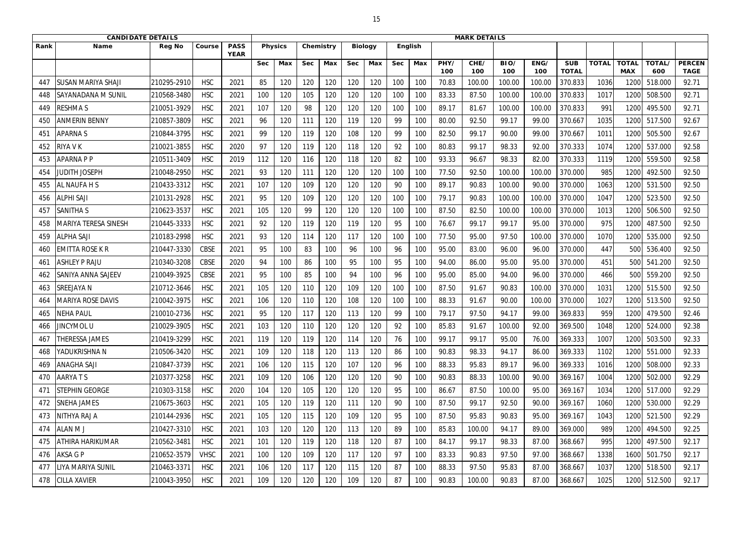|                 | <b>CANDIDATE DETAILS</b>    |               |             |                            |            |                |            |           |            |                |            |         |             | <b>MARK DETAILS</b> |             |             |                            |              |                            |               |                              |
|-----------------|-----------------------------|---------------|-------------|----------------------------|------------|----------------|------------|-----------|------------|----------------|------------|---------|-------------|---------------------|-------------|-------------|----------------------------|--------------|----------------------------|---------------|------------------------------|
| Rank            | <b>Name</b>                 | <b>Reg No</b> | Course      | <b>PASS</b><br><b>YEAR</b> |            | <b>Physics</b> |            | Chemistry |            | <b>Biology</b> |            | English |             |                     |             |             |                            |              |                            |               |                              |
|                 |                             |               |             |                            | <b>Sec</b> | Max            | <b>Sec</b> | Max       | <b>Sec</b> | Max            | <b>Sec</b> | Max     | PHY/<br>100 | CHE/<br>100         | BIO/<br>100 | ENG/<br>100 | <b>SUB</b><br><b>TOTAL</b> | <b>TOTAL</b> | <b>TOTAL</b><br><b>MAX</b> | TOTAL/<br>600 | <b>PERCEN</b><br><b>TAGE</b> |
| 447             | <b>SUSAN MARIYA SHAJI</b>   | 210295-2910   | <b>HSC</b>  | 2021                       | 85         | 120            | 120        | 120       | 120        | 120            | 100        | 100     | 70.83       | 100.00              | 100.00      | 100.00      | 370.833                    | 1036         | 120                        | 518.000       | 92.71                        |
| 448             | <b>SAYANADANA M SUNIL</b>   | 210568-3480   | <b>HSC</b>  | 2021                       | 100        | 120            | 105        | 120       | 120        | 120            | 100        | 100     | 83.33       | 87.50               | 100.00      | 100.00      | 370.833                    | 1017         | 1200                       | 508.500       | 92.71                        |
| 449             | <b>RESHMAS</b>              | 210051-3929   | <b>HSC</b>  | 2021                       | 107        | 120            | 98         | 120       | 120        | 120            | 100        | 100     | 89.17       | 81.67               | 100.00      | 100.00      | 370.833                    | 991          | 1200                       | 495.500       | 92.71                        |
| 45 <sub>C</sub> | <b>ANMERIN BENNY</b>        | 210857-3809   | <b>HSC</b>  | 2021                       | 96         | 120            | 111        | 120       | 119        | 120            | 99         | 100     | 80.00       | 92.50               | 99.17       | 99.00       | 370.667                    | 1035         | 1200                       | 517.500       | 92.67                        |
| 451             | <b>APARNAS</b>              | 210844-3795   | <b>HSC</b>  | 2021                       | 99         | 120            | 119        | 120       | 108        | 120            | 99         | 100     | 82.50       | 99.17               | 90.00       | 99.00       | 370.667                    | 1011         | 1200                       | 505.500       | 92.67                        |
| 452             | <b>RIYA V K</b>             | 210021-3855   | <b>HSC</b>  | 2020                       | 97         | 120            | 119        | 120       | 118        | 120            | 92         | 100     | 80.83       | 99.17               | 98.33       | 92.00       | 370.333                    | 1074         | 1200                       | 537.000       | 92.58                        |
| 453             | <b>APARNA P P</b>           | 210511-3409   | <b>HSC</b>  | 2019                       | 112        | 120            | 116        | 120       | 118        | 120            | 82         | 100     | 93.33       | 96.67               | 98.33       | 82.00       | 370.333                    | 1119         | 1200                       | 559.500       | 92.58                        |
| 454             | <b>JUDITH JOSEPH</b>        | 210048-2950   | <b>HSC</b>  | 2021                       | 93         | 120            | 111        | 120       | 120        | 120            | 100        | 100     | 77.50       | 92.50               | 100.00      | 100.00      | 370.000                    | 985          | 1200                       | 492.500       | 92.50                        |
| 455             | <b>AL NAUFA H S</b>         | 210433-3312   | <b>HSC</b>  | 2021                       | 107        | 120            | 109        | 120       | 120        | 120            | 90         | 100     | 89.17       | 90.83               | 100.00      | 90.00       | 370.000                    | 1063         | 1200                       | 531.500       | 92.50                        |
| 456             | <b>ALPHI SAJI</b>           | 210131-2928   | <b>HSC</b>  | 2021                       | 95         | 120            | 109        | 120       | 120        | 120            | 100        | 100     | 79.17       | 90.83               | 100.00      | 100.00      | 370.000                    | 1047         | 1200                       | 523.500       | 92.50                        |
| 457             | <b>SANITHAS</b>             | 210623-3537   | <b>HSC</b>  | 2021                       | 105        | 120            | 99         | 120       | 120        | 120            | 100        | 100     | 87.50       | 82.50               | 100.00      | 100.00      | 370.000                    | 1013         | 1200                       | 506.500       | 92.50                        |
| 458             | <b>MARIYA TERESA SINESH</b> | 210445-3333   | <b>HSC</b>  | 2021                       | 92         | 120            | 119        | 120       | 119        | 120            | 95         | 100     | 76.67       | 99.17               | 99.17       | 95.00       | 370.000                    | 975          | 1200                       | 487.500       | 92.50                        |
| 459             | <b>ALPHA SAJI</b>           | 210183-2998   | <b>HSC</b>  | 2021                       | 93         | 120            | 114        | 120       | 117        | 120            | 100        | 100     | 77.50       | 95.00               | 97.50       | 100.00      | 370.000                    | 1070         | 1200                       | 535.000       | 92.50                        |
| 460             | <b>EMITTA ROSE K R</b>      | 210447-3330   | <b>CBSE</b> | 2021                       | 95         | 100            | 83         | 100       | 96         | 100            | 96         | 100     | 95.00       | 83.00               | 96.00       | 96.00       | 370.000                    | 447          | 500                        | 536.400       | 92.50                        |
| 461             | <b>ASHLEY P RAJU</b>        | 210340-3208   | <b>CBSE</b> | 2020                       | 94         | 100            | 86         | 100       | 95         | 100            | 95         | 100     | 94.00       | 86.00               | 95.00       | 95.00       | 370.000                    | 451          | 500                        | 541.200       | 92.50                        |
| 462             | <b>SANIYA ANNA SAJEEV</b>   | 210049-3925   | <b>CBSE</b> | 2021                       | 95         | 100            | 85         | 100       | 94         | 100            | 96         | 100     | 95.00       | 85.00               | 94.00       | 96.00       | 370.000                    | 466          | 500                        | 559.200       | 92.50                        |
| 463             | <b>SREEJAYA N</b>           | 210712-3646   | <b>HSC</b>  | 2021                       | 105        | 120            | 110        | 120       | 109        | 120            | 100        | 100     | 87.50       | 91.67               | 90.83       | 100.00      | 370.000                    | 1031         | 1200                       | 515.500       | 92.50                        |
| 464             | VIARIYA ROSE DAVIS          | 210042-3975   | <b>HSC</b>  | 2021                       | 106        | 120            | 110        | 120       | 108        | 120            | 100        | 100     | 88.33       | 91.67               | 90.00       | 100.00      | 370.000                    | 1027         | 1200                       | 513.500       | 92.50                        |
| 465             | <b>NEHA PAUL</b>            | 210010-2736   | <b>HSC</b>  | 2021                       | 95         | 120            | 117        | 120       | 113        | 120            | 99         | 100     | 79.17       | 97.50               | 94.17       | 99.00       | 369.833                    | 959          | 1200                       | 479.500       | 92.46                        |
| 466             | JINCYMOL U                  | 210029-3905   | <b>HSC</b>  | 2021                       | 103        | 120            | 110        | 120       | 120        | 120            | 92         | 100     | 85.83       | 91.67               | 100.00      | 92.00       | 369.500                    | 1048         | 1200                       | 524.000       | 92.38                        |
| 467             | <b>THERESSA JAMES</b>       | 210419-3299   | <b>HSC</b>  | 2021                       | 119        | 120            | 119        | 120       | 114        | 120            | 76         | 100     | 99.17       | 99.17               | 95.00       | 76.00       | 369.333                    | 1007         | 1200                       | 503.500       | 92.33                        |
| 468             | <b>YADUKRISHNA N</b>        | 210506-3420   | <b>HSC</b>  | 2021                       | 109        | 120            | 118        | 120       | 113        | 120            | 86         | 100     | 90.83       | 98.33               | 94.17       | 86.00       | 369.333                    | 1102         | 1200                       | 551.000       | 92.33                        |
| 469             | <b>ANAGHA SAJI</b>          | 210847-3739   | <b>HSC</b>  | 2021                       | 106        | 120            | 115        | 120       | 107        | 120            | 96         | 100     | 88.33       | 95.83               | 89.17       | 96.00       | 369.333                    | 1016         | 1200                       | 508.000       | 92.33                        |
| 470             | AARYATS                     | 210377-3258   | <b>HSC</b>  | 2021                       | 109        | 120            | 106        | 120       | 120        | 120            | 90         | 100     | 90.83       | 88.33               | 100.00      | 90.00       | 369.167                    | 1004         | 1200                       | 502.000       | 92.29                        |
| 471             | <b>STEPHIN GEORGE</b>       | 210303-3158   | <b>HSC</b>  | 2020                       | 104        | 120            | 105        | 120       | 120        | 120            | 95         | 100     | 86.67       | 87.50               | 100.00      | 95.00       | 369.167                    | 1034         | 1200                       | 517.000       | 92.29                        |
| 472             | <b>SNEHA JAMES</b>          | 210675-3603   | <b>HSC</b>  | 2021                       | 105        | 120            | 119        | 120       | 111        | 120            | 90         | 100     | 87.50       | 99.17               | 92.50       | 90.00       | 369.167                    | 1060         | 1200                       | 530.000       | 92.29                        |
| 473             | NITHYA RAJ A                | 210144-2936   | <b>HSC</b>  | 2021                       | 105        | 120            | 115        | 120       | 109        | 120            | 95         | 100     | 87.50       | 95.83               | 90.83       | 95.00       | 369.167                    | 1043         | 1200                       | 521.500       | 92.29                        |
| 474             | <b>ALAN M J</b>             | 210427-3310   | <b>HSC</b>  | 2021                       | 103        | 120            | 120        | 120       | 113        | 120            | 89         | 100     | 85.83       | 100.00              | 94.17       | 89.00       | 369.000                    | 989          | 1200                       | 494.500       | 92.25                        |
| 475             | <b>ATHIRA HARIKUMAR</b>     | 210562-3481   | <b>HSC</b>  | 2021                       | 101        | 120            | 119        | 120       | 118        | 120            | 87         | 100     | 84.17       | 99.17               | 98.33       | 87.00       | 368.667                    | 995          | 1200                       | 497.500       | 92.17                        |
| 476             | AKSA G P                    | 210652-3579   | <b>VHSC</b> | 2021                       | 100        | 120            | 109        | 120       | 117        | 120            | 97         | 100     | 83.33       | 90.83               | 97.50       | 97.00       | 368.667                    | 1338         | 1600                       | 501.750       | 92.17                        |
| 477             | LIYA MARIYA SUNIL           | 210463-3371   | <b>HSC</b>  | 2021                       | 106        | 120            | 117        | 120       | 115        | 120            | 87         | 100     | 88.33       | 97.50               | 95.83       | 87.00       | 368.667                    | 1037         | 1200                       | 518.500       | 92.17                        |
| 478             | <b>CILLA XAVIER</b>         | 210043-3950   | <b>HSC</b>  | 2021                       | 109        | 120            | 120        | 120       | 109        | 120            | 87         | 100     | 90.83       | 100.00              | 90.83       | 87.00       | 368.667                    | 1025         | 1200                       | 512.500       | 92.17                        |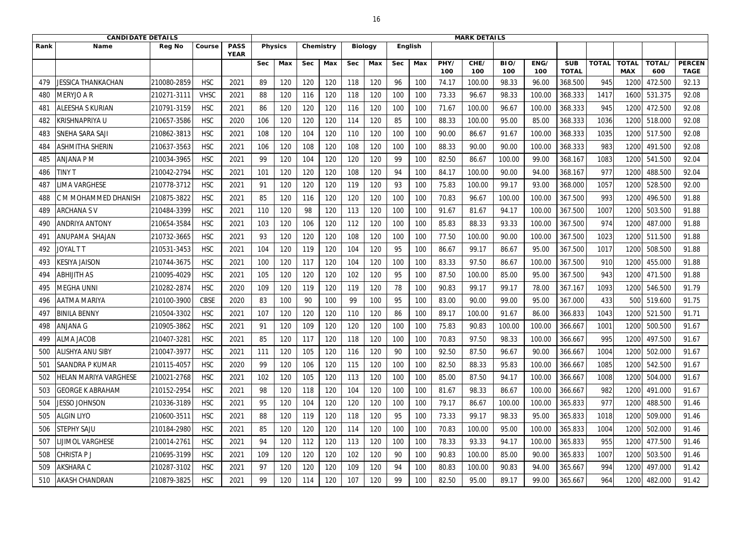|      | <b>CANDIDATE DETAILS</b>     |               |             |                            |            |                |            |           |            |                |            |         |             | <b>MARK DETAILS</b> |             |             |                            |              |                            |                      |                              |
|------|------------------------------|---------------|-------------|----------------------------|------------|----------------|------------|-----------|------------|----------------|------------|---------|-------------|---------------------|-------------|-------------|----------------------------|--------------|----------------------------|----------------------|------------------------------|
| Rank | <b>Name</b>                  | <b>Reg No</b> | Course      | <b>PASS</b><br><b>YEAR</b> |            | <b>Physics</b> |            | Chemistry |            | <b>Biology</b> |            | English |             |                     |             |             |                            |              |                            |                      |                              |
|      |                              |               |             |                            | <b>Sec</b> | Max            | <b>Sec</b> | Max       | <b>Sec</b> | Max            | <b>Sec</b> | Max     | PHY/<br>100 | CHE/<br>100         | BIO/<br>100 | ENG/<br>100 | <b>SUB</b><br><b>TOTAL</b> | <b>TOTAL</b> | <b>TOTAL</b><br><b>MAX</b> | <b>TOTAL/</b><br>600 | <b>PERCEN</b><br><b>TAGE</b> |
| 479  | JESSICA THANKACHAN           | 210080-2859   | <b>HSC</b>  | 2021                       | 89         | 120            | 120        | 120       | 118        | 120            | 96         | 100     | 74.17       | 100.00              | 98.33       | 96.00       | 368.500                    | 945          | 120                        | 472.500              | 92.13                        |
| 480  | MERYJO A R                   | 210271-3111   | <b>VHSC</b> | 2021                       | 88         | 120            | 116        | 120       | 118        | 120            | 100        | 100     | 73.33       | 96.67               | 98.33       | 100.00      | 368.333                    | 1417         | 1600                       | 531.375              | 92.08                        |
| 481  | <b>ALEESHA S KURIAN</b>      | 210791-3159   | <b>HSC</b>  | 2021                       | 86         | 120            | 120        | 120       | 116        | 120            | 100        | 100     | 71.67       | 100.00              | 96.67       | 100.00      | 368.333                    | 945          | 1200                       | 472.500              | 92.08                        |
| 482  | <b>KRISHNAPRIYA U</b>        | 210657-3586   | <b>HSC</b>  | 2020                       | 106        | 120            | 120        | 120       | 114        | 120            | 85         | 100     | 88.33       | 100.00              | 95.00       | 85.00       | 368.333                    | 1036         | 1200                       | 518.000              | 92.08                        |
| 483  | SNEHA SARA SAJI              | 210862-3813   | <b>HSC</b>  | 2021                       | 108        | 120            | 104        | 120       | 110        | 120            | 100        | 100     | 90.00       | 86.67               | 91.67       | 100.00      | 368.333                    | 1035         | 1200                       | 517.500              | 92.08                        |
| 484  | <b>ASHMITHA SHERIN</b>       | 210637-3563   | <b>HSC</b>  | 2021                       | 106        | 120            | 108        | 120       | 108        | 120            | 100        | 100     | 88.33       | 90.00               | 90.00       | 100.00      | 368.333                    | 983          | 1200                       | 491.500              | 92.08                        |
| 485  | ANJANA P M                   | 210034-3965   | <b>HSC</b>  | 2021                       | 99         | 120            | 104        | 120       | 120        | 120            | 99         | 100     | 82.50       | 86.67               | 100.00      | 99.00       | 368.167                    | 1083         | 1200                       | 541.500              | 92.04                        |
| 486  | <b>TINY T</b>                | 210042-2794   | <b>HSC</b>  | 2021                       | 101        | 120            | 120        | 120       | 108        | 120            | 94         | 100     | 84.17       | 100.00              | 90.00       | 94.00       | 368.167                    | 977          | 1200                       | 488.500              | 92.04                        |
| 487  | <b>IMA VARGHESE</b>          | 210778-3712   | <b>HSC</b>  | 2021                       | 91         | 120            | 120        | 120       | 119        | 120            | 93         | 100     | 75.83       | 100.00              | 99.17       | 93.00       | 368.000                    | 1057         | 1200                       | 528.500              | 92.00                        |
| 488  | M MOHAMMED DHANISH           | 210875-3822   | <b>HSC</b>  | 2021                       | 85         | 120            | 116        | 120       | 120        | 120            | 100        | 100     | 70.83       | 96.67               | 100.00      | 100.00      | 367.500                    | 993          | 1200                       | 496.500              | 91.88                        |
| 489  | <b>ARCHANA SV</b>            | 210484-3399   | <b>HSC</b>  | 2021                       | 110        | 120            | 98         | 120       | 113        | 120            | 100        | 100     | 91.67       | 81.67               | 94.17       | 100.00      | 367.500                    | 1007         | 1200                       | 503.500              | 91.88                        |
| 490  | <b>ANDRIYA ANTONY</b>        | 210654-3584   | <b>HSC</b>  | 2021                       | 103        | 120            | 106        | 120       | 112        | 120            | 100        | 100     | 85.83       | 88.33               | 93.33       | 100.00      | 367.500                    | 974          | 1200                       | 487.000              | 91.88                        |
| 491  | ANUPAMA SHAJAN               | 210732-3665   | <b>HSC</b>  | 2021                       | 93         | 120            | 120        | 120       | 108        | 120            | 100        | 100     | 77.50       | 100.00              | 90.00       | 100.00      | 367.500                    | 1023         | 1200                       | 511.500              | 91.88                        |
| 492  | <b>JOYAL T T</b>             | 210531-3453   | <b>HSC</b>  | 2021                       | 104        | 120            | 119        | 120       | 104        | 120            | 95         | 100     | 86.67       | 99.17               | 86.67       | 95.00       | 367.500                    | 1017         | 1200                       | 508.500              | 91.88                        |
| 493  | KESIYA JAISON                | 210744-3675   | <b>HSC</b>  | 2021                       | 100        | 120            | 117        | 120       | 104        | 120            | 100        | 100     | 83.33       | 97.50               | 86.67       | 100.00      | 367.500                    | 910          | 1200                       | 455.000              | 91.88                        |
| 494  | <b>ABHIJITH AS</b>           | 210095-4029   | <b>HSC</b>  | 2021                       | 105        | 120            | 120        | 120       | 102        | 120            | 95         | 100     | 87.50       | 100.00              | 85.00       | 95.00       | 367.500                    | 943          | 1200                       | 471.500              | 91.88                        |
| 495  | MEGHA UNNI                   | 210282-2874   | <b>HSC</b>  | 2020                       | 109        | 120            | 119        | 120       | 119        | 120            | 78         | 100     | 90.83       | 99.17               | 99.17       | 78.00       | 367.167                    | 1093         | 1200                       | 546.500              | 91.79                        |
| 496  | <b>AATMA MARIYA</b>          | 210100-3900   | <b>CBSE</b> | 2020                       | 83         | 100            | 90         | 100       | 99         | 100            | 95         | 100     | 83.00       | 90.00               | 99.00       | 95.00       | 367.000                    | 433          | 500                        | 519.600              | 91.75                        |
| 497  | <b>BINILA BENNY</b>          | 210504-3302   | <b>HSC</b>  | 2021                       | 107        | 120            | 120        | 120       | 110        | 120            | 86         | 100     | 89.17       | 100.00              | 91.67       | 86.00       | 366.833                    | 1043         | 1200                       | 521.500              | 91.71                        |
| 498  | <b>ANJANA G</b>              | 210905-3862   | <b>HSC</b>  | 2021                       | 91         | 120            | 109        | 120       | 120        | 120            | 100        | 100     | 75.83       | 90.83               | 100.00      | 100.00      | 366.667                    | 1001         | 1200                       | 500.500              | 91.67                        |
| 499  | <b>ALMA JACOB</b>            | 210407-3281   | <b>HSC</b>  | 2021                       | 85         | 120            | 117        | 120       | 118        | 120            | 100        | 100     | 70.83       | 97.50               | 98.33       | 100.00      | 366.667                    | 995          | 1200                       | 497.500              | 91.67                        |
| 500  | <b>ALISHYA ANU SIBY</b>      | 210047-3977   | <b>HSC</b>  | 2021                       | 111        | 120            | 105        | 120       | 116        | 120            | 90         | 100     | 92.50       | 87.50               | 96.67       | 90.00       | 366.667                    | 1004         | 1200                       | 502.000              | 91.67                        |
| 501  | <b>SAANDRA P KUMAR</b>       | 210115-4057   | <b>HSC</b>  | 2020                       | 99         | 120            | 106        | 120       | 115        | 120            | 100        | 100     | 82.50       | 88.33               | 95.83       | 100.00      | 366.667                    | 1085         | 1200                       | 542.500              | 91.67                        |
| 502  | <b>HELAN MARIYA VARGHESE</b> | 210021-2768   | <b>HSC</b>  | 2021                       | 102        | 120            | 105        | 120       | 113        | 120            | 100        | 100     | 85.00       | 87.50               | 94.17       | 100.00      | 366.667                    | 1008         | 1200                       | 504.000              | 91.67                        |
| 503  | <b>GEORGE K ABRAHAM</b>      | 210152-2954   | <b>HSC</b>  | 2021                       | 98         | 120            | 118        | 120       | 104        | 120            | 100        | 100     | 81.67       | 98.33               | 86.67       | 100.00      | 366.667                    | 982          | 1200                       | 491.000              | 91.67                        |
| 504  | <b>JESSO JOHNSON</b>         | 210336-3189   | <b>HSC</b>  | 2021                       | 95         | 120            | 104        | 120       | 120        | 120            | 100        | 100     | 79.17       | 86.67               | 100.00      | 100.00      | 365.833                    | 977          | 1200                       | 488.500              | 91.46                        |
| 505  | <b>ALGIN LIYO</b>            | 210600-3511   | <b>HSC</b>  | 2021                       | 88         | 120            | 119        | 120       | 118        | 120            | 95         | 100     | 73.33       | 99.17               | 98.33       | 95.00       | 365.833                    | 1018         | 1200                       | 509.000              | 91.46                        |
| 506  | <b>STEPHY SAJU</b>           | 210184-2980   | <b>HSC</b>  | 2021                       | 85         | 120            | 120        | 120       | 114        | 120            | 100        | 100     | 70.83       | 100.00              | 95.00       | 100.00      | 365.833                    | 1004         | 1200                       | 502.000              | 91.46                        |
| 507  | LIJIMOL VARGHESE             | 210014-2761   | <b>HSC</b>  | 2021                       | 94         | 120            | 112        | 120       | 113        | 120            | 100        | 100     | 78.33       | 93.33               | 94.17       | 100.00      | 365.833                    | 955          | 1200                       | 477.500              | 91.46                        |
| 508  | <b>CHRISTAPJ</b>             | 210695-3199   | <b>HSC</b>  | 2021                       | 109        | 120            | 120        | 120       | 102        | 120            | 90         | 100     | 90.83       | 100.00              | 85.00       | 90.00       | 365.833                    | 1007         | 1200                       | 503.500              | 91.46                        |
| 509  | <b>AKSHARA C</b>             | 210287-3102   | <b>HSC</b>  | 2021                       | 97         | 120            | 120        | 120       | 109        | 120            | 94         | 100     | 80.83       | 100.00              | 90.83       | 94.00       | 365.667                    | 994          | 1200                       | 497.000              | 91.42                        |
| 510  | <b>AKASH CHANDRAN</b>        | 210879-3825   | <b>HSC</b>  | 2021                       | 99         | 120            | 114        | 120       | 107        | 120            | 99         | 100     | 82.50       | 95.00               | 89.17       | 99.00       | 365.667                    | 964          | 1200                       | 482.000              | 91.42                        |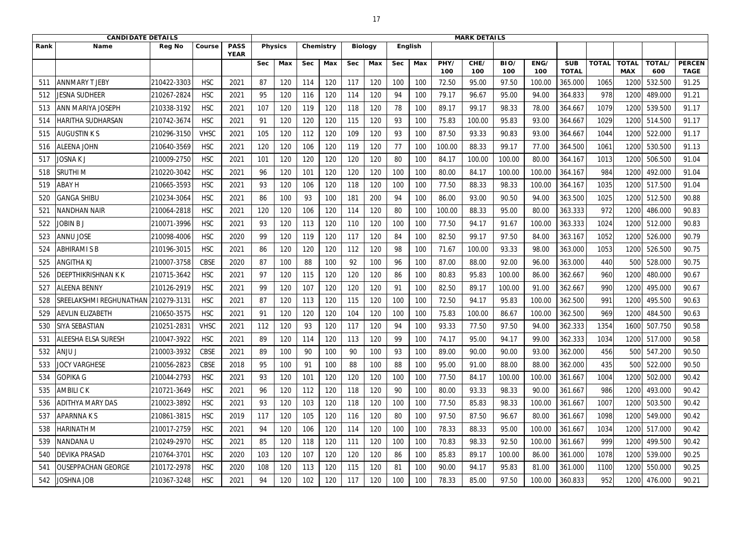|                 | <b>CANDIDATE DETAILS</b>   |               |             |                            |            |                |            |           |            |                |            |     |             | <b>MARK DETAILS</b> |             |             |                            |              |                            |               |                              |
|-----------------|----------------------------|---------------|-------------|----------------------------|------------|----------------|------------|-----------|------------|----------------|------------|-----|-------------|---------------------|-------------|-------------|----------------------------|--------------|----------------------------|---------------|------------------------------|
| Rank            | Name                       | <b>Reg No</b> | Course      | <b>PASS</b><br><b>YEAR</b> |            | <b>Physics</b> |            | Chemistry |            | <b>Biology</b> | English    |     |             |                     |             |             |                            |              |                            |               |                              |
|                 |                            |               |             |                            | <b>Sec</b> | Max            | <b>Sec</b> | Max       | <b>Sec</b> | Max            | <b>Sec</b> | Max | PHY/<br>100 | CHE/<br>100         | BIO/<br>100 | ENG/<br>100 | <b>SUB</b><br><b>TOTAL</b> | <b>TOTAL</b> | <b>TOTAL</b><br><b>MAX</b> | TOTAL/<br>600 | <b>PERCEN</b><br><b>TAGE</b> |
| $51^\circ$      | <b>ANNMARY T JEBY</b>      | 210422-3303   | <b>HSC</b>  | 2021                       | 87         | 120            | 114        | 120       | 117        | 120            | 100        | 100 | 72.50       | 95.00               | 97.50       | 100.00      | 365.000                    | 1065         | 120                        | 532.500       | 91.25                        |
| 512             | JESNA SUDHEER              | 210267-2824   | <b>HSC</b>  | 2021                       | 95         | 120            | 116        | 120       | 114        | 120            | 94         | 100 | 79.17       | 96.67               | 95.00       | 94.00       | 364.833                    | 978          | 1200                       | 489.000       | 91.21                        |
| 513             | <b>ANN MARIYA JOSEPH</b>   | 210338-3192   | <b>HSC</b>  | 2021                       | 107        | 120            | 119        | 120       | 118        | 120            | 78         | 100 | 89.17       | 99.17               | 98.33       | 78.00       | 364.667                    | 1079         | 1200                       | 539.500       | 91.17                        |
| 514             | <b>HARITHA SUDHARSAN</b>   | 210742-3674   | <b>HSC</b>  | 2021                       | 91         | 120            | 120        | 120       | 115        | 120            | 93         | 100 | 75.83       | 100.00              | 95.83       | 93.00       | 364.667                    | 1029         | 1200                       | 514.500       | 91.17                        |
| 515             | <b>AUGUSTIN K S</b>        | 210296-3150   | <b>VHSC</b> | 2021                       | 105        | 120            | 112        | 120       | 109        | 120            | 93         | 100 | 87.50       | 93.33               | 90.83       | 93.00       | 364.667                    | 1044         | 1200                       | 522.000       | 91.17                        |
| 516             | <b>ALEENA JOHN</b>         | 210640-3569   | <b>HSC</b>  | 2021                       | 120        | 120            | 106        | 120       | 119        | 120            | 77         | 100 | 100.00      | 88.33               | 99.17       | 77.00       | 364.500                    | 1061         | 1200                       | 530.500       | 91.13                        |
| 517             | <b>JOSNAKJ</b>             | 210009-2750   | <b>HSC</b>  | 2021                       | 101        | 120            | 120        | 120       | 120        | 120            | 80         | 100 | 84.17       | 100.00              | 100.00      | 80.00       | 364.167                    | 1013         | 1200                       | 506.500       | 91.04                        |
| 518             | <b>SRUTHIM</b>             | 210220-3042   | <b>HSC</b>  | 2021                       | 96         | 120            | 101        | 120       | 120        | 120            | 100        | 100 | 80.00       | 84.17               | 100.00      | 100.00      | 364.167                    | 984          | 1200                       | 492.000       | 91.04                        |
| 519             | <b>ABAY H</b>              | 210665-3593   | <b>HSC</b>  | 2021                       | 93         | 120            | 106        | 120       | 118        | 120            | 100        | 100 | 77.50       | 88.33               | 98.33       | 100.00      | 364.167                    | 1035         | 1200                       | 517.500       | 91.04                        |
| 520             | <b>GANGA SHIBU</b>         | 210234-3064   | <b>HSC</b>  | 2021                       | 86         | 100            | 93         | 100       | 181        | 200            | 94         | 100 | 86.00       | 93.00               | 90.50       | 94.00       | 363.500                    | 1025         | 1200                       | 512.500       | 90.88                        |
| 52 <sup>2</sup> | <b>NANDHAN NAIR</b>        | 210064-2818   | <b>HSC</b>  | 2021                       | 120        | 120            | 106        | 120       | 114        | 120            | 80         | 100 | 100.00      | 88.33               | 95.00       | 80.00       | 363.333                    | 972          | 1200                       | 486.000       | 90.83                        |
| 522             | JOBIN B J                  | 210071-3996   | <b>HSC</b>  | 2021                       | 93         | 120            | 113        | 120       | 110        | 120            | 100        | 100 | 77.50       | 94.17               | 91.67       | 100.00      | 363.333                    | 1024         | 1200                       | 512.000       | 90.83                        |
| 523             | <b>ANNU JOSE</b>           | 210098-4006   | <b>HSC</b>  | 2020                       | 99         | 120            | 119        | 120       | 117        | 120            | 84         | 100 | 82.50       | 99.17               | 97.50       | 84.00       | 363.167                    | 1052         | 1200                       | 526.000       | 90.79                        |
| 524             | <b>ABHIRAMI S B</b>        | 210196-3015   | <b>HSC</b>  | 2021                       | 86         | 120            | 120        | 120       | 112        | 120            | 98         | 100 | 71.67       | 100.00              | 93.33       | 98.00       | 363.000                    | 1053         | 1200                       | 526.500       | 90.75                        |
| 525             | <b>ANGITHA KJ</b>          | 210007-3758   | <b>CBSE</b> | 2020                       | 87         | 100            | 88         | 100       | 92         | 100            | 96         | 100 | 87.00       | 88.00               | 92.00       | 96.00       | 363.000                    | 440          | 500                        | 528.000       | 90.75                        |
| 526             | <b>DEEPTHIKRISHNAN K K</b> | 210715-3642   | <b>HSC</b>  | 2021                       | 97         | 120            | 115        | 120       | 120        | 120            | 86         | 100 | 80.83       | 95.83               | 100.00      | 86.00       | 362.667                    | 960          | 1200                       | 480.000       | 90.67                        |
| 527             | <b>ALEENA BENNY</b>        | 210126-2919   | <b>HSC</b>  | 2021                       | 99         | 120            | 107        | 120       | 120        | 120            | 91         | 100 | 82.50       | 89.17               | 100.00      | 91.00       | 362.667                    | 990          | 1200                       | 495.000       | 90.67                        |
| 528             | SREELAKSHMI REGHUNATHAN    | 210279-3131   | <b>HSC</b>  | 2021                       | 87         | 120            | 113        | 120       | 115        | 120            | 100        | 100 | 72.50       | 94.17               | 95.83       | 100.00      | 362.500                    | 991          | 1200                       | 495.500       | 90.63                        |
| 529             | <b>AEVLIN ELIZABETH</b>    | 210650-3575   | <b>HSC</b>  | 2021                       | 91         | 120            | 120        | 120       | 104        | 120            | 100        | 100 | 75.83       | 100.00              | 86.67       | 100.00      | 362.500                    | 969          | 1200                       | 484.500       | 90.63                        |
| 530             | <b>SIYA SEBASTIAN</b>      | 210251-2831   | <b>VHSC</b> | 2021                       | 112        | 120            | 93         | 120       | 117        | 120            | 94         | 100 | 93.33       | 77.50               | 97.50       | 94.00       | 362.333                    | 1354         | 1600                       | 507.750       | 90.58                        |
| 531             | <b>ALEESHA ELSA SURESH</b> | 210047-3922   | <b>HSC</b>  | 2021                       | 89         | 120            | 114        | 120       | 113        | 120            | 99         | 100 | 74.17       | 95.00               | 94.17       | 99.00       | 362.333                    | 1034         | 1200                       | 517.000       | 90.58                        |
| 532             | ANJU J                     | 210003-3932   | CBSE        | 2021                       | 89         | 100            | 90         | 100       | 90         | 100            | 93         | 100 | 89.00       | 90.00               | 90.00       | 93.00       | 362.000                    | 456          | 500                        | 547.200       | 90.50                        |
| 533             | <b>JOCY VARGHESE</b>       | 210056-2823   | <b>CBSE</b> | 2018                       | 95         | 100            | 91         | 100       | 88         | 100            | 88         | 100 | 95.00       | 91.00               | 88.00       | 88.00       | 362.000                    | 435          | 500                        | 522.000       | 90.50                        |
| 534             | <b>GOPIKA G</b>            | 210044-2793   | <b>HSC</b>  | 2021                       | 93         | 120            | 101        | 120       | 120        | 120            | 100        | 100 | 77.50       | 84.17               | 100.00      | 100.00      | 361.667                    | 1004         | 1200                       | 502.000       | 90.42                        |
| 535             | <b>AMBILICK</b>            | 210721-3649   | <b>HSC</b>  | 2021                       | 96         | 120            | 112        | 120       | 118        | 120            | 90         | 100 | 80.00       | 93.33               | 98.33       | 90.00       | 361.667                    | 986          | 1200                       | 493.000       | 90.42                        |
| 536             | <b>ADITHYA MARY DAS</b>    | 210023-3892   | <b>HSC</b>  | 2021                       | 93         | 120            | 103        | 120       | 118        | 120            | 100        | 100 | 77.50       | 85.83               | 98.33       | 100.00      | 361.667                    | 1007         | 1200                       | 503.500       | 90.42                        |
| 537             | <b>APARNNAKS</b>           | 210861-3815   | <b>HSC</b>  | 2019                       | 117        | 120            | 105        | 120       | 116        | 120            | 80         | 100 | 97.50       | 87.50               | 96.67       | 80.00       | 361.667                    | 1098         | 1200                       | 549.000       | 90.42                        |
| 538             | HARINATH M                 | 210017-2759   | <b>HSC</b>  | 2021                       | 94         | 120            | 106        | 120       | 114        | 120            | 100        | 100 | 78.33       | 88.33               | 95.00       | 100.00      | 361.667                    | 1034         | 1200                       | 517.000       | 90.42                        |
| 539             | <b>NANDANA U</b>           | 210249-2970   | <b>HSC</b>  | 2021                       | 85         | 120            | 118        | 120       | 111        | 120            | 100        | 100 | 70.83       | 98.33               | 92.50       | 100.00      | 361.667                    | 999          | 1200                       | 499.500       | 90.42                        |
| 540             | <b>DEVIKA PRASAD</b>       | 210764-3701   | <b>HSC</b>  | 2020                       | 103        | 120            | 107        | 120       | 120        | 120            | 86         | 100 | 85.83       | 89.17               | 100.00      | 86.00       | 361.000                    | 1078         | 1200                       | 539.000       | 90.25                        |
| 54 <sup>2</sup> | <b>OUSEPPACHAN GEORGE</b>  | 210172-2978   | <b>HSC</b>  | 2020                       | 108        | 120            | 113        | 120       | 115        | 120            | 81         | 100 | 90.00       | 94.17               | 95.83       | 81.00       | 361.000                    | 1100         | 1200                       | 550.000       | 90.25                        |
| 542             | <b>JOSHNA JOB</b>          | 210367-3248   | <b>HSC</b>  | 2021                       | 94         | 120            | 102        | 120       | 117        | 120            | 100        | 100 | 78.33       | 85.00               | 97.50       | 100.00      | 360.833                    | 952          | 1200                       | 476.000       | 90.21                        |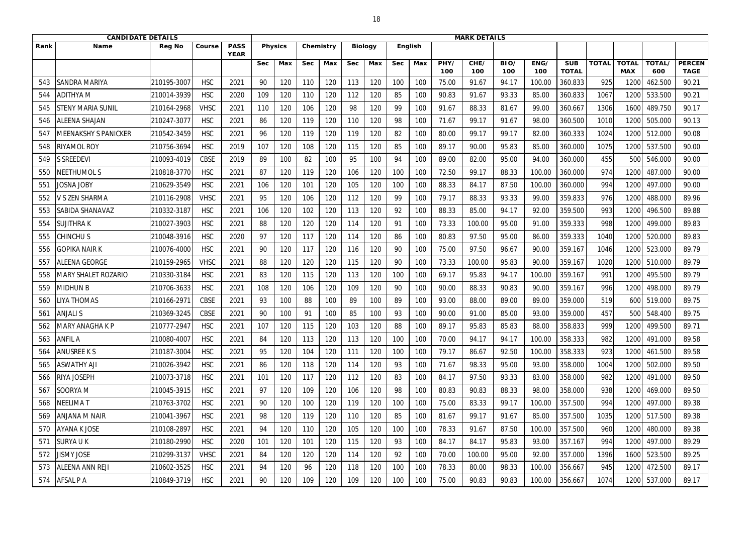|      | <b>CANDIDATE DETAILS</b>   |               |             |                            |            |                |            |           |            |                |            |                | <b>MARK DETAILS</b> |             |             |             |                            |              |                            |               |                              |
|------|----------------------------|---------------|-------------|----------------------------|------------|----------------|------------|-----------|------------|----------------|------------|----------------|---------------------|-------------|-------------|-------------|----------------------------|--------------|----------------------------|---------------|------------------------------|
| Rank | <b>Name</b>                | <b>Reg No</b> | Course      | <b>PASS</b><br><b>YEAR</b> |            | <b>Physics</b> |            | Chemistry |            | <b>Biology</b> |            | <b>English</b> |                     |             |             |             |                            |              |                            |               |                              |
|      |                            |               |             |                            | <b>Sec</b> | Max            | <b>Sec</b> | Max       | <b>Sec</b> | Max            | <b>Sec</b> | Max            | PHY/<br>100         | CHE/<br>100 | BIO/<br>100 | ENG/<br>100 | <b>SUB</b><br><b>TOTAL</b> | <b>TOTAL</b> | <b>TOTAL</b><br><b>MAX</b> | TOTAL/<br>600 | <b>PERCEN</b><br><b>TAGE</b> |
| 543  | SANDRA MARIYA              | 210195-3007   | <b>HSC</b>  | 2021                       | 90         | 120            | 110        | 120       | 113        | 120            | 100        | 100            | 75.00               | 91.67       | 94.17       | 100.00      | 360.833                    | 925          | 120                        | 462.500       | 90.21                        |
| 544  | ADITHYA M                  | 210014-3939   | <b>HSC</b>  | 2020                       | 109        | 120            | 110        | 120       | 112        | 120            | 85         | 100            | 90.83               | 91.67       | 93.33       | 85.00       | 360.833                    | 1067         | 1200                       | 533.500       | 90.21                        |
| 545  | <b>STENY MARIA SUNIL</b>   | 210164-2968   | <b>VHSC</b> | 2021                       | 110        | 120            | 106        | 120       | 98         | 120            | 99         | 100            | 91.67               | 88.33       | 81.67       | 99.00       | 360.667                    | 1306         | 1600                       | 489.750       | 90.17                        |
| 546  | <b>ALEENA SHAJAN</b>       | 210247-3077   | <b>HSC</b>  | 2021                       | 86         | 120            | 119        | 120       | 110        | 120            | 98         | 100            | 71.67               | 99.17       | 91.67       | 98.00       | 360.500                    | 1010         | 1200                       | 505.000       | 90.13                        |
| 547  | MEENAKSHY S PANICKER       | 210542-3459   | <b>HSC</b>  | 2021                       | 96         | 120            | 119        | 120       | 119        | 120            | 82         | 100            | 80.00               | 99.17       | 99.17       | 82.00       | 360.333                    | 1024         | 1200                       | 512.000       | 90.08                        |
| 548  | RIYAMOL ROY                | 210756-3694   | <b>HSC</b>  | 2019                       | 107        | 120            | 108        | 120       | 115        | 120            | 85         | 100            | 89.17               | 90.00       | 95.83       | 85.00       | 360.000                    | 1075         | 1200                       | 537.500       | 90.00                        |
| 549  | <b>S SREEDEVI</b>          | 210093-4019   | <b>CBSE</b> | 2019                       | 89         | 100            | 82         | 100       | 95         | 100            | 94         | 100            | 89.00               | 82.00       | 95.00       | 94.00       | 360.000                    | 455          | 500                        | 546.000       | 90.00                        |
| 550  | NEETHUMOL S                | 210818-3770   | <b>HSC</b>  | 2021                       | 87         | 120            | 119        | 120       | 106        | 120            | 100        | 100            | 72.50               | 99.17       | 88.33       | 100.00      | 360.000                    | 974          | 1200                       | 487.000       | 90.00                        |
| 551  | Josna Joby                 | 210629-3549   | <b>HSC</b>  | 2021                       | 106        | 120            | 101        | 120       | 105        | 120            | 100        | 100            | 88.33               | 84.17       | 87.50       | 100.00      | 360.000                    | 994          | 1200                       | 497.000       | 90.00                        |
| 552  | V S ZEN SHARMA             | 210116-2908   | <b>VHSC</b> | 2021                       | 95         | 120            | 106        | 120       | 112        | 120            | 99         | 100            | 79.17               | 88.33       | 93.33       | 99.00       | 359.833                    | 976          | 1200                       | 488.000       | 89.96                        |
| 553  | <b>SABIDA SHANAVAZ</b>     | 210332-3187   | <b>HSC</b>  | 2021                       | 106        | 120            | 102        | 120       | 113        | 120            | 92         | 100            | 88.33               | 85.00       | 94.17       | 92.00       | 359.500                    | 993          | 1200                       | 496.500       | 89.88                        |
| 554  | SUJITHRA K                 | 210027-3903   | <b>HSC</b>  | 2021                       | 88         | 120            | 120        | 120       | 114        | 120            | 91         | 100            | 73.33               | 100.00      | 95.00       | 91.00       | 359.333                    | 998          | 1200                       | 499.000       | 89.83                        |
| 555  | CHINCHU S                  | 210048-3916   | <b>HSC</b>  | 2020                       | 97         | 120            | 117        | 120       | 114        | 120            | 86         | 100            | 80.83               | 97.50       | 95.00       | 86.00       | 359.333                    | 1040         | 1200                       | 520.000       | 89.83                        |
| 556  | <b>GOPIKA NAIR K</b>       | 210076-4000   | <b>HSC</b>  | 2021                       | 90         | 120            | 117        | 120       | 116        | 120            | 90         | 100            | 75.00               | 97.50       | 96.67       | 90.00       | 359.167                    | 1046         | 1200                       | 523.000       | 89.79                        |
| 557  | <b>ALEENA GEORGE</b>       | 210159-2965   | <b>VHSC</b> | 2021                       | 88         | 120            | 120        | 120       | 115        | 120            | 90         | 100            | 73.33               | 100.00      | 95.83       | 90.00       | 359.167                    | 1020         | 1200                       | 510.000       | 89.79                        |
| 558  | <b>MARY SHALET ROZARIO</b> | 210330-3184   | <b>HSC</b>  | 2021                       | 83         | 120            | 115        | 120       | 113        | 120            | 100        | 100            | 69.17               | 95.83       | 94.17       | 100.00      | 359.167                    | 991          | 1200                       | 495.500       | 89.79                        |
| 559  | MIDHUN B                   | 210706-3633   | <b>HSC</b>  | 2021                       | 108        | 120            | 106        | 120       | 109        | 120            | 90         | 100            | 90.00               | 88.33       | 90.83       | 90.00       | 359.167                    | 996          | 1200                       | 498.000       | 89.79                        |
| 560  | <b>IYA THOMAS</b>          | 210166-2971   | CBSE        | 2021                       | 93         | 100            | 88         | 100       | 89         | 100            | 89         | 100            | 93.00               | 88.00       | 89.00       | 89.00       | 359.000                    | 519          | 600                        | 519.000       | 89.75                        |
| 561  | <b>ANJALI S</b>            | 210369-3245   | <b>CBSE</b> | 2021                       | 90         | 100            | 91         | 100       | 85         | 100            | 93         | 100            | 90.00               | 91.00       | 85.00       | 93.00       | 359.000                    | 457          | 500                        | 548.400       | 89.75                        |
| 562  | <b>MARY ANAGHA K P</b>     | 210777-2947   | <b>HSC</b>  | 2021                       | 107        | 120            | 115        | 120       | 103        | 120            | 88         | 100            | 89.17               | 95.83       | 85.83       | 88.00       | 358.833                    | 999          | 1200                       | 499.500       | 89.71                        |
| 563  | <b>ANFIL A</b>             | 210080-4007   | <b>HSC</b>  | 2021                       | 84         | 120            | 113        | 120       | 113        | 120            | 100        | 100            | 70.00               | 94.17       | 94.17       | 100.00      | 358.333                    | 982          | 1200                       | 491.000       | 89.58                        |
| 564  | ANUSREE K S                | 210187-3004   | <b>HSC</b>  | 2021                       | 95         | 120            | 104        | 120       | 111        | 120            | 100        | 100            | 79.17               | 86.67       | 92.50       | 100.00      | 358.333                    | 923          | 1200                       | 461.500       | 89.58                        |
| 565  | <b>ASWATHY AJI</b>         | 210026-3942   | <b>HSC</b>  | 2021                       | 86         | 120            | 118        | 120       | 114        | 120            | 93         | 100            | 71.67               | 98.33       | 95.00       | 93.00       | 358.000                    | 1004         | 1200                       | 502.000       | 89.50                        |
| 566  | <b>RIYA JOSEPH</b>         | 210073-3718   | <b>HSC</b>  | 2021                       | 101        | 120            | 117        | 120       | 112        | 120            | 83         | 100            | 84.17               | 97.50       | 93.33       | 83.00       | 358.000                    | 982          | 1200                       | 491.000       | 89.50                        |
| 567  | SOORYA M                   | 210045-3915   | <b>HSC</b>  | 2021                       | 97         | 120            | 109        | 120       | 106        | 120            | 98         | 100            | 80.83               | 90.83       | 88.33       | 98.00       | 358.000                    | 938          | 1200                       | 469.000       | 89.50                        |
| 568  | NEELIMA T                  | 210763-3702   | <b>HSC</b>  | 2021                       | 90         | 120            | 100        | 120       | 119        | 120            | 100        | 100            | 75.00               | 83.33       | 99.17       | 100.00      | 357.500                    | 994          | 1200                       | 497.000       | 89.38                        |
| 569  | <b>ANJANA M NAIR</b>       | 210041-3967   | <b>HSC</b>  | 2021                       | 98         | 120            | 119        | 120       | 110        | 120            | 85         | 100            | 81.67               | 99.17       | 91.67       | 85.00       | 357.500                    | 1035         | 1200                       | 517.500       | 89.38                        |
| 570  | <b>AYANA K JOSE</b>        | 210108-2897   | <b>HSC</b>  | 2021                       | 94         | 120            | 110        | 120       | 105        | 120            | 100        | 100            | 78.33               | 91.67       | 87.50       | 100.00      | 357.500                    | 960          | 1200                       | 480.000       | 89.38                        |
| 571  | <b>SURYAUK</b>             | 210180-2990   | <b>HSC</b>  | 2020                       | 101        | 120            | 101        | 120       | 115        | 120            | 93         | 100            | 84.17               | 84.17       | 95.83       | 93.00       | 357.167                    | 994          | 1200                       | 497.000       | 89.29                        |
| 572  | <b>JISMY JOSE</b>          | 210299-3137   | <b>VHSC</b> | 2021                       | 84         | 120            | 120        | 120       | 114        | 120            | 92         | 100            | 70.00               | 100.00      | 95.00       | 92.00       | 357.000                    | 1396         | 1600                       | 523.500       | 89.25                        |
| 573  | <b>ALEENA ANN REJI</b>     | 210602-3525   | <b>HSC</b>  | 2021                       | 94         | 120            | 96         | 120       | 118        | 120            | 100        | 100            | 78.33               | 80.00       | 98.33       | 100.00      | 356.667                    | 945          | 1200                       | 472.500       | 89.17                        |
| 574  | <b>AFSAL P A</b>           | 210849-3719   | <b>HSC</b>  | 2021                       | 90         | 120            | 109        | 120       | 109        | 120            | 100        | 100            | 75.00               | 90.83       | 90.83       | 100.00      | 356.667                    | 1074         | 1200                       | 537.000       | 89.17                        |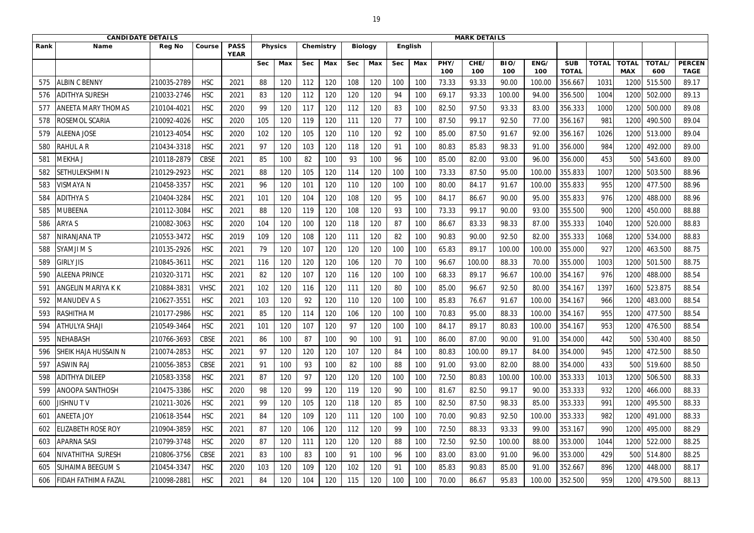|                 | <b>CANDIDATE DETAILS</b>    |               |             |                            |            |                |            |           |            |                |            |     |             | <b>MARK DETAILS</b> |             |             |                            |              |                            |               |                              |
|-----------------|-----------------------------|---------------|-------------|----------------------------|------------|----------------|------------|-----------|------------|----------------|------------|-----|-------------|---------------------|-------------|-------------|----------------------------|--------------|----------------------------|---------------|------------------------------|
| Rank            | <b>Name</b>                 | <b>Reg No</b> | Course      | <b>PASS</b><br><b>YEAR</b> |            | <b>Physics</b> |            | Chemistry |            | <b>Biology</b> | English    |     |             |                     |             |             |                            |              |                            |               |                              |
|                 |                             |               |             |                            | <b>Sec</b> | Max            | <b>Sec</b> | Max       | <b>Sec</b> | Max            | <b>Sec</b> | Max | PHY/<br>100 | CHE/<br>100         | BIO/<br>100 | ENG/<br>100 | <b>SUB</b><br><b>TOTAL</b> | <b>TOTAL</b> | <b>TOTAL</b><br><b>MAX</b> | TOTAL/<br>600 | <b>PERCEN</b><br><b>TAGE</b> |
| 575             | <b>ALBIN C BENNY</b>        | 210035-2789   | <b>HSC</b>  | 2021                       | 88         | 120            | 112        | 120       | 108        | 120            | 100        | 100 | 73.33       | 93.33               | 90.00       | 100.00      | 356.667                    | 1031         | 120                        | 515.500       | 89.17                        |
| 576             | <b>ADITHYA SURESH</b>       | 210033-2746   | <b>HSC</b>  | 2021                       | 83         | 120            | 112        | 120       | 120        | 120            | 94         | 100 | 69.17       | 93.33               | 100.00      | 94.00       | 356.500                    | 1004         | 1200                       | 502.000       | 89.13                        |
| 577             | <b>ANEETA MARY THOMAS</b>   | 210104-4021   | <b>HSC</b>  | 2020                       | 99         | 120            | 117        | 120       | 112        | 120            | 83         | 100 | 82.50       | 97.50               | 93.33       | 83.00       | 356.333                    | 1000         | 1200                       | 500.000       | 89.08                        |
| 578             | ROSEMOL SCARIA              | 210092-4026   | <b>HSC</b>  | 2020                       | 105        | 120            | 119        | 120       | 111        | 120            | 77         | 100 | 87.50       | 99.17               | 92.50       | 77.00       | 356.167                    | 981          | 1200                       | 490.500       | 89.04                        |
| 579             | <b>ALEENA JOSE</b>          | 210123-4054   | <b>HSC</b>  | 2020                       | 102        | 120            | 105        | 120       | 110        | 120            | 92         | 100 | 85.00       | 87.50               | 91.67       | 92.00       | 356.167                    | 1026         | 1200                       | 513.000       | 89.04                        |
| 580             | <b>RAHUL A R</b>            | 210434-3318   | <b>HSC</b>  | 2021                       | 97         | 120            | 103        | 120       | 118        | 120            | 91         | 100 | 80.83       | 85.83               | 98.33       | 91.00       | 356.000                    | 984          | 1200                       | 492.000       | 89.00                        |
| 58 <sup>2</sup> | MEKHA J                     | 210118-2879   | <b>CBSE</b> | 2021                       | 85         | 100            | 82         | 100       | 93         | 100            | 96         | 100 | 85.00       | 82.00               | 93.00       | 96.00       | 356.000                    | 453          | 500                        | 543.600       | 89.00                        |
| 582             | SETHULEKSHMIN               | 210129-2923   | <b>HSC</b>  | 2021                       | 88         | 120            | 105        | 120       | 114        | 120            | 100        | 100 | 73.33       | 87.50               | 95.00       | 100.00      | 355.833                    | 1007         | 1200                       | 503.500       | 88.96                        |
| 583             | <b>VISMAYA N</b>            | 210458-3357   | <b>HSC</b>  | 2021                       | 96         | 120            | 101        | 120       | 110        | 120            | 100        | 100 | 80.00       | 84.17               | 91.67       | 100.00      | 355.833                    | 955          | 1200                       | 477.500       | 88.96                        |
| 584             | <b>ADITHYAS</b>             | 210404-3284   | <b>HSC</b>  | 2021                       | 101        | 120            | 104        | 120       | 108        | 120            | 95         | 100 | 84.17       | 86.67               | 90.00       | 95.00       | 355.833                    | 976          | 1200                       | 488.000       | 88.96                        |
| 585             | <b>MUBEENA</b>              | 210112-3084   | <b>HSC</b>  | 2021                       | 88         | 120            | 119        | 120       | 108        | 120            | 93         | 100 | 73.33       | 99.17               | 90.00       | 93.00       | 355.500                    | 900          | 1200                       | 450.000       | 88.88                        |
| 586             | ARYA S                      | 210082-3063   | <b>HSC</b>  | 2020                       | 104        | 120            | 100        | 120       | 118        | 120            | 87         | 100 | 86.67       | 83.33               | 98.33       | 87.00       | 355.333                    | 1040         | 1200                       | 520.000       | 88.83                        |
| 587             | <b>NIRANJANA TP</b>         | 210553-3472   | <b>HSC</b>  | 2019                       | 109        | 120            | 108        | 120       | 111        | 120            | 82         | 100 | 90.83       | 90.00               | 92.50       | 82.00       | 355.333                    | 1068         | 1200                       | 534.000       | 88.83                        |
| 588             | <b>SYAMJI M S</b>           | 210135-2926   | <b>HSC</b>  | 2021                       | 79         | 120            | 107        | 120       | 120        | 120            | 100        | 100 | 65.83       | 89.17               | 100.00      | 100.00      | 355.000                    | 927          | 1200                       | 463.500       | 88.75                        |
| 589             | <b>GIRLY JIS</b>            | 210845-3611   | <b>HSC</b>  | 2021                       | 116        | 120            | 120        | 120       | 106        | 120            | 70         | 100 | 96.67       | 100.00              | 88.33       | 70.00       | 355.000                    | 1003         | 1200                       | 501.500       | 88.75                        |
| 590             | <b>ALEENA PRINCE</b>        | 210320-3171   | <b>HSC</b>  | 2021                       | 82         | 120            | 107        | 120       | 116        | 120            | 100        | 100 | 68.33       | 89.17               | 96.67       | 100.00      | 354.167                    | 976          | 1200                       | 488.000       | 88.54                        |
| 59 <sup>2</sup> | <b>ANGELIN MARIYA K K</b>   | 210884-3831   | <b>VHSC</b> | 2021                       | 102        | 120            | 116        | 120       | 111        | 120            | 80         | 100 | 85.00       | 96.67               | 92.50       | 80.00       | 354.167                    | 1397         | 1600                       | 523.875       | 88.54                        |
| 592             | <b>MANUDEV AS</b>           | 210627-3551   | <b>HSC</b>  | 2021                       | 103        | 120            | 92         | 120       | 110        | 120            | 100        | 100 | 85.83       | 76.67               | 91.67       | 100.00      | 354.167                    | 966          | 1200                       | 483.000       | 88.54                        |
| 593             | <b>RASHITHA M</b>           | 210177-2986   | <b>HSC</b>  | 2021                       | 85         | 120            | 114        | 120       | 106        | 120            | 100        | 100 | 70.83       | 95.00               | 88.33       | 100.00      | 354.167                    | 955          | 1200                       | 477.500       | 88.54                        |
| 594             | <b>ATHULYA SHAJI</b>        | 210549-3464   | <b>HSC</b>  | 2021                       | 101        | 120            | 107        | 120       | 97         | 120            | 100        | 100 | 84.17       | 89.17               | 80.83       | 100.00      | 354.167                    | 953          | 1200                       | 476.500       | 88.54                        |
| 595             | <b>NEHABASH</b>             | 210766-3693   | <b>CBSE</b> | 2021                       | 86         | 100            | 87         | 100       | 90         | 100            | 91         | 100 | 86.00       | 87.00               | 90.00       | 91.00       | 354.000                    | 442          | 500                        | 530.400       | 88.50                        |
| 596             | <b>SHEIK HAJA HUSSAIN N</b> | 210074-2853   | <b>HSC</b>  | 2021                       | 97         | 120            | 120        | 120       | 107        | 120            | 84         | 100 | 80.83       | 100.00              | 89.17       | 84.00       | 354.000                    | 945          | 1200                       | 472.500       | 88.50                        |
| 597             | <b>ASWIN RAJ</b>            | 210056-3853   | <b>CBSE</b> | 2021                       | 91         | 100            | 93         | 100       | 82         | 100            | 88         | 100 | 91.00       | 93.00               | 82.00       | 88.00       | 354.000                    | 433          | 500                        | 519.600       | 88.50                        |
| 598             | <b>ADITHYA DILEEP</b>       | 210583-3358   | <b>HSC</b>  | 2021                       | 87         | 120            | 97         | 120       | 120        | 120            | 100        | 100 | 72.50       | 80.83               | 100.00      | 100.00      | 353.333                    | 1013         | 1200                       | 506.500       | 88.33                        |
| 599             | <b>ANOOPA SANTHOSH</b>      | 210475-3386   | <b>HSC</b>  | 2020                       | 98         | 120            | 99         | 120       | 119        | 120            | 90         | 100 | 81.67       | 82.50               | 99.17       | 90.00       | 353.333                    | 932          | 1200                       | 466.000       | 88.33                        |
| 600             | <b>JISHNUTV</b>             | 210211-3026   | <b>HSC</b>  | 2021                       | 99         | 120            | 105        | 120       | 118        | 120            | 85         | 100 | 82.50       | 87.50               | 98.33       | 85.00       | 353.333                    | 991          | 1200                       | 495.500       | 88.33                        |
| 60 <sup>2</sup> | <b>ANEETA JOY</b>           | 210618-3544   | <b>HSC</b>  | 2021                       | 84         | 120            | 109        | 120       | 111        | 120            | 100        | 100 | 70.00       | 90.83               | 92.50       | 100.00      | 353.333                    | 982          | 1200                       | 491.000       | 88.33                        |
| 602             | <b>ELIZABETH ROSE ROY</b>   | 210904-3859   | <b>HSC</b>  | 2021                       | 87         | 120            | 106        | 120       | 112        | 120            | 99         | 100 | 72.50       | 88.33               | 93.33       | 99.00       | 353.167                    | 990          | 1200                       | 495.000       | 88.29                        |
| 603             | <b>APARNA SASI</b>          | 210799-3748   | <b>HSC</b>  | 2020                       | 87         | 120            | 111        | 120       | 120        | 120            | 88         | 100 | 72.50       | 92.50               | 100.00      | 88.00       | 353.000                    | 1044         | 1200                       | 522.000       | 88.25                        |
| 604             | NIVATHITHA SURESH           | 210806-3756   | CBSE        | 2021                       | 83         | 100            | 83         | 100       | 91         | 100            | 96         | 100 | 83.00       | 83.00               | 91.00       | 96.00       | 353.000                    | 429          | 500                        | 514.800       | 88.25                        |
| 605             | <b>SUHAIMA BEEGUM S</b>     | 210454-3347   | <b>HSC</b>  | 2020                       | 103        | 120            | 109        | 120       | 102        | 120            | 91         | 100 | 85.83       | 90.83               | 85.00       | 91.00       | 352.667                    | 896          | 1200                       | 448.000       | 88.17                        |
| 606             | <b>FIDAH FATHIMA FAZAL</b>  | 210098-2881   | <b>HSC</b>  | 2021                       | 84         | 120            | 104        | 120       | 115        | 120            | 100        | 100 | 70.00       | 86.67               | 95.83       | 100.00      | 352.500                    | 959          | 1200                       | 479.500       | 88.13                        |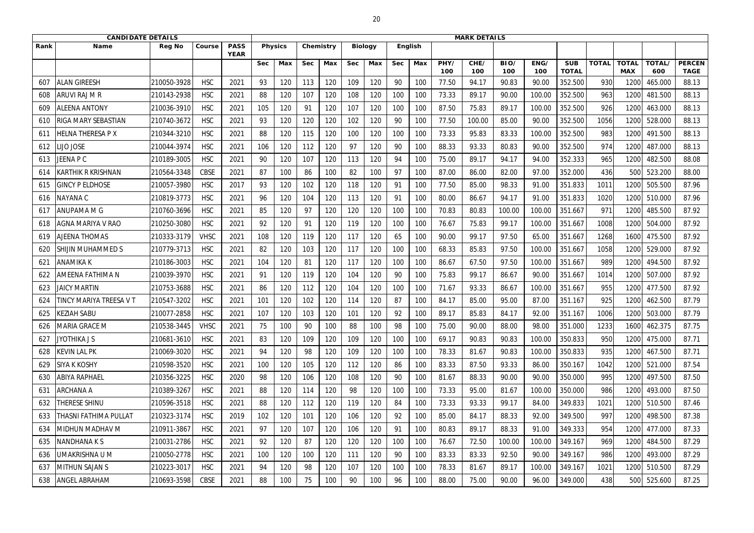|      | <b>CANDIDATE DETAILS</b>  |               |             |                            |            |                |            |           |            |                |            |                |             | <b>MARK DETAILS</b> |             |             |                            |              |                            |               |                              |
|------|---------------------------|---------------|-------------|----------------------------|------------|----------------|------------|-----------|------------|----------------|------------|----------------|-------------|---------------------|-------------|-------------|----------------------------|--------------|----------------------------|---------------|------------------------------|
| Rank | <b>Name</b>               | <b>Reg No</b> | Course      | <b>PASS</b><br><b>YEAR</b> |            | <b>Physics</b> |            | Chemistry |            | <b>Biology</b> |            | <b>English</b> |             |                     |             |             |                            |              |                            |               |                              |
|      |                           |               |             |                            | <b>Sec</b> | Max            | <b>Sec</b> | Max       | <b>Sec</b> | Max            | <b>Sec</b> | Max            | PHY/<br>100 | CHE/<br>100         | BIO/<br>100 | ENG/<br>100 | <b>SUB</b><br><b>TOTAL</b> | <b>TOTAL</b> | <b>TOTAL</b><br><b>MAX</b> | TOTAL/<br>600 | <b>PERCEN</b><br><b>TAGE</b> |
| 607  | <b>ALAN GIREESH</b>       | 210050-3928   | <b>HSC</b>  | 2021                       | 93         | 120            | 113        | 120       | 109        | 120            | 90         | 100            | 77.50       | 94.17               | 90.83       | 90.00       | 352.500                    | 930          | 1200                       | 465.000       | 88.13                        |
| 608  | ARUVI RAJ M R             | 210143-2938   | <b>HSC</b>  | 2021                       | 88         | 120            | 107        | 120       | 108        | 120            | 100        | 100            | 73.33       | 89.17               | 90.00       | 100.00      | 352.500                    | 963          | 1200                       | 481.500       | 88.13                        |
| 609  | <b>ALEENA ANTONY</b>      | 210036-3910   | <b>HSC</b>  | 2021                       | 105        | 120            | 91         | 120       | 107        | 120            | 100        | 100            | 87.50       | 75.83               | 89.17       | 100.00      | 352.500                    | 926          | 1200                       | 463.000       | 88.13                        |
| 610  | RIGA MARY SEBASTIAN       | 210740-3672   | <b>HSC</b>  | 2021                       | 93         | 120            | 120        | 120       | 102        | 120            | 90         | 100            | 77.50       | 100.00              | 85.00       | 90.00       | 352.500                    | 1056         | 1200                       | 528.000       | 88.13                        |
| 611  | <b>IELNA THERESA P X</b>  | 210344-3210   | <b>HSC</b>  | 2021                       | 88         | 120            | 115        | 120       | 100        | 120            | 100        | 100            | 73.33       | 95.83               | 83.33       | 100.00      | 352.500                    | 983          | 1200                       | 491.500       | 88.13                        |
| 612  | <b>IJO JOSE</b>           | 210044-3974   | <b>HSC</b>  | 2021                       | 106        | 120            | 112        | 120       | 97         | 120            | 90         | 100            | 88.33       | 93.33               | 80.83       | 90.00       | 352.500                    | 974          | 1200                       | 487.000       | 88.13                        |
| 613  | JEENA P C                 | 210189-3005   | <b>HSC</b>  | 2021                       | 90         | 120            | 107        | 120       | 113        | 120            | 94         | 100            | 75.00       | 89.17               | 94.17       | 94.00       | 352.333                    | 965          | 1200                       | 482.500       | 88.08                        |
| 614  | <b>KARTHIK R KRISHNAN</b> | 210564-3348   | <b>CBSE</b> | 2021                       | 87         | 100            | 86         | 100       | 82         | 100            | 97         | 100            | 87.00       | 86.00               | 82.00       | 97.00       | 352.000                    | 436          | 500                        | 523.200       | 88.00                        |
| 615  | <b>GINCY P ELDHOSE</b>    | 210057-3980   | <b>HSC</b>  | 2017                       | 93         | 120            | 102        | 120       | 118        | 120            | 91         | 100            | 77.50       | 85.00               | 98.33       | 91.00       | 351.833                    | 1011         | 1200                       | 505.500       | 87.96                        |
| 616  | NAYANA C                  | 210819-3773   | <b>HSC</b>  | 2021                       | 96         | 120            | 104        | 120       | 113        | 120            | 91         | 100            | 80.00       | 86.67               | 94.17       | 91.00       | 351.833                    | 1020         | 1200                       | 510.000       | 87.96                        |
| 617  | <b>ANUPAMA M G</b>        | 210760-3696   | <b>HSC</b>  | 2021                       | 85         | 120            | 97         | 120       | 120        | 120            | 100        | 100            | 70.83       | 80.83               | 100.00      | 100.00      | 351.667                    | 971          | 1200                       | 485.500       | 87.92                        |
| 618  | <b>AGNA MARIYA V RAO</b>  | 210250-3080   | <b>HSC</b>  | 2021                       | 92         | 120            | 91         | 120       | 119        | 120            | 100        | 100            | 76.67       | 75.83               | 99.17       | 100.00      | 351.667                    | 1008         | 1200                       | 504.000       | 87.92                        |
| 619  | <b>AJEENA THOMAS</b>      | 210333-3179   | <b>VHSC</b> | 2021                       | 108        | 120            | 119        | 120       | 117        | 120            | 65         | 100            | 90.00       | 99.17               | 97.50       | 65.00       | 351.667                    | 1268         | 1600                       | 475.500       | 87.92                        |
| 620  | <b>SHIJIN MUHAMMED S</b>  | 210779-3713   | <b>HSC</b>  | 2021                       | 82         | 120            | 103        | 120       | 117        | 120            | 100        | 100            | 68.33       | 85.83               | 97.50       | 100.00      | 351.667                    | 1058         | 1200                       | 529.000       | 87.92                        |
| 621  | <b>ANAMIKA K</b>          | 210186-3003   | <b>HSC</b>  | 2021                       | 104        | 120            | 81         | 120       | 117        | 120            | 100        | 100            | 86.67       | 67.50               | 97.50       | 100.00      | 351.667                    | 989          | 1200                       | 494.500       | 87.92                        |
| 622  | <b>AMEENA FATHIMA N</b>   | 210039-3970   | <b>HSC</b>  | 2021                       | 91         | 120            | 119        | 120       | 104        | 120            | 90         | 100            | 75.83       | 99.17               | 86.67       | 90.00       | 351.667                    | 1014         | 1200                       | 507.000       | 87.92                        |
| 623  | <b>JAICY MARTIN</b>       | 210753-3688   | <b>HSC</b>  | 2021                       | 86         | 120            | 112        | 120       | 104        | 120            | 100        | 100            | 71.67       | 93.33               | 86.67       | 100.00      | 351.667                    | 955          | 1200                       | 477.500       | 87.92                        |
| 624  | TINCY MARIYA TREESA V T   | 210547-3202   | <b>HSC</b>  | 2021                       | 101        | 120            | 102        | 120       | 114        | 120            | 87         | 100            | 84.17       | 85.00               | 95.00       | 87.00       | 351.167                    | 925          | 1200                       | 462.500       | 87.79                        |
| 625  | <b>KEZIAH SABU</b>        | 210077-2858   | <b>HSC</b>  | 2021                       | 107        | 120            | 103        | 120       | 101        | 120            | 92         | 100            | 89.17       | 85.83               | 84.17       | 92.00       | 351.167                    | 1006         | 1200                       | 503.000       | 87.79                        |
| 626  | MARIA GRACE M             | 210538-3445   | <b>VHSC</b> | 2021                       | 75         | 100            | 90         | 100       | 88         | 100            | 98         | 100            | 75.00       | 90.00               | 88.00       | 98.00       | 351.000                    | 1233         | 1600                       | 462.375       | 87.75                        |
| 627  | <b>JYOTHIKA J S</b>       | 210681-3610   | <b>HSC</b>  | 2021                       | 83         | 120            | 109        | 120       | 109        | 120            | 100        | 100            | 69.17       | 90.83               | 90.83       | 100.00      | 350.833                    | 950          | 1200                       | 475.000       | 87.71                        |
| 628  | <b>KEVIN LAL PK</b>       | 210069-3020   | <b>HSC</b>  | 2021                       | 94         | 120            | 98         | 120       | 109        | 120            | 100        | 100            | 78.33       | 81.67               | 90.83       | 100.00      | 350.833                    | 935          | 1200                       | 467.500       | 87.71                        |
| 629  | <b>SIYA K KOSHY</b>       | 210598-3520   | <b>HSC</b>  | 2021                       | 100        | 120            | 105        | 120       | 112        | 120            | 86         | 100            | 83.33       | 87.50               | 93.33       | 86.00       | 350.167                    | 1042         | 1200                       | 521.000       | 87.54                        |
| 630  | <b>ABIYA RAPHAEL</b>      | 210356-3225   | <b>HSC</b>  | 2020                       | 98         | 120            | 106        | 120       | 108        | 120            | 90         | 100            | 81.67       | 88.33               | 90.00       | 90.00       | 350.000                    | 995          | 1200                       | 497.500       | 87.50                        |
| 631  | <b>ARCHANA A</b>          | 210389-3267   | <b>HSC</b>  | 2021                       | 88         | 120            | 114        | 120       | 98         | 120            | 100        | 100            | 73.33       | 95.00               | 81.67       | 100.00      | 350.000                    | 986          | 1200                       | 493.000       | 87.50                        |
| 632  | <b>THERESE SHINU</b>      | 210596-3518   | <b>HSC</b>  | 2021                       | 88         | 120            | 112        | 120       | 119        | 120            | 84         | 100            | 73.33       | 93.33               | 99.17       | 84.00       | 349.833                    | 1021         | 1200                       | 510.500       | 87.46                        |
| 633  | THASNI FATHIMA PULLAT     | 210323-3174   | <b>HSC</b>  | 2019                       | 102        | 120            | 101        | 120       | 106        | 120            | 92         | 100            | 85.00       | 84.17               | 88.33       | 92.00       | 349.500                    | 997          | 1200                       | 498.500       | 87.38                        |
| 634  | MIDHUN MADHAV M           | 210911-3867   | <b>HSC</b>  | 2021                       | 97         | 120            | 107        | 120       | 106        | 120            | 91         | 100            | 80.83       | 89.17               | 88.33       | 91.00       | 349.333                    | 954          | 1200                       | 477.000       | 87.33                        |
| 635  | <b>NANDHANAKS</b>         | 210031-2786   | <b>HSC</b>  | 2021                       | 92         | 120            | 87         | 120       | 120        | 120            | 100        | 100            | 76.67       | 72.50               | 100.00      | 100.00      | 349.167                    | 969          | 1200                       | 484.500       | 87.29                        |
| 636  | UMAKRISHNA U M            | 210050-2778   | <b>HSC</b>  | 2021                       | 100        | 120            | 100        | 120       | 111        | 120            | 90         | 100            | 83.33       | 83.33               | 92.50       | 90.00       | 349.167                    | 986          | 1200                       | 493.000       | 87.29                        |
| 637  | <b>MITHUN SAJAN S</b>     | 210223-3017   | <b>HSC</b>  | 2021                       | 94         | 120            | 98         | 120       | 107        | 120            | 100        | 100            | 78.33       | 81.67               | 89.17       | 100.00      | 349.167                    | 1021         | 1200                       | 510.500       | 87.29                        |
| 638  | <b>ANGEL ABRAHAM</b>      | 210693-3598   | CBSE        | 2021                       | 88         | 100            | 75         | 100       | 90         | 100            | 96         | 100            | 88.00       | 75.00               | 90.00       | 96.00       | 349.000                    | 438          | 500                        | 525.600       | 87.25                        |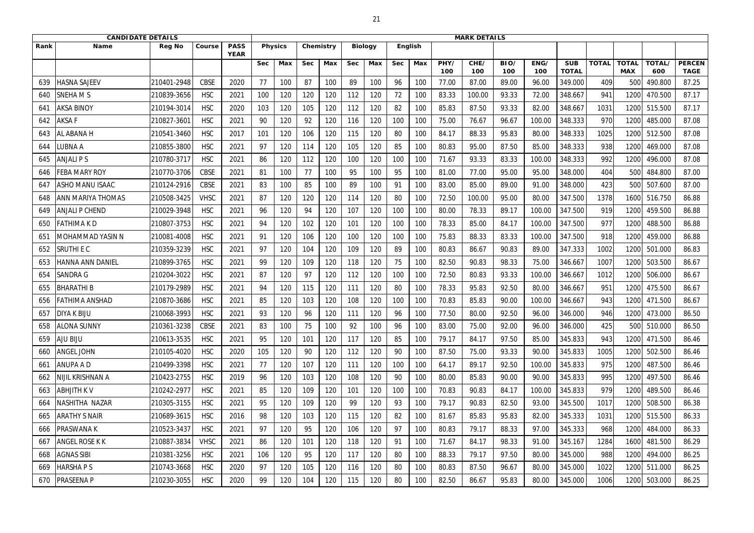|      | <b>CANDIDATE DETAILS</b> |               |             |                            |            |                |            |           |            |                |            |         |             | <b>MARK DETAILS</b> |             |             |                            |              |                            |               |                              |
|------|--------------------------|---------------|-------------|----------------------------|------------|----------------|------------|-----------|------------|----------------|------------|---------|-------------|---------------------|-------------|-------------|----------------------------|--------------|----------------------------|---------------|------------------------------|
| Rank | <b>Name</b>              | <b>Reg No</b> | Course      | <b>PASS</b><br><b>YEAR</b> |            | <b>Physics</b> |            | Chemistry |            | <b>Biology</b> |            | English |             |                     |             |             |                            |              |                            |               |                              |
|      |                          |               |             |                            | <b>Sec</b> | Max            | <b>Sec</b> | Max       | <b>Sec</b> | Max            | <b>Sec</b> | Max     | PHY/<br>100 | CHE/<br>100         | BIO/<br>100 | ENG/<br>100 | <b>SUB</b><br><b>TOTAL</b> | <b>TOTAL</b> | <b>TOTAL</b><br><b>MAX</b> | TOTAL/<br>600 | <b>PERCEN</b><br><b>TAGE</b> |
| 639  | HASNA SAJEEV             | 210401-2948   | <b>CBSE</b> | 2020                       | 77         | 100            | 87         | 100       | 89         | 100            | 96         | 100     | 77.00       | 87.00               | 89.00       | 96.00       | 349.000                    | 409          | 50                         | 490.800       | 87.25                        |
| 640  | <b>SNEHAMS</b>           | 210839-3656   | <b>HSC</b>  | 2021                       | 100        | 120            | 120        | 120       | 112        | 120            | 72         | 100     | 83.33       | 100.00              | 93.33       | 72.00       | 348.667                    | 941          | 1200                       | 470.500       | 87.17                        |
| 641  | <b>AKSA BINOY</b>        | 210194-3014   | <b>HSC</b>  | 2020                       | 103        | 120            | 105        | 120       | 112        | 120            | 82         | 100     | 85.83       | 87.50               | 93.33       | 82.00       | 348.667                    | 1031         | 1200                       | 515.500       | 87.17                        |
| 642  | <b>AKSAF</b>             | 210827-3601   | <b>HSC</b>  | 2021                       | 90         | 120            | 92         | 120       | 116        | 120            | 100        | 100     | 75.00       | 76.67               | 96.67       | 100.00      | 348.333                    | 970          | 1200                       | 485.000       | 87.08                        |
| 643  | AL ABANA H               | 210541-3460   | <b>HSC</b>  | 2017                       | 101        | 120            | 106        | 120       | 115        | 120            | 80         | 100     | 84.17       | 88.33               | 95.83       | 80.00       | 348.333                    | 1025         | 1200                       | 512.500       | 87.08                        |
| 644  | UBNA A                   | 210855-3800   | <b>HSC</b>  | 2021                       | 97         | 120            | 114        | 120       | 105        | 120            | 85         | 100     | 80.83       | 95.00               | 87.50       | 85.00       | 348.333                    | 938          | 1200                       | 469.000       | 87.08                        |
| 645  | <b>ANJALI PS</b>         | 210780-3717   | <b>HSC</b>  | 2021                       | 86         | 120            | 112        | 120       | 100        | 120            | 100        | 100     | 71.67       | 93.33               | 83.33       | 100.00      | 348.333                    | 992          | 1200                       | 496.000       | 87.08                        |
| 646  | <b>FEBA MARY ROY</b>     | 210770-3706   | <b>CBSE</b> | 2021                       | 81         | 100            | 77         | 100       | 95         | 100            | 95         | 100     | 81.00       | 77.00               | 95.00       | 95.00       | 348.000                    | 404          | 500                        | 484.800       | 87.00                        |
| 647  | <b>ASHO MANU ISAAC</b>   | 210124-2916   | <b>CBSE</b> | 2021                       | 83         | 100            | 85         | 100       | 89         | 100            | 91         | 100     | 83.00       | 85.00               | 89.00       | 91.00       | 348.000                    | 423          | 500                        | 507.600       | 87.00                        |
| 648  | ANN MARIYA THOMAS        | 210508-3425   | <b>VHSC</b> | 2021                       | 87         | 120            | 120        | 120       | 114        | 120            | 80         | 100     | 72.50       | 100.00              | 95.00       | 80.00       | 347.500                    | 1378         | 1600                       | 516.750       | 86.88                        |
| 649  | <b>ANJALI P CHEND</b>    | 210029-3948   | <b>HSC</b>  | 2021                       | 96         | 120            | 94         | 120       | 107        | 120            | 100        | 100     | 80.00       | 78.33               | 89.17       | 100.00      | 347.500                    | 919          | 1200                       | 459.500       | 86.88                        |
| 650  | FATHIMA K D              | 210807-3753   | <b>HSC</b>  | 2021                       | 94         | 120            | 102        | 120       | 101        | 120            | 100        | 100     | 78.33       | 85.00               | 84.17       | 100.00      | 347.500                    | 977          | 1200                       | 488.500       | 86.88                        |
| 651  | MOHAMMAD YASIN N         | 210081-4008   | <b>HSC</b>  | 2021                       | 91         | 120            | 106        | 120       | 100        | 120            | 100        | 100     | 75.83       | 88.33               | 83.33       | 100.00      | 347.500                    | 918          | 1200                       | 459.000       | 86.88                        |
| 652  | <b>SRUTHIEC</b>          | 210359-3239   | <b>HSC</b>  | 2021                       | 97         | 120            | 104        | 120       | 109        | 120            | 89         | 100     | 80.83       | 86.67               | 90.83       | 89.00       | 347.333                    | 1002         | 1200                       | 501.000       | 86.83                        |
| 653  | HANNA ANN DANIEL         | 210899-3765   | <b>HSC</b>  | 2021                       | 99         | 120            | 109        | 120       | 118        | 120            | 75         | 100     | 82.50       | 90.83               | 98.33       | 75.00       | 346.667                    | 1007         | 1200                       | 503.500       | 86.67                        |
| 654  | <b>SANDRA G</b>          | 210204-3022   | <b>HSC</b>  | 2021                       | 87         | 120            | 97         | 120       | 112        | 120            | 100        | 100     | 72.50       | 80.83               | 93.33       | 100.00      | 346.667                    | 1012         | 1200                       | 506.000       | 86.67                        |
| 655  | <b>BHARATHI B</b>        | 210179-2989   | <b>HSC</b>  | 2021                       | 94         | 120            | 115        | 120       | 111        | 120            | 80         | 100     | 78.33       | 95.83               | 92.50       | 80.00       | 346.667                    | 951          | 1200                       | 475.500       | 86.67                        |
| 656  | FATHIMA ANSHAD           | 210870-3686   | <b>HSC</b>  | 2021                       | 85         | 120            | 103        | 120       | 108        | 120            | 100        | 100     | 70.83       | 85.83               | 90.00       | 100.00      | 346.667                    | 943          | 1200                       | 471.500       | 86.67                        |
| 657  | <b>DIYA K BIJU</b>       | 210068-3993   | <b>HSC</b>  | 2021                       | 93         | 120            | 96         | 120       | 111        | 120            | 96         | 100     | 77.50       | 80.00               | 92.50       | 96.00       | 346.000                    | 946          | 1200                       | 473.000       | 86.50                        |
| 658  | <b>ALONA SUNNY</b>       | 210361-3238   | CBSE        | 2021                       | 83         | 100            | 75         | 100       | 92         | 100            | 96         | 100     | 83.00       | 75.00               | 92.00       | 96.00       | 346.000                    | 425          | 500                        | 510.000       | 86.50                        |
| 659  | <b>AJU BIJU</b>          | 210613-3535   | <b>HSC</b>  | 2021                       | 95         | 120            | 101        | 120       | 117        | 120            | 85         | 100     | 79.17       | 84.17               | 97.50       | 85.00       | 345.833                    | 943          | 1200                       | 471.500       | 86.46                        |
| 660  | <b>ANGEL JOHN</b>        | 210105-4020   | <b>HSC</b>  | 2020                       | 105        | 120            | 90         | 120       | 112        | 120            | 90         | 100     | 87.50       | 75.00               | 93.33       | 90.00       | 345.833                    | 1005         | 1200                       | 502.500       | 86.46                        |
| 661  | <b>ANUPA A D</b>         | 210499-3398   | <b>HSC</b>  | 2021                       | 77         | 120            | 107        | 120       | 111        | 120            | 100        | 100     | 64.17       | 89.17               | 92.50       | 100.00      | 345.833                    | 975          | 1200                       | 487.500       | 86.46                        |
| 662  | NIJIL KRISHNAN A         | 210423-2755   | <b>HSC</b>  | 2019                       | 96         | 120            | 103        | 120       | 108        | 120            | 90         | 100     | 80.00       | 85.83               | 90.00       | 90.00       | 345.833                    | 995          | 1200                       | 497.500       | 86.46                        |
| 663  | <b>ABHJITH KV</b>        | 210242-2977   | <b>HSC</b>  | 2021                       | 85         | 120            | 109        | 120       | 101        | 120            | 100        | 100     | 70.83       | 90.83               | 84.17       | 100.00      | 345.833                    | 979          | 1200                       | 489.500       | 86.46                        |
| 664  | NASHITHA NAZAR           | 210305-3155   | <b>HSC</b>  | 2021                       | 95         | 120            | 109        | 120       | 99         | 120            | 93         | 100     | 79.17       | 90.83               | 82.50       | 93.00       | 345.500                    | 1017         | 1200                       | 508.500       | 86.38                        |
| 665  | <b>ARATHY S NAIR</b>     | 210689-3615   | <b>HSC</b>  | 2016                       | 98         | 120            | 103        | 120       | 115        | 120            | 82         | 100     | 81.67       | 85.83               | 95.83       | 82.00       | 345.333                    | 1031         | 1200                       | 515.500       | 86.33                        |
| 666  | PRASWANA K               | 210523-3437   | <b>HSC</b>  | 2021                       | 97         | 120            | 95         | 120       | 106        | 120            | 97         | 100     | 80.83       | 79.17               | 88.33       | 97.00       | 345.333                    | 968          | 1200                       | 484.000       | 86.33                        |
| 667  | <b>ANGEL ROSE K K</b>    | 210887-3834   | <b>VHSC</b> | 2021                       | 86         | 120            | 101        | 120       | 118        | 120            | 91         | 100     | 71.67       | 84.17               | 98.33       | 91.00       | 345.167                    | 1284         | 1600                       | 481.500       | 86.29                        |
| 668  | <b>AGNAS SIBI</b>        | 210381-3256   | <b>HSC</b>  | 2021                       | 106        | 120            | 95         | 120       | 117        | 120            | 80         | 100     | 88.33       | 79.17               | 97.50       | 80.00       | 345.000                    | 988          | 1200                       | 494.000       | 86.25                        |
| 669  | <b>HARSHAPS</b>          | 210743-3668   | <b>HSC</b>  | 2020                       | 97         | 120            | 105        | 120       | 116        | 120            | 80         | 100     | 80.83       | 87.50               | 96.67       | 80.00       | 345.000                    | 1022         | 1200                       | 511.000       | 86.25                        |
| 670  | <b>PRASEENA P</b>        | 210230-3055   | <b>HSC</b>  | 2020                       | 99         | 120            | 104        | 120       | 115        | 120            | 80         | 100     | 82.50       | 86.67               | 95.83       | 80.00       | 345.000                    | 1006         | 1200                       | 503.000       | 86.25                        |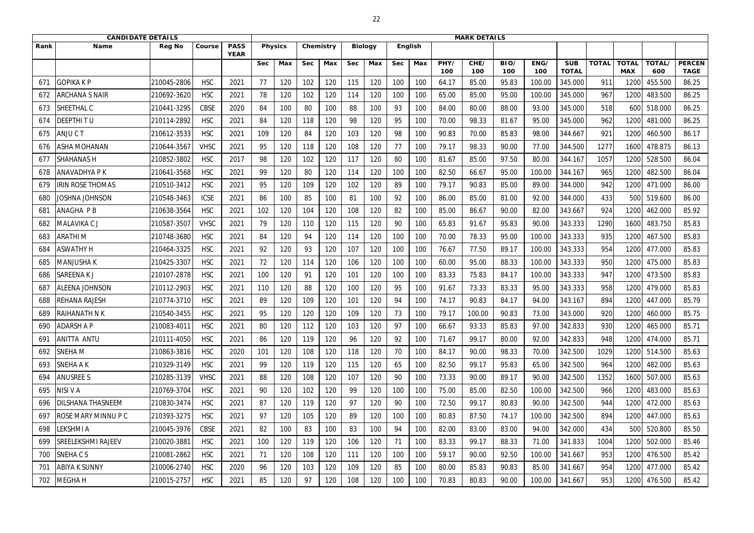|      | <b>CANDIDATE DETAILS</b>  |               |             |                            |            |                |            |           |            |                |            | <b>MARK DETAILS</b> |             |             |             |             |                            |              |                            |               |                              |
|------|---------------------------|---------------|-------------|----------------------------|------------|----------------|------------|-----------|------------|----------------|------------|---------------------|-------------|-------------|-------------|-------------|----------------------------|--------------|----------------------------|---------------|------------------------------|
| Rank | Name                      | <b>Reg No</b> | Course      | <b>PASS</b><br><b>YEAR</b> |            | <b>Physics</b> |            | Chemistry |            | <b>Biology</b> |            | English             |             |             |             |             |                            |              |                            |               |                              |
|      |                           |               |             |                            | <b>Sec</b> | Max            | <b>Sec</b> | Max       | <b>Sec</b> | Max            | <b>Sec</b> | Max                 | PHY/<br>100 | CHE/<br>100 | BIO/<br>100 | ENG/<br>100 | <b>SUB</b><br><b>TOTAL</b> | <b>TOTAL</b> | <b>TOTAL</b><br><b>MAX</b> | TOTAL/<br>600 | <b>PERCEN</b><br><b>TAGE</b> |
| 671  | <b>GOPIKAKP</b>           | 210045-2806   | <b>HSC</b>  | 2021                       | 77         | 120            | 102        | 120       | 115        | 120            | 100        | 100                 | 64.17       | 85.00       | 95.83       | 100.00      | 345.000                    | 911          | 120                        | 455.500       | 86.25                        |
| 672  | <b>ARCHANA S NAIR</b>     | 210692-3620   | <b>HSC</b>  | 2021                       | 78         | 120            | 102        | 120       | 114        | 120            | 100        | 100                 | 65.00       | 85.00       | 95.00       | 100.00      | 345.000                    | 967          | 1200                       | 483.500       | 86.25                        |
| 673  | SHEETHAL C                | 210441-3295   | <b>CBSE</b> | 2020                       | 84         | 100            | 80         | 100       | 88         | 100            | 93         | 100                 | 84.00       | 80.00       | 88.00       | 93.00       | 345.000                    | 518          | 600                        | 518.000       | 86.25                        |
| 674  | <b>DEEPTHITU</b>          | 210114-2892   | <b>HSC</b>  | 2021                       | 84         | 120            | 118        | 120       | 98         | 120            | 95         | 100                 | 70.00       | 98.33       | 81.67       | 95.00       | 345.000                    | 962          | 1200                       | 481.000       | 86.25                        |
| 675  | ANJUCT                    | 210612-3533   | <b>HSC</b>  | 2021                       | 109        | 120            | 84         | 120       | 103        | 120            | 98         | 100                 | 90.83       | 70.00       | 85.83       | 98.00       | 344.667                    | 921          | 1200                       | 460.500       | 86.17                        |
| 676  | <b>ASHA MOHANAN</b>       | 210644-3567   | <b>VHSC</b> | 2021                       | 95         | 120            | 118        | 120       | 108        | 120            | 77         | 100                 | 79.17       | 98.33       | 90.00       | 77.00       | 344.500                    | 1277         | 1600                       | 478.875       | 86.13                        |
| 677  | <b>SHAHANAS H</b>         | 210852-3802   | <b>HSC</b>  | 2017                       | 98         | 120            | 102        | 120       | 117        | 120            | 80         | 100                 | 81.67       | 85.00       | 97.50       | 80.00       | 344.167                    | 1057         | 1200                       | 528.500       | 86.04                        |
| 678  | <b>ANAVADHYA P K</b>      | 210641-3568   | <b>HSC</b>  | 2021                       | 99         | 120            | 80         | 120       | 114        | 120            | 100        | 100                 | 82.50       | 66.67       | 95.00       | 100.00      | 344.167                    | 965          | 1200                       | 482.500       | 86.04                        |
| 679  | <b>IRIN ROSE THOMAS</b>   | 210510-3412   | <b>HSC</b>  | 2021                       | 95         | 120            | 109        | 120       | 102        | 120            | 89         | 100                 | 79.17       | 90.83       | 85.00       | 89.00       | 344.000                    | 942          | 1200                       | 471.000       | 86.00                        |
| 680  | Joshna Johnson            | 210548-3463   | <b>ICSE</b> | 2021                       | 86         | 100            | 85         | 100       | 81         | 100            | 92         | 100                 | 86.00       | 85.00       | 81.00       | 92.00       | 344.000                    | 433          | 500                        | 519.600       | 86.00                        |
| 681  | <b>ANAGHA PB</b>          | 210638-3564   | <b>HSC</b>  | 2021                       | 102        | 120            | 104        | 120       | 108        | 120            | 82         | 100                 | 85.00       | 86.67       | 90.00       | 82.00       | 343.667                    | 924          | 1200                       | 462.000       | 85.92                        |
| 682  | MALAVIKA C J              | 210587-3507   | <b>VHSC</b> | 2021                       | 79         | 120            | 110        | 120       | 115        | 120            | 90         | 100                 | 65.83       | 91.67       | 95.83       | 90.00       | 343.333                    | 1290         | 1600                       | 483.750       | 85.83                        |
| 683  | <b>ARATHIM</b>            | 210748-3680   | <b>HSC</b>  | 2021                       | 84         | 120            | 94         | 120       | 114        | 120            | 100        | 100                 | 70.00       | 78.33       | 95.00       | 100.00      | 343.333                    | 935          | 1200                       | 467.500       | 85.83                        |
| 684  | <b>ASWATHY H</b>          | 210464-3325   | <b>HSC</b>  | 2021                       | 92         | 120            | 93         | 120       | 107        | 120            | 100        | 100                 | 76.67       | 77.50       | 89.17       | 100.00      | 343.333                    | 954          | 1200                       | 477.000       | 85.83                        |
| 685  | <b>MANJUSHA K</b>         | 210425-3307   | <b>HSC</b>  | 2021                       | 72         | 120            | 114        | 120       | 106        | 120            | 100        | 100                 | 60.00       | 95.00       | 88.33       | 100.00      | 343.333                    | 950          | 1200                       | 475.000       | 85.83                        |
| 686  | <b>SAREENAKJ</b>          | 210107-2878   | <b>HSC</b>  | 2021                       | 100        | 120            | 91         | 120       | 101        | 120            | 100        | 100                 | 83.33       | 75.83       | 84.17       | 100.00      | 343.333                    | 947          | 1200                       | 473.500       | 85.83                        |
| 687  | <b>ALEENA JOHNSON</b>     | 210112-2903   | <b>HSC</b>  | 2021                       | 110        | 120            | 88         | 120       | 100        | 120            | 95         | 100                 | 91.67       | 73.33       | 83.33       | 95.00       | 343.333                    | 958          | 1200                       | 479.000       | 85.83                        |
| 688  | REHANA RAJESH             | 210774-3710   | <b>HSC</b>  | 2021                       | 89         | 120            | 109        | 120       | 101        | 120            | 94         | 100                 | 74.17       | 90.83       | 84.17       | 94.00       | 343.167                    | 894          | 1200                       | 447.000       | 85.79                        |
| 689  | <b>RAIHANATH N K</b>      | 210540-3455   | <b>HSC</b>  | 2021                       | 95         | 120            | 120        | 120       | 109        | 120            | 73         | 100                 | 79.17       | 100.00      | 90.83       | 73.00       | 343.000                    | 920          | 1200                       | 460.000       | 85.75                        |
| 690  | <b>ADARSH A P</b>         | 210083-4011   | <b>HSC</b>  | 2021                       | 80         | 120            | 112        | 120       | 103        | 120            | 97         | 100                 | 66.67       | 93.33       | 85.83       | 97.00       | 342.833                    | 930          | 1200                       | 465.000       | 85.71                        |
| 691  | <b>ANITTA ANTU</b>        | 210111-4050   | <b>HSC</b>  | 2021                       | 86         | 120            | 119        | 120       | 96         | 120            | 92         | 100                 | 71.67       | 99.17       | 80.00       | 92.00       | 342.833                    | 948          | 1200                       | 474.000       | 85.71                        |
| 692  | <b>SNEHAM</b>             | 210863-3816   | <b>HSC</b>  | 2020                       | 101        | 120            | 108        | 120       | 118        | 120            | 70         | 100                 | 84.17       | 90.00       | 98.33       | 70.00       | 342.500                    | 1029         | 1200                       | 514.500       | 85.63                        |
| 693  | <b>SNEHA A K</b>          | 210329-3149   | <b>HSC</b>  | 2021                       | 99         | 120            | 119        | 120       | 115        | 120            | 65         | 100                 | 82.50       | 99.17       | 95.83       | 65.00       | 342.500                    | 964          | 1200                       | 482.000       | 85.63                        |
| 694  | <b>ANUSREE S</b>          | 210285-3139   | <b>VHSC</b> | 2021                       | 88         | 120            | 108        | 120       | 107        | 120            | 90         | 100                 | 73.33       | 90.00       | 89.17       | 90.00       | 342.500                    | 1352         | 1600                       | 507.000       | 85.63                        |
| 695  | NISI V A                  | 210769-3704   | <b>HSC</b>  | 2021                       | 90         | 120            | 102        | 120       | 99         | 120            | 100        | 100                 | 75.00       | 85.00       | 82.50       | 100.00      | 342.500                    | 966          | 1200                       | 483.000       | 85.63                        |
| 696  | <b>DILSHANA THASNEEM</b>  | 210830-3474   | <b>HSC</b>  | 2021                       | 87         | 120            | 119        | 120       | 97         | 120            | 90         | 100                 | 72.50       | 99.17       | 80.83       | 90.00       | 342.500                    | 944          | 1200                       | 472.000       | 85.63                        |
| 697  | ROSE MARY MINNU P C       | 210393-3275   | <b>HSC</b>  | 2021                       | 97         | 120            | 105        | 120       | 89         | 120            | 100        | 100                 | 80.83       | 87.50       | 74.17       | 100.00      | 342.500                    | 894          | 1200                       | 447.000       | 85.63                        |
| 698  | LEKSHMI A                 | 210045-3976   | <b>CBSE</b> | 2021                       | 82         | 100            | 83         | 100       | 83         | 100            | 94         | 100                 | 82.00       | 83.00       | 83.00       | 94.00       | 342.000                    | 434          | 500                        | 520.800       | 85.50                        |
| 699  | <b>SREELEKSHMI RAJEEV</b> | 210020-3881   | <b>HSC</b>  | 2021                       | 100        | 120            | 119        | 120       | 106        | 120            | 71         | 100                 | 83.33       | 99.17       | 88.33       | 71.00       | 341.833                    | 1004         | 1200                       | 502.000       | 85.46                        |
| 700  | SNEHACS                   | 210081-2862   | <b>HSC</b>  | 2021                       | 71         | 120            | 108        | 120       | 111        | 120            | 100        | 100                 | 59.17       | 90.00       | 92.50       | 100.00      | 341.667                    | 953          | 1200                       | 476.500       | 85.42                        |
| 701  | <b>ABIYA K SUNNY</b>      | 210006-2740   | <b>HSC</b>  | 2020                       | 96         | 120            | 103        | 120       | 109        | 120            | 85         | 100                 | 80.00       | 85.83       | 90.83       | 85.00       | 341.667                    | 954          | 1200                       | 477.000       | 85.42                        |
| 702  | <b>MEGHAH</b>             | 210015-2757   | <b>HSC</b>  | 2021                       | 85         | 120            | 97         | 120       | 108        | 120            | 100        | 100                 | 70.83       | 80.83       | 90.00       | 100.00      | 341.667                    | 953          | 1200                       | 476.500       | 85.42                        |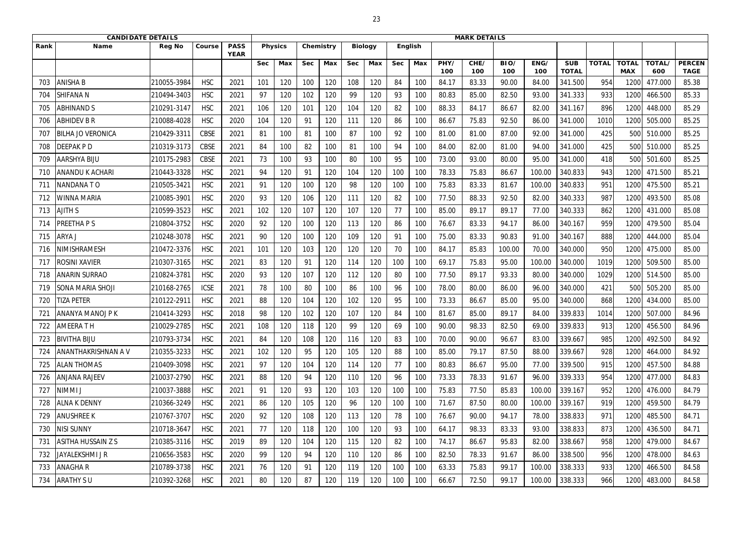|      | <b>CANDIDATE DETAILS</b>   |               |             |                            |            |                |            |           |            |                |            |         |             | <b>MARK DETAILS</b> |             |             |                            |              |                            |                      |                              |
|------|----------------------------|---------------|-------------|----------------------------|------------|----------------|------------|-----------|------------|----------------|------------|---------|-------------|---------------------|-------------|-------------|----------------------------|--------------|----------------------------|----------------------|------------------------------|
| Rank | <b>Name</b>                | <b>Reg No</b> | Course      | <b>PASS</b><br><b>YEAR</b> |            | <b>Physics</b> |            | Chemistry |            | <b>Biology</b> |            | English |             |                     |             |             |                            |              |                            |                      |                              |
|      |                            |               |             |                            | <b>Sec</b> | Max            | <b>Sec</b> | Max       | <b>Sec</b> | Max            | <b>Sec</b> | Max     | PHY/<br>100 | CHE/<br>100         | BIO/<br>100 | ENG/<br>100 | <b>SUB</b><br><b>TOTAL</b> | <b>TOTAL</b> | <b>TOTAL</b><br><b>MAX</b> | <b>TOTAL/</b><br>600 | <b>PERCEN</b><br><b>TAGE</b> |
| 703  | <b>ANISHA B</b>            | 210055-3984   | <b>HSC</b>  | 2021                       | 101        | 120            | 100        | 120       | 108        | 120            | 84         | 100     | 84.17       | 83.33               | 90.00       | 84.00       | 341.500                    | 954          | 120                        | 477.000              | 85.38                        |
| 704  | <b>SHIFANA N</b>           | 210494-3403   | <b>HSC</b>  | 2021                       | 97         | 120            | 102        | 120       | 99         | 120            | 93         | 100     | 80.83       | 85.00               | 82.50       | 93.00       | 341.333                    | 933          | 1200                       | 466.500              | 85.33                        |
| 705  | <b>ABHINAND S</b>          | 210291-3147   | <b>HSC</b>  | 2021                       | 106        | 120            | 101        | 120       | 104        | 120            | 82         | 100     | 88.33       | 84.17               | 86.67       | 82.00       | 341.167                    | 896          | 1200                       | 448.000              | 85.29                        |
| 706  | <b>ABHIDEV B R</b>         | 210088-4028   | <b>HSC</b>  | 2020                       | 104        | 120            | 91         | 120       | 111        | 120            | 86         | 100     | 86.67       | 75.83               | 92.50       | 86.00       | 341.000                    | 1010         | 1200                       | 505.000              | 85.25                        |
| 707  | <b>BILHA JO VERONICA</b>   | 210429-3311   | <b>CBSE</b> | 2021                       | 81         | 100            | -81        | 100       | 87         | 100            | 92         | 100     | 81.00       | 81.00               | 87.00       | 92.00       | 341.000                    | 425          | 500                        | 510.000              | 85.25                        |
| 708  | <b>DEEPAKPD</b>            | 210319-3173   | <b>CBSE</b> | 2021                       | 84         | 100            | 82         | 100       | 81         | 100            | 94         | 100     | 84.00       | 82.00               | 81.00       | 94.00       | 341.000                    | 425          | 500                        | 510.000              | 85.25                        |
| 709  | <b>AARSHYA BIJU</b>        | 210175-2983   | <b>CBSE</b> | 2021                       | 73         | 100            | 93         | 100       | 80         | 100            | 95         | 100     | 73.00       | 93.00               | 80.00       | 95.00       | 341.000                    | 418          | 500                        | 501.600              | 85.25                        |
| 710  | <b>ANANDU K ACHARI</b>     | 210443-3328   | <b>HSC</b>  | 2021                       | 94         | 120            | 91         | 120       | 104        | 120            | 100        | 100     | 78.33       | 75.83               | 86.67       | 100.00      | 340.833                    | 943          | 1200                       | 471.500              | 85.21                        |
| 711  | NANDANA TO                 | 210505-3421   | <b>HSC</b>  | 2021                       | 91         | 120            | 100        | 120       | 98         | 120            | 100        | 100     | 75.83       | 83.33               | 81.67       | 100.00      | 340.833                    | 951          | 1200                       | 475.500              | 85.21                        |
| 712  | <b>WINNA MARIA</b>         | 210085-3901   | <b>HSC</b>  | 2020                       | 93         | 120            | 106        | 120       | 111        | 120            | 82         | 100     | 77.50       | 88.33               | 92.50       | 82.00       | 340.333                    | 987          | 1200                       | 493.500              | 85.08                        |
| 713  | <b>AJITH S</b>             | 210599-3523   | <b>HSC</b>  | 2021                       | 102        | 120            | 107        | 120       | 107        | 120            | 77         | 100     | 85.00       | 89.17               | 89.17       | 77.00       | 340.333                    | 862          | 1200                       | 431.000              | 85.08                        |
| 714  | <b>PREETHAPS</b>           | 210804-3752   | <b>HSC</b>  | 2020                       | 92         | 120            | 100        | 120       | 113        | 120            | 86         | 100     | 76.67       | 83.33               | 94.17       | 86.00       | 340.167                    | 959          | 1200                       | 479.500              | 85.04                        |
| 715  | ARYA J                     | 210248-3078   | <b>HSC</b>  | 2021                       | 90         | 120            | 100        | 120       | 109        | 120            | 91         | 100     | 75.00       | 83.33               | 90.83       | 91.00       | 340.167                    | 888          | 1200                       | 444.000              | 85.04                        |
| 716  | NIMISHRAMESH               | 210472-3376   | <b>HSC</b>  | 2021                       | 101        | 120            | 103        | 120       | 120        | 120            | 70         | 100     | 84.17       | 85.83               | 100.00      | 70.00       | 340.000                    | 950          | 1200                       | 475.000              | 85.00                        |
| 717  | <b>ROSINI XAVIER</b>       | 210307-3165   | <b>HSC</b>  | 2021                       | 83         | 120            | 91         | 120       | 114        | 120            | 100        | 100     | 69.17       | 75.83               | 95.00       | 100.00      | 340.000                    | 1019         | 1200                       | 509.500              | 85.00                        |
| 718  | <b>ANARIN SURRAO</b>       | 210824-3781   | <b>HSC</b>  | 2020                       | 93         | 120            | 107        | 120       | 112        | 120            | 80         | 100     | 77.50       | 89.17               | 93.33       | 80.00       | 340.000                    | 1029         | 1200                       | 514.500              | 85.00                        |
| 719  | <b>SONA MARIA SHOJI</b>    | 210168-2765   | <b>ICSE</b> | 2021                       | 78         | 100            | 80         | 100       | 86         | 100            | 96         | 100     | 78.00       | 80.00               | 86.00       | 96.00       | 340.000                    | 421          | 500                        | 505.200              | 85.00                        |
| 720  | <b>TIZA PETER</b>          | 210122-2911   | <b>HSC</b>  | 2021                       | 88         | 120            | 104        | 120       | 102        | 120            | 95         | 100     | 73.33       | 86.67               | 85.00       | 95.00       | 340.000                    | 868          | 1200                       | 434.000              | 85.00                        |
| 721  | JANANYA MANOJ P K          | 210414-3293   | <b>HSC</b>  | 2018                       | 98         | 120            | 102        | 120       | 107        | 120            | 84         | 100     | 81.67       | 85.00               | 89.17       | 84.00       | 339.833                    | 1014         | 1200                       | 507.000              | 84.96                        |
| 722  | <b>AMEERA T H</b>          | 210029-2785   | <b>HSC</b>  | 2021                       | 108        | 120            | 118        | 120       | 99         | 120            | 69         | 100     | 90.00       | 98.33               | 82.50       | 69.00       | 339.833                    | 913          | 1200                       | 456.500              | 84.96                        |
| 723  | <b>BIVITHA BIJU</b>        | 210793-3734   | <b>HSC</b>  | 2021                       | 84         | 120            | 108        | 120       | 116        | 120            | 83         | 100     | 70.00       | 90.00               | 96.67       | 83.00       | 339.667                    | 985          | 1200                       | 492.500              | 84.92                        |
| 724  | <b>ANANTHAKRISHNAN A V</b> | 210355-3233   | <b>HSC</b>  | 2021                       | 102        | 120            | 95         | 120       | 105        | 120            | 88         | 100     | 85.00       | 79.17               | 87.50       | 88.00       | 339.667                    | 928          | 1200                       | 464.000              | 84.92                        |
| 725  | <b>ALAN THOMAS</b>         | 210409-3098   | <b>HSC</b>  | 2021                       | 97         | 120            | 104        | 120       | 114        | 120            | 77         | 100     | 80.83       | 86.67               | 95.00       | 77.00       | 339.500                    | 915          | 1200                       | 457.500              | 84.88                        |
| 726  | <b>ANJANA RAJEEV</b>       | 210037-2790   | <b>HSC</b>  | 2021                       | 88         | 120            | 94         | 120       | 110        | 120            | 96         | 100     | 73.33       | 78.33               | 91.67       | 96.00       | 339.333                    | 954          | 1200                       | 477.000              | 84.83                        |
| 727  | <b>NIMMIJ</b>              | 210037-3888   | <b>HSC</b>  | 2021                       | 91         | 120            | 93         | 120       | 103        | 120            | 100        | 100     | 75.83       | 77.50               | 85.83       | 100.00      | 339.167                    | 952          | 1200                       | 476.000              | 84.79                        |
| 728  | <b>ALNA K DENNY</b>        | 210366-3249   | <b>HSC</b>  | 2021                       | 86         | 120            | 105        | 120       | 96         | 120            | 100        | 100     | 71.67       | 87.50               | 80.00       | 100.00      | 339.167                    | 919          | 1200                       | 459.500              | 84.79                        |
| 729  | <b>ANUSHREE K</b>          | 210767-3707   | <b>HSC</b>  | 2020                       | 92         | 120            | 108        | 120       | 113        | 120            | 78         | 100     | 76.67       | 90.00               | 94.17       | 78.00       | 338.833                    | 971          | 1200                       | 485.500              | 84.71                        |
| 730  | <b>NISI SUNNY</b>          | 210718-3647   | <b>HSC</b>  | 2021                       | 77         | 120            | 118        | 120       | 100        | 120            | 93         | 100     | 64.17       | 98.33               | 83.33       | 93.00       | 338.833                    | 873          | 1200                       | 436.500              | 84.71                        |
| 731  | <b>ASITHA HUSSAIN Z S</b>  | 210385-3116   | <b>HSC</b>  | 2019                       | 89         | 120            | 104        | 120       | 115        | 120            | 82         | 100     | 74.17       | 86.67               | 95.83       | 82.00       | 338.667                    | 958          | 1200                       | 479.000              | 84.67                        |
| 732  | JAYALEKSHMI J R            | 210656-3583   | <b>HSC</b>  | 2020                       | 99         | 120            | 94         | 120       | 110        | 120            | 86         | 100     | 82.50       | 78.33               | 91.67       | 86.00       | 338.500                    | 956          | 1200                       | 478.000              | 84.63                        |
| 733  | <b>ANAGHAR</b>             | 210789-3738   | <b>HSC</b>  | 2021                       | 76         | 120            | 91         | 120       | 119        | 120            | 100        | 100     | 63.33       | 75.83               | 99.17       | 100.00      | 338.333                    | 933          | 1200                       | 466.500              | 84.58                        |
| 734  | <b>ARATHY SU</b>           | 210392-3268   | <b>HSC</b>  | 2021                       | 80         | 120            | 87         | 120       | 119        | 120            | 100        | 100     | 66.67       | 72.50               | 99.17       | 100.00      | 338.333                    | 966          | 1200                       | 483.000              | 84.58                        |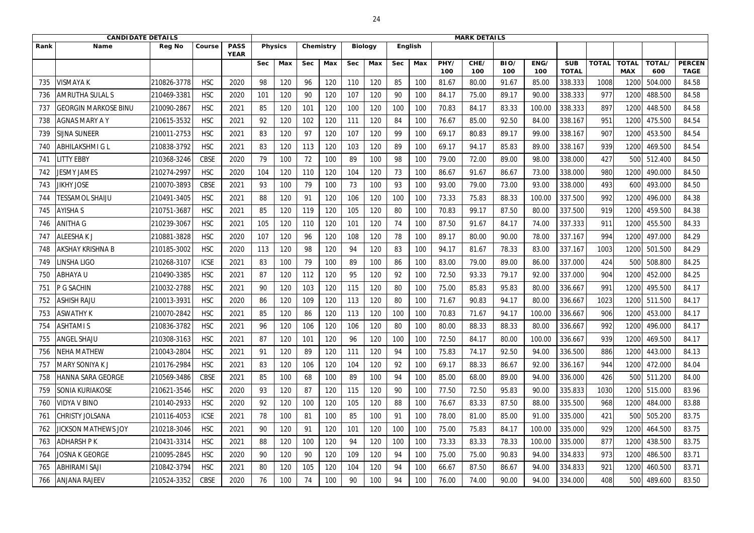|      | <b>CANDIDATE DETAILS</b>      |               |             |                            |            |                |            |           |            |                |            |         |             | <b>MARK DETAILS</b> |             |             |                            |              |                            |               |                              |
|------|-------------------------------|---------------|-------------|----------------------------|------------|----------------|------------|-----------|------------|----------------|------------|---------|-------------|---------------------|-------------|-------------|----------------------------|--------------|----------------------------|---------------|------------------------------|
| Rank | <b>Name</b>                   | <b>Reg No</b> | Course      | <b>PASS</b><br><b>YEAR</b> |            | <b>Physics</b> |            | Chemistry |            | <b>Biology</b> |            | English |             |                     |             |             |                            |              |                            |               |                              |
|      |                               |               |             |                            | <b>Sec</b> | Max            | <b>Sec</b> | Max       | <b>Sec</b> | Max            | <b>Sec</b> | Max     | PHY/<br>100 | CHE/<br>100         | BIO/<br>100 | ENG/<br>100 | <b>SUB</b><br><b>TOTAL</b> | <b>TOTAL</b> | <b>TOTAL</b><br><b>MAX</b> | TOTAL/<br>600 | <b>PERCEN</b><br><b>TAGE</b> |
| 735  | <b>VISMAYAK</b>               | 210826-3778   | <b>HSC</b>  | 2020                       | 98         | 120            | 96         | 120       | 110        | 120            | 85         | 100     | 81.67       | 80.00               | 91.67       | 85.00       | 338.333                    | 1008         | 120                        | 504.000       | 84.58                        |
| 736  | <b>AMRUTHA SULAL S</b>        | 210469-3381   | <b>HSC</b>  | 2020                       | 101        | 120            | 90         | 120       | 107        | 120            | 90         | 100     | 84.17       | 75.00               | 89.17       | 90.00       | 338.333                    | 977          | 1200                       | 488.500       | 84.58                        |
| 737  | <b>GEORGIN MARKOSE BINU</b>   | 210090-2867   | <b>HSC</b>  | 2021                       | 85         | 120            | 101        | 120       | 100        | 120            | 100        | 100     | 70.83       | 84.17               | 83.33       | 100.00      | 338.333                    | 897          | 1200                       | 448.500       | 84.58                        |
| 738  | <b>AGNAS MARY A Y</b>         | 210615-3532   | <b>HSC</b>  | 2021                       | 92         | 120            | 102        | 120       | 111        | 120            | 84         | 100     | 76.67       | 85.00               | 92.50       | 84.00       | 338.167                    | 951          | 1200                       | 475.500       | 84.54                        |
| 739  | <b>SIJNA SUNEER</b>           | 210011-2753   | <b>HSC</b>  | 2021                       | 83         | 120            | 97         | 120       | 107        | 120            | 99         | 100     | 69.17       | 80.83               | 89.17       | 99.00       | 338.167                    | 907          | 1200                       | 453.500       | 84.54                        |
| 740  | <b>ABHILAKSHMI G L</b>        | 210838-3792   | <b>HSC</b>  | 2021                       | 83         | 120            | 113        | 120       | 103        | 120            | 89         | 100     | 69.17       | 94.17               | 85.83       | 89.00       | 338.167                    | 939          | 1200                       | 469.500       | 84.54                        |
| -741 | <b>LITTY EBBY</b>             | 210368-3246   | <b>CBSE</b> | 2020                       | 79         | 100            | 72         | 100       | 89         | 100            | 98         | 100     | 79.00       | 72.00               | 89.00       | 98.00       | 338.000                    | 427          | 500                        | 512.400       | 84.50                        |
| 742  | JESMY JAMES                   | 210274-2997   | <b>HSC</b>  | 2020                       | 104        | 120            | 110        | 120       | 104        | 120            | 73         | 100     | 86.67       | 91.67               | 86.67       | 73.00       | 338.000                    | 980          | 1200                       | 490.000       | 84.50                        |
| 743  | <b>IIKHY JOSE</b>             | 210070-3893   | <b>CBSE</b> | 2021                       | 93         | 100            | 79         | 100       | 73         | 100            | 93         | 100     | 93.00       | 79.00               | 73.00       | 93.00       | 338.000                    | 493          | 600                        | 493.000       | 84.50                        |
| 744  | <b><i>TESSAMOL SHAIJU</i></b> | 210491-3405   | <b>HSC</b>  | 2021                       | 88         | 120            | 91         | 120       | 106        | 120            | 100        | 100     | 73.33       | 75.83               | 88.33       | 100.00      | 337.500                    | 992          | 1200                       | 496.000       | 84.38                        |
| 745  | <b>AYISHA S</b>               | 210751-3687   | <b>HSC</b>  | 2021                       | 85         | 120            | 119        | 120       | 105        | 120            | 80         | 100     | 70.83       | 99.17               | 87.50       | 80.00       | 337.500                    | 919          | 1200                       | 459.500       | 84.38                        |
| 746  | <b>ANITHA G</b>               | 210239-3067   | <b>HSC</b>  | 2021                       | 105        | 120            | 110        | 120       | 101        | 120            | 74         | 100     | 87.50       | 91.67               | 84.17       | 74.00       | 337.333                    | 911          | 1200                       | 455.500       | 84.33                        |
| 747  | <b>ALEESHAKJ</b>              | 210881-3828   | <b>HSC</b>  | 2020                       | 107        | 120            | 96         | 120       | 108        | 120            | 78         | 100     | 89.17       | 80.00               | 90.00       | 78.00       | 337.167                    | 994          | 1200                       | 497.000       | 84.29                        |
| 748  | <b>AKSHAY KRISHNA B</b>       | 210185-3002   | <b>HSC</b>  | 2020                       | 113        | 120            | 98         | 120       | 94         | 120            | 83         | 100     | 94.17       | 81.67               | 78.33       | 83.00       | 337.167                    | 1003         | 1200                       | 501.500       | 84.29                        |
| 749  | INSHA LIGO                    | 210268-3107   | <b>ICSE</b> | 2021                       | 83         | 100            | 79         | 100       | 89         | 100            | 86         | 100     | 83.00       | 79.00               | 89.00       | 86.00       | 337.000                    | 424          | 500                        | 508.800       | 84.25                        |
| 750  | <b>ABHAYAU</b>                | 210490-3385   | <b>HSC</b>  | 2021                       | 87         | 120            | 112        | 120       | 95         | 120            | 92         | 100     | 72.50       | 93.33               | 79.17       | 92.00       | 337.000                    | 904          | 1200                       | 452.000       | 84.25                        |
| 751  | P G SACHIN                    | 210032-2788   | <b>HSC</b>  | 2021                       | 90         | 120            | 103        | 120       | 115        | 120            | 80         | 100     | 75.00       | 85.83               | 95.83       | 80.00       | 336.667                    | 991          | 1200                       | 495.500       | 84.17                        |
| 752  | <b>ASHISH RAJU</b>            | 210013-3931   | <b>HSC</b>  | 2020                       | 86         | 120            | 109        | 120       | 113        | 120            | 80         | 100     | 71.67       | 90.83               | 94.17       | 80.00       | 336.667                    | 1023         | 1200                       | 511.500       | 84.17                        |
| 753  | <b>ASWATHY K</b>              | 210070-2842   | <b>HSC</b>  | 2021                       | 85         | 120            | 86         | 120       | 113        | 120            | 100        | 100     | 70.83       | 71.67               | 94.17       | 100.00      | 336.667                    | 906          | 1200                       | 453.000       | 84.17                        |
| 754  | <b>ASHTAMIS</b>               | 210836-3782   | <b>HSC</b>  | 2021                       | 96         | 120            | 106        | 120       | 106        | 120            | 80         | 100     | 80.00       | 88.33               | 88.33       | 80.00       | 336.667                    | 992          | 1200                       | 496.000       | 84.17                        |
| 755  | <b>ANGEL SHAJU</b>            | 210308-3163   | <b>HSC</b>  | 2021                       | 87         | 120            | 101        | 120       | 96         | 120            | 100        | 100     | 72.50       | 84.17               | 80.00       | 100.00      | 336.667                    | 939          | 1200                       | 469.500       | 84.17                        |
| 756  | <b>NEHA MATHEW</b>            | 210043-2804   | <b>HSC</b>  | 2021                       | 91         | 120            | 89         | 120       | 111        | 120            | 94         | 100     | 75.83       | 74.17               | 92.50       | 94.00       | 336.500                    | 886          | 1200                       | 443.000       | 84.13                        |
| 757  | <b>MARY SONIYA K J</b>        | 210176-2984   | <b>HSC</b>  | 2021                       | 83         | 120            | 106        | 120       | 104        | 120            | 92         | 100     | 69.17       | 88.33               | 86.67       | 92.00       | 336.167                    | 944          | 1200                       | 472.000       | 84.04                        |
| 758  | <b>HANNA SARA GEORGE</b>      | 210569-3486   | <b>CBSE</b> | 2021                       | 85         | 100            | 68         | 100       | 89         | 100            | 94         | 100     | 85.00       | 68.00               | 89.00       | 94.00       | 336.000                    | 426          | 500                        | 511.200       | 84.00                        |
| 759  | <b>SONIA KURIAKOSE</b>        | 210621-3546   | <b>HSC</b>  | 2020                       | 93         | 120            | 87         | 120       | 115        | 120            | 90         | 100     | 77.50       | 72.50               | 95.83       | 90.00       | 335.833                    | 1030         | 1200                       | 515.000       | 83.96                        |
| 760  | VIDYA V BINO                  | 210140-2933   | <b>HSC</b>  | 2020                       | 92         | 120            | 100        | 120       | 105        | 120            | 88         | 100     | 76.67       | 83.33               | 87.50       | 88.00       | 335.500                    | 968          | 1200                       | 484.000       | 83.88                        |
| 761  | <b>CHRISTY JOLSANA</b>        | 210116-4053   | <b>ICSE</b> | 2021                       | 78         | 100            | 81         | 100       | 85         | 100            | 91         | 100     | 78.00       | 81.00               | 85.00       | 91.00       | 335.000                    | 421          | 500                        | 505.200       | 83.75                        |
| 762  | <b>JICKSON MATHEWS JOY</b>    | 210218-3046   | <b>HSC</b>  | 2021                       | 90         | 120            | 91         | 120       | 101        | 120            | 100        | 100     | 75.00       | 75.83               | 84.17       | 100.00      | 335.000                    | 929          | 1200                       | 464.500       | 83.75                        |
| 763  | <b>ADHARSH P K</b>            | 210431-3314   | <b>HSC</b>  | 2021                       | 88         | 120            | 100        | 120       | 94         | 120            | 100        | 100     | 73.33       | 83.33               | 78.33       | 100.00      | 335.000                    | 877          | 1200                       | 438.500       | 83.75                        |
| 764  | <b>JOSNA K GEORGE</b>         | 210095-2845   | <b>HSC</b>  | 2020                       | 90         | 120            | 90         | 120       | 109        | 120            | 94         | 100     | 75.00       | 75.00               | 90.83       | 94.00       | 334.833                    | 973          | 1200                       | 486.500       | 83.71                        |
| 765  | <b>ABHIRAMI SAJI</b>          | 210842-3794   | <b>HSC</b>  | 2021                       | 80         | 120            | 105        | 120       | 104        | 120            | 94         | 100     | 66.67       | 87.50               | 86.67       | 94.00       | 334.833                    | 921          | 1200                       | 460.500       | 83.71                        |
| 766  | <b>ANJANA RAJEEV</b>          | 210524-3352   | CBSE        | 2020                       | 76         | 100            | 74         | 100       | 90         | 100            | 94         | 100     | 76.00       | 74.00               | 90.00       | 94.00       | 334.000                    | 408          | 500                        | 489.600       | 83.50                        |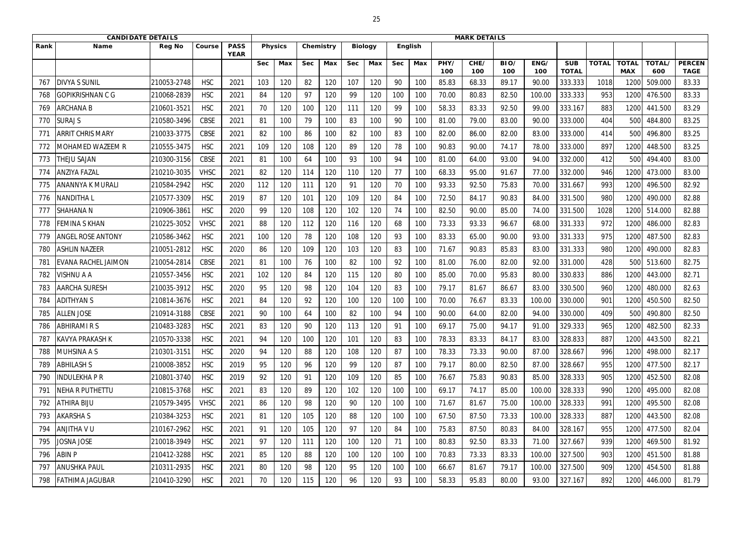|      | <b>CANDIDATE DETAILS</b> |               |             |                            |            |                |            |           |            |                |            | <b>MARK DETAILS</b> |             |             |             |             |                            |              |                            |               |                              |
|------|--------------------------|---------------|-------------|----------------------------|------------|----------------|------------|-----------|------------|----------------|------------|---------------------|-------------|-------------|-------------|-------------|----------------------------|--------------|----------------------------|---------------|------------------------------|
| Rank | <b>Name</b>              | <b>Reg No</b> | Course      | <b>PASS</b><br><b>YEAR</b> |            | <b>Physics</b> |            | Chemistry |            | <b>Biology</b> |            | <b>English</b>      |             |             |             |             |                            |              |                            |               |                              |
|      |                          |               |             |                            | <b>Sec</b> | Max            | <b>Sec</b> | Max       | <b>Sec</b> | Max            | <b>Sec</b> | Max                 | PHY/<br>100 | CHE/<br>100 | BIO/<br>100 | ENG/<br>100 | <b>SUB</b><br><b>TOTAL</b> | <b>TOTAL</b> | <b>TOTAL</b><br><b>MAX</b> | TOTAL/<br>600 | <b>PERCEN</b><br><b>TAGE</b> |
| 767  | <b>DIVYA S SUNIL</b>     | 210053-2748   | <b>HSC</b>  | 2021                       | 103        | 120            | 82         | 120       | 107        | 120            | 90         | 100                 | 85.83       | 68.33       | 89.17       | 90.00       | 333.333                    | 1018         | 1200                       | 509.000       | 83.33                        |
| 768  | <b>GOPIKRISHNAN C G</b>  | 210068-2839   | <b>HSC</b>  | 2021                       | 84         | 120            | 97         | 120       | 99         | 120            | 100        | 100                 | 70.00       | 80.83       | 82.50       | 100.00      | 333.333                    | 953          | 1200                       | 476.500       | 83.33                        |
| 769  | <b>ARCHANA B</b>         | 210601-3521   | <b>HSC</b>  | 2021                       | 70         | 120            | 100        | 120       | 111        | 120            | 99         | 100                 | 58.33       | 83.33       | 92.50       | 99.00       | 333.167                    | 883          | 1200                       | 441.500       | 83.29                        |
| 770  | <b>SURAJ S</b>           | 210580-3496   | <b>CBSE</b> | 2021                       | 81         | 100            | 79         | 100       | 83         | 100            | 90         | 100                 | 81.00       | 79.00       | 83.00       | 90.00       | 333.000                    | 404          | 500                        | 484.800       | 83.25                        |
| 771  | <b>ARRIT CHRIS MARY</b>  | 210033-3775   | <b>CBSE</b> | 2021                       | 82         | 100            | 86         | 100       | 82         | 100            | 83         | 100                 | 82.00       | 86.00       | 82.00       | 83.00       | 333.000                    | 414          | 500                        | 496.800       | 83.25                        |
| 772  | <b>MOHAMED WAZEEM R</b>  | 210555-3475   | <b>HSC</b>  | 2021                       | 109        | 120            | 108        | 120       | 89         | 120            | 78         | 100                 | 90.83       | 90.00       | 74.17       | 78.00       | 333.000                    | 897          | 1200                       | 448.500       | 83.25                        |
| 773  | <b>THEJU SAJAN</b>       | 210300-3156   | <b>CBSE</b> | 2021                       | 81         | 100            | 64         | 100       | 93         | 100            | 94         | 100                 | 81.00       | 64.00       | 93.00       | 94.00       | 332.000                    | 412          | 500                        | 494.400       | 83.00                        |
| 774  | <b>ANZIYA FAZAL</b>      | 210210-3035   | <b>VHSC</b> | 2021                       | 82         | 120            | 114        | 120       | 110        | 120            | 77         | 100                 | 68.33       | 95.00       | 91.67       | 77.00       | 332.000                    | 946          | 1200                       | 473.000       | 83.00                        |
| 775  | ANANNYA K MURALI         | 210584-2942   | <b>HSC</b>  | 2020                       | 112        | 120            | 111        | 120       | 91         | 120            | 70         | 100                 | 93.33       | 92.50       | 75.83       | 70.00       | 331.667                    | 993          | 1200                       | 496.500       | 82.92                        |
| 776  | NANDITHA L               | 210577-3309   | <b>HSC</b>  | 2019                       | 87         | 120            | 101        | 120       | 109        | 120            | 84         | 100                 | 72.50       | 84.17       | 90.83       | 84.00       | 331.500                    | 980          | 1200                       | 490.000       | 82.88                        |
| 777  | <b>SHAHANA N</b>         | 210906-386    | <b>HSC</b>  | 2020                       | 99         | 120            | 108        | 120       | 102        | 120            | 74         | 100                 | 82.50       | 90.00       | 85.00       | 74.00       | 331.500                    | 1028         | 1200                       | 514.000       | 82.88                        |
| 778  | <b>FEMINA S KHAN</b>     | 210225-3052   | <b>VHSC</b> | 2021                       | 88         | 120            | 112        | 120       | 116        | 120            | 68         | 100                 | 73.33       | 93.33       | 96.67       | 68.00       | 331.333                    | 972          | 1200                       | 486.000       | 82.83                        |
| 779  | <b>ANGEL ROSE ANTONY</b> | 210586-3462   | <b>HSC</b>  | 2021                       | 100        | 120            | 78         | 120       | 108        | 120            | 93         | 100                 | 83.33       | 65.00       | 90.00       | 93.00       | 331.333                    | 975          | 1200                       | 487.500       | 82.83                        |
| 780  | <b>ASHLIN NAZEER</b>     | 210051-2812   | <b>HSC</b>  | 2020                       | 86         | 120            | 109        | 120       | 103        | 120            | 83         | 100                 | 71.67       | 90.83       | 85.83       | 83.00       | 331.333                    | 980          | 1200                       | 490.000       | 82.83                        |
| 781  | EVANA RACHEL JAIMON      | 210054-2814   | <b>CBSE</b> | 2021                       | 81         | 100            | 76         | 100       | 82         | 100            | 92         | 100                 | 81.00       | 76.00       | 82.00       | 92.00       | 331.000                    | 428          | 500                        | 513.600       | 82.75                        |
| 782  | <b>VISHNU A A</b>        | 210557-3456   | <b>HSC</b>  | 2021                       | 102        | 120            | 84         | 120       | 115        | 120            | 80         | 100                 | 85.00       | 70.00       | 95.83       | 80.00       | 330.833                    | 886          | 1200                       | 443.000       | 82.71                        |
| 783  | <b>AARCHA SURESH</b>     | 210035-3912   | <b>HSC</b>  | 2020                       | 95         | 120            | 98         | 120       | 104        | 120            | 83         | 100                 | 79.17       | 81.67       | 86.67       | 83.00       | 330.500                    | 960          | 1200                       | 480.000       | 82.63                        |
| 784  | ADITHYAN S               | 210814-3676   | <b>HSC</b>  | 2021                       | 84         | 120            | 92         | 120       | 100        | 120            | 100        | 100                 | 70.00       | 76.67       | 83.33       | 100.00      | 330.000                    | 901          | 1200                       | 450.500       | 82.50                        |
| 785  | <b>ALLEN JOSE</b>        | 210914-3188   | <b>CBSE</b> | 2021                       | 90         | 100            | 64         | 100       | 82         | 100            | 94         | 100                 | 90.00       | 64.00       | 82.00       | 94.00       | 330.000                    | 409          | 500                        | 490.800       | 82.50                        |
| 786  | <b>ABHIRAMI R S</b>      | 210483-3283   | <b>HSC</b>  | 2021                       | 83         | 120            | 90         | 120       | 113        | 120            | 91         | 100                 | 69.17       | 75.00       | 94.17       | 91.00       | 329.333                    | 965          | 1200                       | 482.500       | 82.33                        |
| 787  | <b>KAVYA PRAKASH K</b>   | 210570-3338   | <b>HSC</b>  | 2021                       | 94         | 120            | 100        | 120       | 101        | 120            | 83         | 100                 | 78.33       | 83.33       | 84.17       | 83.00       | 328.833                    | 887          | 1200                       | 443.500       | 82.21                        |
| 788  | <b>MUHSINA A S</b>       | 210301-3151   | <b>HSC</b>  | 2020                       | 94         | 120            | 88         | 120       | 108        | 120            | 87         | 100                 | 78.33       | 73.33       | 90.00       | 87.00       | 328.667                    | 996          | 1200                       | 498.000       | 82.17                        |
| 789  | <b>ABHILASH S</b>        | 210008-3852   | <b>HSC</b>  | 2019                       | 95         | 120            | 96         | 120       | 99         | 120            | 87         | 100                 | 79.17       | 80.00       | 82.50       | 87.00       | 328.667                    | 955          | 1200                       | 477.500       | 82.17                        |
| 790  | INDULEKHA P R            | 210801-3740   | <b>HSC</b>  | 2019                       | 92         | 120            | 91         | 120       | 109        | 120            | 85         | 100                 | 76.67       | 75.83       | 90.83       | 85.00       | 328.333                    | 905          | 1200                       | 452.500       | 82.08                        |
| 791  | <b>NEHA R PUTHETTU</b>   | 210815-3768   | <b>HSC</b>  | 2021                       | 83         | 120            | 89         | 120       | 102        | 120            | 100        | 100                 | 69.17       | 74.17       | 85.00       | 100.00      | 328.333                    | 990          | 1200                       | 495.000       | 82.08                        |
| 792  | <b>ATHIRA BIJU</b>       | 210579-3495   | <b>VHSC</b> | 2021                       | 86         | 120            | 98         | 120       | 90         | 120            | 100        | 100                 | 71.67       | 81.67       | 75.00       | 100.00      | 328.333                    | 991          | 1200                       | 495.500       | 82.08                        |
| 793  | <b>AKARSHAS</b>          | 210384-3253   | <b>HSC</b>  | 2021                       | 81         | 120            | 105        | 120       | 88         | 120            | 100        | 100                 | 67.50       | 87.50       | 73.33       | 100.00      | 328.333                    | 887          | 1200                       | 443.500       | 82.08                        |
| 794  | <b>ANJITHA V U</b>       | 210167-2962   | <b>HSC</b>  | 2021                       | 91         | 120            | 105        | 120       | 97         | 120            | 84         | 100                 | 75.83       | 87.50       | 80.83       | 84.00       | 328.167                    | 955          | 1200                       | 477.500       | 82.04                        |
| 795  | <b>JOSNA JOSE</b>        | 210018-3949   | <b>HSC</b>  | 2021                       | 97         | 120            | 111        | 120       | 100        | 120            | 71         | 100                 | 80.83       | 92.50       | 83.33       | 71.00       | 327.667                    | 939          | 1200                       | 469.500       | 81.92                        |
| 796  | <b>ABIN P</b>            | 210412-3288   | <b>HSC</b>  | 2021                       | 85         | 120            | 88         | 120       | 100        | 120            | 100        | 100                 | 70.83       | 73.33       | 83.33       | 100.00      | 327.500                    | 903          | 1200                       | 451.500       | 81.88                        |
| 797  | <b>ANUSHKA PAUL</b>      | 210311-2935   | <b>HSC</b>  | 2021                       | 80         | 120            | 98         | 120       | 95         | 120            | 100        | 100                 | 66.67       | 81.67       | 79.17       | 100.00      | 327.500                    | 909          | 1200                       | 454.500       | 81.88                        |
| 798  | <b>FATHIMA JAGUBAR</b>   | 210410-3290   | <b>HSC</b>  | 2021                       | 70         | 120            | 115        | 120       | 96         | 120            | 93         | 100                 | 58.33       | 95.83       | 80.00       | 93.00       | 327.167                    | 892          | 1200                       | 446.000       | 81.79                        |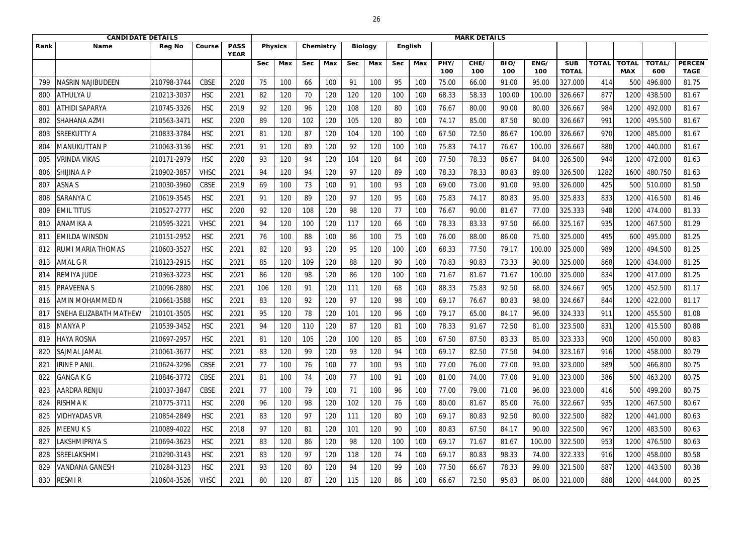|      | <b>CANDIDATE DETAILS</b> |               |             |                            |             |                |            |           |            |                |            | <b>MARK DETAILS</b> |             |             |             |             |                            |              |                            |               |                              |
|------|--------------------------|---------------|-------------|----------------------------|-------------|----------------|------------|-----------|------------|----------------|------------|---------------------|-------------|-------------|-------------|-------------|----------------------------|--------------|----------------------------|---------------|------------------------------|
| Rank | <b>Name</b>              | <b>Reg No</b> | Course      | <b>PASS</b><br><b>YEAR</b> |             | <b>Physics</b> |            | Chemistry |            | <b>Biology</b> |            | <b>English</b>      |             |             |             |             |                            |              |                            |               |                              |
|      |                          |               |             |                            | <b>Sec</b>  | Max            | <b>Sec</b> | Max       | <b>Sec</b> | Max            | <b>Sec</b> | Max                 | PHY/<br>100 | CHE/<br>100 | BIO/<br>100 | ENG/<br>100 | <b>SUB</b><br><b>TOTAL</b> | <b>TOTAL</b> | <b>TOTAL</b><br><b>MAX</b> | TOTAL/<br>600 | <b>PERCEN</b><br><b>TAGE</b> |
| 799  | <b>VASRIN NAJIBUDEEN</b> | 210798-3744   | <b>CBSE</b> | 2020                       | 75          | 100            | 66         | 100       | 91         | 100            | 95         | 100                 | 75.00       | 66.00       | 91.00       | 95.00       | 327.000                    | 414          | 500                        | 496.800       | 81.75                        |
| 800  | <b>ATHULYAU</b>          | 210213-3037   | <b>HSC</b>  | 2021                       | 82          | 120            | 70         | 120       | 120        | 120            | 100        | 100                 | 68.33       | 58.33       | 100.00      | 100.00      | 326.667                    | 877          | 1200                       | 438.500       | 81.67                        |
| 801  | <b>ATHIDI SAPARYA</b>    | 210745-3326   | <b>HSC</b>  | 2019                       | 92          | 120            | 96         | 120       | 108        | 120            | 80         | 100                 | 76.67       | 80.00       | 90.00       | 80.00       | 326.667                    | 984          | 1200                       | 492.000       | 81.67                        |
| 802  | <b>SHAHANA AZMI</b>      | 210563-347    | <b>HSC</b>  | 2020                       | 89          | 120            | 102        | 120       | 105        | 120            | 80         | 100                 | 74.17       | 85.00       | 87.50       | 80.00       | 326.667                    | 991          | 1200                       | 495.500       | 81.67                        |
| 803  | <b>SREEKUTTY A</b>       | 210833-3784   | <b>HSC</b>  | 2021                       | 81          | 120            | 87         | 120       | 104        | 120            | 100        | 100                 | 67.50       | 72.50       | 86.67       | 100.00      | 326.667                    | 970          | 1200                       | 485.000       | 81.67                        |
| 804  | MANUKUTTAN P             | 210063-3136   | <b>HSC</b>  | 2021                       | 91          | 120            | 89         | 120       | 92         | 120            | 100        | 100                 | 75.83       | 74.17       | 76.67       | 100.00      | 326.667                    | 880          | 1200                       | 440.000       | 81.67                        |
| 805  | VRINDA VIKAS             | 210171-2979   | <b>HSC</b>  | 2020                       | 93          | 120            | 94         | 120       | 104        | 120            | 84         | 100                 | 77.50       | 78.33       | 86.67       | 84.00       | 326.500                    | 944          | 1200                       | 472.000       | 81.63                        |
| 806  | <b>SHIJINA A P</b>       | 210902-3857   | <b>VHSC</b> | 2021                       | 94          | 120            | 94         | 120       | 97         | 120            | 89         | 100                 | 78.33       | 78.33       | 80.83       | 89.00       | 326.500                    | 1282         | 1600                       | 480.750       | 81.63                        |
| 807  | <b>ASNAS</b>             | 210030-3960   | <b>CBSE</b> | 2019                       | 69          | 100            | 73         | 100       | 91         | 100            | 93         | 100                 | 69.00       | 73.00       | 91.00       | 93.00       | 326.000                    | 425          | 500                        | 510.000       | 81.50                        |
| 808  | <b>SARANYA C</b>         | 210619-3545   | <b>HSC</b>  | 2021                       | $9^{\circ}$ | 120            | 89         | 120       | 97         | 120            | 95         | 100                 | 75.83       | 74.17       | 80.83       | 95.00       | 325.833                    | 833          | 1200                       | 416.500       | 81.46                        |
| 809  | <b>EMIL TITUS</b>        | 210527-2777   | <b>HSC</b>  | 2020                       | 92          | 120            | 108        | 120       | 98         | 120            | 77         | 100                 | 76.67       | 90.00       | 81.67       | 77.00       | 325.333                    | 948          | 1200                       | 474.000       | 81.33                        |
| 810  | <b>ANAMIKA A</b>         | 210595-322    | <b>VHSC</b> | 2021                       | 94          | 120            | 100        | 120       | 117        | 120            | 66         | 100                 | 78.33       | 83.33       | 97.50       | 66.00       | 325.167                    | 935          | 1200                       | 467.500       | 81.29                        |
| 811  | <b>EMILDA WINSON</b>     | 210151-2952   | <b>HSC</b>  | 2021                       | 76          | 100            | 88         | 100       | 86         | 100            | 75         | 100                 | 76.00       | 88.00       | 86.00       | 75.00       | 325.000                    | 495          | 600                        | 495.000       | 81.25                        |
| 812  | RUMI MARIA THOMAS        | 210603-3527   | <b>HSC</b>  | 2021                       | 82          | 120            | 93         | 120       | 95         | 120            | 100        | 100                 | 68.33       | 77.50       | 79.17       | 100.00      | 325.000                    | 989          | 1200                       | 494.500       | 81.25                        |
| 813  | <b>AMAL G R</b>          | 210123-2915   | <b>HSC</b>  | 2021                       | 85          | 120            | 109        | 120       | 88         | 120            | 90         | 100                 | 70.83       | 90.83       | 73.33       | 90.00       | 325.000                    | 868          | 1200                       | 434.000       | 81.25                        |
| 814  | REMIYA JUDE              | 210363-3223   | <b>HSC</b>  | 2021                       | 86          | 120            | 98         | 120       | 86         | 120            | 100        | 100                 | 71.67       | 81.67       | 71.67       | 100.00      | 325.000                    | 834          | 1200                       | 417.000       | 81.25                        |
| 815  | PRAVEENA S               | 210096-2880   | <b>HSC</b>  | 2021                       | 106         | 120            | 91         | 120       | 111        | 120            | 68         | 100                 | 88.33       | 75.83       | 92.50       | 68.00       | 324.667                    | 905          | 1200                       | 452.500       | 81.17                        |
| 816  | <b>AMIN MOHAMMED N</b>   | 210661-3588   | <b>HSC</b>  | 2021                       | 83          | 120            | 92         | 120       | 97         | 120            | 98         | 100                 | 69.17       | 76.67       | 80.83       | 98.00       | 324.667                    | 844          | 1200                       | 422.000       | 81.17                        |
| 817  | ISNEHA ELIZABATH MATHEW  | 210101-3505   | <b>HSC</b>  | 2021                       | 95          | 120            | 78         | 120       | 101        | 120            | 96         | 100                 | 79.17       | 65.00       | 84.17       | 96.00       | 324.333                    | 911          | 1200                       | 455.500       | 81.08                        |
| 818  | <b>MANYA P</b>           | 210539-3452   | <b>HSC</b>  | 2021                       | 94          | 120            | 110        | 120       | 87         | 120            | 81         | 100                 | 78.33       | 91.67       | 72.50       | 81.00       | 323.500                    | 831          | 1200                       | 415.500       | 80.88                        |
| 819  | <b>HAYA ROSNA</b>        | 210697-2957   | <b>HSC</b>  | 2021                       | 81          | 120            | 105        | 120       | 100        | 120            | 85         | 100                 | 67.50       | 87.50       | 83.33       | 85.00       | 323.333                    | 900          | 1200                       | 450.000       | 80.83                        |
| 820  | <b>SAJMAL JAMAL</b>      | 210061-3677   | <b>HSC</b>  | 2021                       | 83          | 120            | 99         | 120       | 93         | 120            | 94         | 100                 | 69.17       | 82.50       | 77.50       | 94.00       | 323.167                    | 916          | 1200                       | 458.000       | 80.79                        |
| 821  | <b>IRINE P ANIL</b>      | 210624-3296   | <b>CBSE</b> | 2021                       | 77          | 100            | 76         | 100       | 77         | 100            | 93         | 100                 | 77.00       | 76.00       | 77.00       | 93.00       | 323.000                    | 389          | 500                        | 466.800       | 80.75                        |
| 822  | <b>GANGAKG</b>           | 210846-3772   | CBSE        | 2021                       | 81          | 100            | 74         | 100       | 77         | 100            | 91         | 100                 | 81.00       | 74.00       | 77.00       | 91.00       | 323.000                    | 386          | 500                        | 463.200       | 80.75                        |
| 823  | <b>AARDRA RENJU</b>      | 210037-3847   | CBSE        | 2021                       | 77          | 100            | 79         | 100       | 71         | 100            | 96         | 100                 | 77.00       | 79.00       | 71.00       | 96.00       | 323.000                    | 416          | 500                        | 499.200       | 80.75                        |
| 824  | <b>RISHMAK</b>           | 210775-3711   | <b>HSC</b>  | 2020                       | 96          | 120            | 98         | 120       | 102        | 120            | 76         | 100                 | 80.00       | 81.67       | 85.00       | 76.00       | 322.667                    | 935          | 1200                       | 467.500       | 80.67                        |
| 825  | <b>VIDHYADAS VR</b>      | 210854-2849   | <b>HSC</b>  | 2021                       | 83          | 120            | 97         | 120       | 111        | 120            | 80         | 100                 | 69.17       | 80.83       | 92.50       | 80.00       | 322.500                    | 882          | 1200                       | 441.000       | 80.63                        |
| 826  | <b>MEENUKS</b>           | 210089-4022   | <b>HSC</b>  | 2018                       | 97          | 120            | 81         | 120       | 101        | 120            | 90         | 100                 | 80.83       | 67.50       | 84.17       | 90.00       | 322.500                    | 967          | 1200                       | 483.500       | 80.63                        |
| 827  | <b>LAKSHMIPRIYA S</b>    | 210694-3623   | <b>HSC</b>  | 2021                       | 83          | 120            | 86         | 120       | 98         | 120            | 100        | 100                 | 69.17       | 71.67       | 81.67       | 100.00      | 322.500                    | 953          | 1200                       | 476.500       | 80.63                        |
| 828  | <b>SREELAKSHMI</b>       | 210290-3143   | <b>HSC</b>  | 2021                       | 83          | 120            | 97         | 120       | 118        | 120            | 74         | 100                 | 69.17       | 80.83       | 98.33       | 74.00       | 322.333                    | 916          | 1200                       | 458.000       | 80.58                        |
| 829  | <b>VANDANA GANESH</b>    | 210284-3123   | <b>HSC</b>  | 2021                       | 93          | 120            | 80         | 120       | 94         | 120            | 99         | 100                 | 77.50       | 66.67       | 78.33       | 99.00       | 321.500                    | 887          | 1200                       | 443.500       | 80.38                        |
| 830  | <b>RESMIR</b>            | 210604-3526   | <b>VHSC</b> | 2021                       | 80          | 120            | 87         | 120       | 115        | 120            | 86         | 100                 | 66.67       | 72.50       | 95.83       | 86.00       | 321.000                    | 888          | 1200                       | 444.000       | 80.25                        |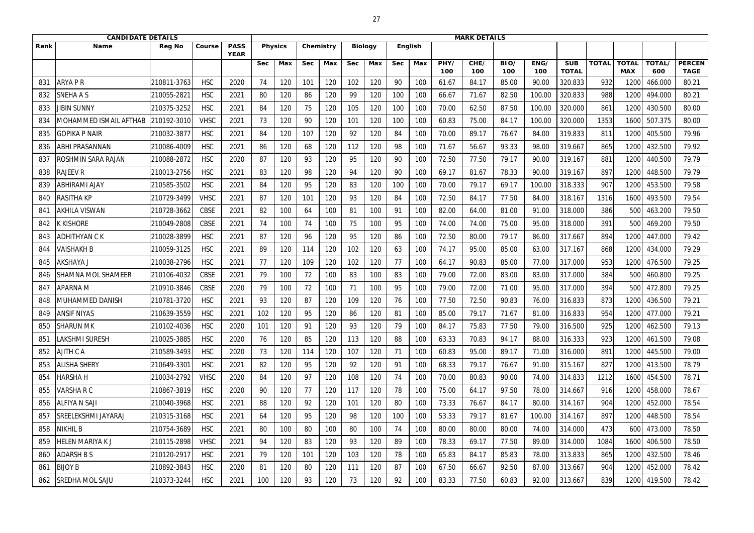|      | <b>CANDIDATE DETAILS</b>   |               |             |                            |            |                |            |           |            |                |            | <b>MARK DETAILS</b> |             |             |             |             |                            |              |                            |               |                              |
|------|----------------------------|---------------|-------------|----------------------------|------------|----------------|------------|-----------|------------|----------------|------------|---------------------|-------------|-------------|-------------|-------------|----------------------------|--------------|----------------------------|---------------|------------------------------|
| Rank | <b>Name</b>                | <b>Reg No</b> | Course      | <b>PASS</b><br><b>YEAR</b> |            | <b>Physics</b> |            | Chemistry |            | <b>Biology</b> |            | <b>English</b>      |             |             |             |             |                            |              |                            |               |                              |
|      |                            |               |             |                            | <b>Sec</b> | Max            | <b>Sec</b> | Max       | <b>Sec</b> | Max            | <b>Sec</b> | Max                 | PHY/<br>100 | CHE/<br>100 | BIO/<br>100 | ENG/<br>100 | <b>SUB</b><br><b>TOTAL</b> | <b>TOTAL</b> | <b>TOTAL</b><br><b>MAX</b> | TOTAL/<br>600 | <b>PERCEN</b><br><b>TAGE</b> |
| 831  | ARYA P R                   | 210811-3763   | <b>HSC</b>  | 2020                       | 74         | 120            | 101        | 120       | 102        | 120            | 90         | 100                 | 61.67       | 84.17       | 85.00       | 90.00       | 320.833                    | 932          | 120                        | 466.000       | 80.21                        |
| 832  | <b>SNEHA A S</b>           | 210055-2821   | <b>HSC</b>  | 2021                       | 80         | 120            | 86         | 120       | 99         | 120            | 100        | 100                 | 66.67       | 71.67       | 82.50       | 100.00      | 320.833                    | 988          | 1200                       | 494.000       | 80.21                        |
| 833  | <b>JIBIN SUNNY</b>         | 210375-3252   | <b>HSC</b>  | 2021                       | 84         | 120            | 75         | 120       | 105        | 120            | 100        | 100                 | 70.00       | 62.50       | 87.50       | 100.00      | 320.000                    | 861          | 1200                       | 430.500       | 80.00                        |
| 834  | MOHAMMED ISMAIL AFTHAB     | 210192-3010   | <b>VHSC</b> | 2021                       | 73         | 120            | 90         | 120       | 101        | 120            | 100        | 100                 | 60.83       | 75.00       | 84.17       | 100.00      | 320.000                    | 1353         | 1600                       | 507.375       | 80.00                        |
| 835  | <b>GOPIKA P NAIR</b>       | 210032-3877   | <b>HSC</b>  | 2021                       | 84         | 120            | 107        | 120       | 92         | 120            | 84         | 100                 | 70.00       | 89.17       | 76.67       | 84.00       | 319.833                    | 811          | 1200                       | 405.500       | 79.96                        |
| 836  | ABHI PRASANNAN             | 210086-4009   | <b>HSC</b>  | 2021                       | 86         | 120            | 68         | 120       | 112        | 120            | 98         | 100                 | 71.67       | 56.67       | 93.33       | 98.00       | 319.667                    | 865          | 1200                       | 432.500       | 79.92                        |
| 837  | ROSHMIN SARA RAJAN         | 210088-2872   | <b>HSC</b>  | 2020                       | 87         | 120            | 93         | 120       | 95         | 120            | 90         | 100                 | 72.50       | 77.50       | 79.17       | 90.00       | 319.167                    | 881          | 1200                       | 440.500       | 79.79                        |
| 838  | <b>RAJEEV R</b>            | 210013-2756   | <b>HSC</b>  | 2021                       | 83         | 120            | 98         | 120       | 94         | 120            | 90         | 100                 | 69.17       | 81.67       | 78.33       | 90.00       | 319.167                    | 897          | 1200                       | 448.500       | 79.79                        |
| 839  | ABHIRAMI AJAY              | 210585-3502   | <b>HSC</b>  | 2021                       | 84         | 120            | 95         | 120       | 83         | 120            | 100        | 100                 | 70.00       | 79.17       | 69.17       | 100.00      | 318.333                    | 907          | 1200                       | 453.500       | 79.58                        |
| 840  | RASITHA KP                 | 210729-3499   | <b>VHSC</b> | 2021                       | 87         | 120            | 101        | 120       | 93         | 120            | 84         | 100                 | 72.50       | 84.17       | 77.50       | 84.00       | 318.167                    | 1316         | 1600                       | 493.500       | 79.54                        |
| 841  | <b>AKHILA VISWAN</b>       | 210728-3662   | <b>CBSE</b> | 2021                       | 82         | 100            | 64         | 100       | 81         | 100            | 91         | 100                 | 82.00       | 64.00       | 81.00       | 91.00       | 318.000                    | 386          | 500                        | 463.200       | 79.50                        |
| 842  | <b>KKISHORE</b>            | 210049-2808   | <b>CBSE</b> | 2021                       | 74         | 100            | 74         | 100       | 75         | 100            | 95         | 100                 | 74.00       | 74.00       | 75.00       | 95.00       | 318.000                    | 391          | 500                        | 469.200       | 79.50                        |
| 843  | <b>ADHITHYAN CK</b>        | 210028-3899   | <b>HSC</b>  | 2021                       | 87         | 120            | 96         | 120       | 95         | 120            | 86         | 100                 | 72.50       | 80.00       | 79.17       | 86.00       | 317.667                    | 894          | 1200                       | 447.000       | 79.42                        |
| 844  | <b>VAISHAKH B</b>          | 210059-3125   | <b>HSC</b>  | 2021                       | 89         | 120            | 114        | 120       | 102        | 120            | 63         | 100                 | 74.17       | 95.00       | 85.00       | 63.00       | 317.167                    | 868          | 1200                       | 434.000       | 79.29                        |
| 845  | <b>AKSHAYA J</b>           | 210038-2796   | <b>HSC</b>  | 2021                       | 77         | 120            | 109        | 120       | 102        | 120            | 77         | 100                 | 64.17       | 90.83       | 85.00       | 77.00       | 317.000                    | 953          | 1200                       | 476.500       | 79.25                        |
| 846  | SHAMNA MOL SHAMEER         | 210106-4032   | <b>CBSE</b> | 2021                       | 79         | 100            | 72         | 100       | 83         | 100            | 83         | 100                 | 79.00       | 72.00       | 83.00       | 83.00       | 317.000                    | 384          | 500                        | 460.800       | 79.25                        |
| 847  | <b>APARNA M</b>            | 210910-3846   | <b>CBSE</b> | 2020                       | 79         | 100            | 72         | 100       | 71         | 100            | 95         | 100                 | 79.00       | 72.00       | 71.00       | 95.00       | 317.000                    | 394          | 500                        | 472.800       | 79.25                        |
| 848  | MUHAMMED DANISH            | 210781-3720   | <b>HSC</b>  | 2021                       | 93         | 120            | 87         | 120       | 109        | 120            | 76         | 100                 | 77.50       | 72.50       | 90.83       | 76.00       | 316.833                    | 873          | 1200                       | 436.500       | 79.21                        |
| 849  | <b>ANSIF NIYAS</b>         | 210639-3559   | <b>HSC</b>  | 2021                       | 102        | 120            | 95         | 120       | 86         | 120            | 81         | 100                 | 85.00       | 79.17       | 71.67       | 81.00       | 316.833                    | 954          | 1200                       | 477.000       | 79.21                        |
| 850  | <b>SHARUN MK</b>           | 210102-4036   | <b>HSC</b>  | 2020                       | 101        | 120            | 91         | 120       | 93         | 120            | 79         | 100                 | 84.17       | 75.83       | 77.50       | 79.00       | 316.500                    | 925          | 1200                       | 462.500       | 79.13                        |
| 851  | <b>LAKSHMI SURESH</b>      | 210025-3885   | <b>HSC</b>  | 2020                       | 76         | 120            | 85         | 120       | 113        | 120            | 88         | 100                 | 63.33       | 70.83       | 94.17       | 88.00       | 316.333                    | 923          | 1200                       | 461.500       | 79.08                        |
| 852  | <b>AJITH CA</b>            | 210589-3493   | <b>HSC</b>  | 2020                       | 73         | 120            | 114        | 120       | 107        | 120            | 71         | 100                 | 60.83       | 95.00       | 89.17       | 71.00       | 316.000                    | 891          | 1200                       | 445.500       | 79.00                        |
| 853  | <b>ALISHA SHERY</b>        | 210649-3301   | <b>HSC</b>  | 2021                       | 82         | 120            | 95         | 120       | 92         | 120            | 91         | 100                 | 68.33       | 79.17       | 76.67       | 91.00       | 315.167                    | 827          | 1200                       | 413.500       | 78.79                        |
| 854  | <b>HARSHAH</b>             | 210034-2792   | <b>VHSC</b> | 2020                       | 84         | 120            | 97         | 120       | 108        | 120            | 74         | 100                 | 70.00       | 80.83       | 90.00       | 74.00       | 314.833                    | 1212         | 1600                       | 454.500       | 78.71                        |
| 855  | <b>VARSHARC</b>            | 210867-3819   | <b>HSC</b>  | 2020                       | 90         | 120            | 77         | 120       | 117        | 120            | 78         | 100                 | 75.00       | 64.17       | 97.50       | 78.00       | 314.667                    | 916          | 1200                       | 458.000       | 78.67                        |
| 856  | <b>ALFIYA N SAJI</b>       | 210040-3968   | <b>HSC</b>  | 2021                       | 88         | 120            | 92         | 120       | 101        | 120            | 80         | 100                 | 73.33       | 76.67       | 84.17       | 80.00       | 314.167                    | 904          | 1200                       | 452.000       | 78.54                        |
| 857  | <b>SREELEKSHMI JAYARAJ</b> | 210315-3168   | <b>HSC</b>  | 2021                       | 64         | 120            | 95         | 120       | 98         | 120            | 100        | 100                 | 53.33       | 79.17       | 81.67       | 100.00      | 314.167                    | 897          | 1200                       | 448.500       | 78.54                        |
| 858  | NIKHIL B                   | 210754-3689   | <b>HSC</b>  | 2021                       | 80         | 100            | 80         | 100       | 80         | 100            | 74         | 100                 | 80.00       | 80.00       | 80.00       | 74.00       | 314.000                    | 473          | 600                        | 473.000       | 78.50                        |
| 859  | <b>HELEN MARIYAK J</b>     | 210115-2898   | <b>VHSC</b> | 2021                       | 94         | 120            | 83         | 120       | 93         | 120            | 89         | 100                 | 78.33       | 69.17       | 77.50       | 89.00       | 314.000                    | 1084         | 1600                       | 406.500       | 78.50                        |
| 860  | <b>ADARSH B S</b>          | 210120-2917   | <b>HSC</b>  | 2021                       | 79         | 120            | 101        | 120       | 103        | 120            | 78         | 100                 | 65.83       | 84.17       | 85.83       | 78.00       | 313.833                    | 865          | 1200                       | 432.500       | 78.46                        |
| 861  | <b>BIJOY B</b>             | 210892-3843   | <b>HSC</b>  | 2020                       | 81         | 120            | 80         | 120       | 111        | 120            | 87         | 100                 | 67.50       | 66.67       | 92.50       | 87.00       | 313.667                    | 904          | 1200                       | 452.000       | 78.42                        |
| 862  | <b>SREDHA MOL SAJU</b>     | 210373-3244   | <b>HSC</b>  | 2021                       | 100        | 120            | 93         | 120       | 73         | 120            | 92         | 100                 | 83.33       | 77.50       | 60.83       | 92.00       | 313.667                    | 839          | 1200                       | 419.500       | 78.42                        |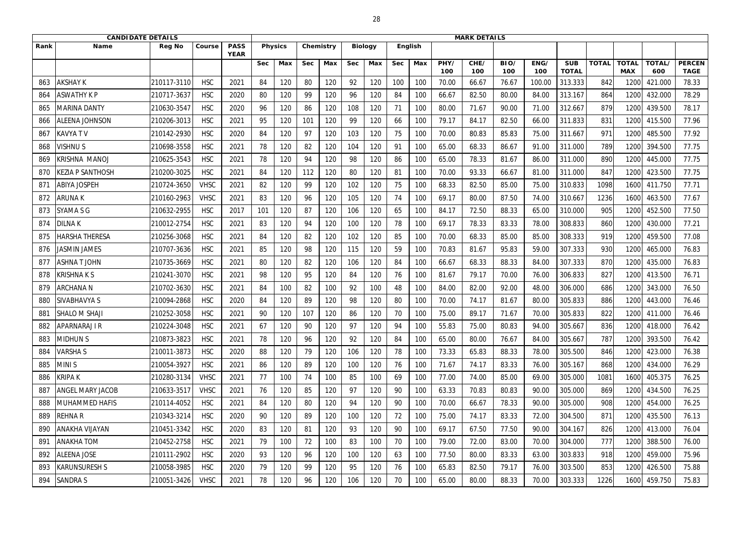|      | <b>CANDIDATE DETAILS</b> |               |             |                            |            |                |            |           |            |                |            | <b>MARK DETAILS</b> |             |             |             |             |                            |              |                            |               |                              |
|------|--------------------------|---------------|-------------|----------------------------|------------|----------------|------------|-----------|------------|----------------|------------|---------------------|-------------|-------------|-------------|-------------|----------------------------|--------------|----------------------------|---------------|------------------------------|
| Rank | <b>Name</b>              | <b>Reg No</b> | Course      | <b>PASS</b><br><b>YEAR</b> |            | <b>Physics</b> |            | Chemistry |            | <b>Biology</b> |            | <b>English</b>      |             |             |             |             |                            |              |                            |               |                              |
|      |                          |               |             |                            | <b>Sec</b> | Max            | <b>Sec</b> | Max       | <b>Sec</b> | Max            | <b>Sec</b> | Max                 | PHY/<br>100 | CHE/<br>100 | BIO/<br>100 | ENG/<br>100 | <b>SUB</b><br><b>TOTAL</b> | <b>TOTAL</b> | <b>TOTAL</b><br><b>MAX</b> | TOTAL/<br>600 | <b>PERCEN</b><br><b>TAGE</b> |
| 863  | <b>AKSHAY K</b>          | 210117-3110   | <b>HSC</b>  | 2021                       | 84         | 120            | 80         | 120       | 92         | 120            | 100        | 100                 | 70.00       | 66.67       | 76.67       | 100.00      | 313.333                    | 842          | 120                        | 421.000       | 78.33                        |
| 864  | <b>ASWATHY K P</b>       | 210717-3637   | <b>HSC</b>  | 2020                       | 80         | 120            | 99         | 120       | 96         | 120            | 84         | 100                 | 66.67       | 82.50       | 80.00       | 84.00       | 313.167                    | 864          | 1200                       | 432.000       | 78.29                        |
| 865  | MARINA DANTY             | 210630-3547   | <b>HSC</b>  | 2020                       | 96         | 120            | 86         | 120       | 108        | 120            | 71         | 100                 | 80.00       | 71.67       | 90.00       | 71.00       | 312.667                    | 879          | 1200                       | 439.500       | 78.17                        |
| 866  | <b>ALEENA JOHNSON</b>    | 210206-3013   | <b>HSC</b>  | 2021                       | 95         | 120            | 101        | 120       | 99         | 120            | 66         | 100                 | 79.17       | 84.17       | 82.50       | 66.00       | 311.833                    | 831          | 1200                       | 415.500       | 77.96                        |
| 867  | <b>KAVYATV</b>           | 210142-2930   | <b>HSC</b>  | 2020                       | 84         | 120            | 97         | 120       | 103        | 120            | 75         | 100                 | 70.00       | 80.83       | 85.83       | 75.00       | 311.667                    | 971          | 1200                       | 485.500       | 77.92                        |
| 868  | <b>VISHNUS</b>           | 210698-3558   | <b>HSC</b>  | 2021                       | 78         | 120            | 82         | 120       | 104        | 120            | 91         | 100                 | 65.00       | 68.33       | 86.67       | 91.00       | 311.000                    | 789          | 1200                       | 394.500       | 77.75                        |
| 869  | KRISHNA MANOJ            | 210625-3543   | <b>HSC</b>  | 2021                       | 78         | 120            | 94         | 120       | 98         | 120            | 86         | 100                 | 65.00       | 78.33       | 81.67       | 86.00       | 311.000                    | 890          | 1200                       | 445.000       | 77.75                        |
| 870  | KEZIA P SANTHOSH         | 210200-3025   | <b>HSC</b>  | 2021                       | 84         | 120            | 112        | 120       | 80         | 120            | 81         | 100                 | 70.00       | 93.33       | 66.67       | 81.00       | 311.000                    | 847          | 1200                       | 423.500       | 77.75                        |
| 871  | <b>ABIYA JOSPEH</b>      | 210724-3650   | <b>VHSC</b> | 2021                       | 82         | 120            | 99         | 120       | 102        | 120            | 75         | 100                 | 68.33       | 82.50       | 85.00       | 75.00       | 310.833                    | 1098         | 1600                       | 411.750       | 77.71                        |
| 872  | ARUNA K                  | 210160-2963   | <b>VHSC</b> | 2021                       | 83         | 120            | 96         | 120       | 105        | 120            | 74         | 100                 | 69.17       | 80.00       | 87.50       | 74.00       | 310.667                    | 1236         | 1600                       | 463.500       | 77.67                        |
| 873  | <b>SYAMA S G</b>         | 210632-2955   | <b>HSC</b>  | 2017                       | 101        | 120            | 87         | 120       | 106        | 120            | 65         | 100                 | 84.17       | 72.50       | 88.33       | 65.00       | 310.000                    | 905          | 1200                       | 452.500       | 77.50                        |
| 874  | <b>DILNAK</b>            | 210012-2754   | <b>HSC</b>  | 2021                       | 83         | 120            | 94         | 120       | 100        | 120            | 78         | 100                 | 69.17       | 78.33       | 83.33       | 78.00       | 308.833                    | 860          | 1200                       | 430.000       | 77.21                        |
| 875  | HARSHA THERESA           | 210256-3068   | <b>HSC</b>  | 2021                       | 84         | 120            | 82         | 120       | 102        | 120            | 85         | 100                 | 70.00       | 68.33       | 85.00       | 85.00       | 308.333                    | 919          | 1200                       | 459.500       | 77.08                        |
| 876  | <b>JASMIN JAMES</b>      | 210707-3636   | <b>HSC</b>  | 2021                       | 85         | 120            | 98         | 120       | 115        | 120            | 59         | 100                 | 70.83       | 81.67       | 95.83       | 59.00       | 307.333                    | 930          | 1200                       | 465.000       | 76.83                        |
| 877  | <b>ASHNAT JOHN</b>       | 210735-3669   | <b>HSC</b>  | 2021                       | 80         | 120            | 82         | 120       | 106        | 120            | 84         | 100                 | 66.67       | 68.33       | 88.33       | 84.00       | 307.333                    | 870          | 1200                       | 435.000       | 76.83                        |
| 878  | <b>KRISHNAKS</b>         | 210241-3070   | <b>HSC</b>  | 2021                       | 98         | 120            | 95         | 120       | 84         | 120            | 76         | 100                 | 81.67       | 79.17       | 70.00       | 76.00       | 306.833                    | 827          | 1200                       | 413.500       | 76.71                        |
| 879  | <b>ARCHANA N</b>         | 210702-3630   | <b>HSC</b>  | 2021                       | 84         | 100            | 82         | 100       | 92         | 100            | 48         | 100                 | 84.00       | 82.00       | 92.00       | 48.00       | 306.000                    | 686          | 1200                       | 343.000       | 76.50                        |
| 880  | SIVABHAVYA S             | 210094-2868   | <b>HSC</b>  | 2020                       | 84         | 120            | 89         | 120       | 98         | 120            | 80         | 100                 | 70.00       | 74.17       | 81.67       | 80.00       | 305.833                    | 886          | 1200                       | 443.000       | 76.46                        |
| 881  | <b>SHALO M SHAJI</b>     | 210252-3058   | <b>HSC</b>  | 2021                       | 90         | 120            | 107        | 120       | 86         | 120            | 70         | 100                 | 75.00       | 89.17       | 71.67       | 70.00       | 305.833                    | 822          | 1200                       | 411.000       | 76.46                        |
| 882  | <b>APARNARAJ I R</b>     | 210224-3048   | <b>HSC</b>  | 2021                       | 67         | 120            | 90         | 120       | 97         | 120            | 94         | 100                 | 55.83       | 75.00       | 80.83       | 94.00       | 305.667                    | 836          | 1200                       | 418.000       | 76.42                        |
| 883  | <b>MIDHUN S</b>          | 210873-3823   | <b>HSC</b>  | 2021                       | 78         | 120            | 96         | 120       | 92         | 120            | 84         | 100                 | 65.00       | 80.00       | 76.67       | 84.00       | 305.667                    | 787          | 1200                       | 393.500       | 76.42                        |
| 884  | <b>VARSHAS</b>           | 210011-3873   | <b>HSC</b>  | 2020                       | 88         | 120            | 79         | 120       | 106        | 120            | 78         | 100                 | 73.33       | 65.83       | 88.33       | 78.00       | 305.500                    | 846          | 1200                       | 423.000       | 76.38                        |
| 885  | <b>MINIS</b>             | 210054-3927   | <b>HSC</b>  | 2021                       | 86         | 120            | 89         | 120       | 100        | 120            | 76         | 100                 | 71.67       | 74.17       | 83.33       | 76.00       | 305.167                    | 868          | 1200                       | 434.000       | 76.29                        |
| 886  | <b>KRIPA K</b>           | 210280-3134   | <b>VHSC</b> | 2021                       | 77         | 100            | 74         | 100       | 85         | 100            | 69         | 100                 | 77.00       | 74.00       | 85.00       | 69.00       | 305.000                    | 1081         | 1600                       | 405.375       | 76.25                        |
| 887  | <b>ANGEL MARY JACOB</b>  | 210633-3517   | <b>VHSC</b> | 2021                       | 76         | 120            | 85         | 120       | 97         | 120            | 90         | 100                 | 63.33       | 70.83       | 80.83       | 90.00       | 305.000                    | 869          | 1200                       | 434.500       | 76.25                        |
| 888  | <b>MUHAMMED HAFIS</b>    | 210114-4052   | <b>HSC</b>  | 2021                       | 84         | 120            | 80         | 120       | 94         | 120            | 90         | 100                 | 70.00       | 66.67       | 78.33       | 90.00       | 305.000                    | 908          | 1200                       | 454.000       | 76.25                        |
| 889  | <b>REHNAR</b>            | 210343-3214   | <b>HSC</b>  | 2020                       | 90         | 120            | 89         | 120       | 100        | 120            | 72         | 100                 | 75.00       | 74.17       | 83.33       | 72.00       | 304.500                    | 871          | 1200                       | 435.500       | 76.13                        |
| 890  | <b>ANAKHA VIJAYAN</b>    | 210451-3342   | <b>HSC</b>  | 2020                       | 83         | 120            | -81        | 120       | 93         | 120            | 90         | 100                 | 69.17       | 67.50       | 77.50       | 90.00       | 304.167                    | 826          | 1200                       | 413.000       | 76.04                        |
| 891  | <b>ANAKHA TOM</b>        | 210452-2758   | <b>HSC</b>  | 2021                       | 79         | 100            | 72         | 100       | 83         | 100            | 70         | 100                 | 79.00       | 72.00       | 83.00       | 70.00       | 304.000                    | 777          | 1200                       | 388.500       | 76.00                        |
| 892  | <b>ALEENA JOSE</b>       | 210111-2902   | <b>HSC</b>  | 2020                       | 93         | 120            | 96         | 120       | 100        | 120            | 63         | 100                 | 77.50       | 80.00       | 83.33       | 63.00       | 303.833                    | 918          | 1200                       | 459.000       | 75.96                        |
| 893  | <b>KARUNSURESH S</b>     | 210058-3985   | <b>HSC</b>  | 2020                       | 79         | 120            | 99         | 120       | 95         | 120            | 76         | 100                 | 65.83       | 82.50       | 79.17       | 76.00       | 303.500                    | 853          | 1200                       | 426.500       | 75.88                        |
| 894  | <b>SANDRA S</b>          | 210051-3426   | <b>VHSC</b> | 2021                       | 78         | 120            | 96         | 120       | 106        | 120            | 70         | 100                 | 65.00       | 80.00       | 88.33       | 70.00       | 303.333                    | 1226         | 1600                       | 459.750       | 75.83                        |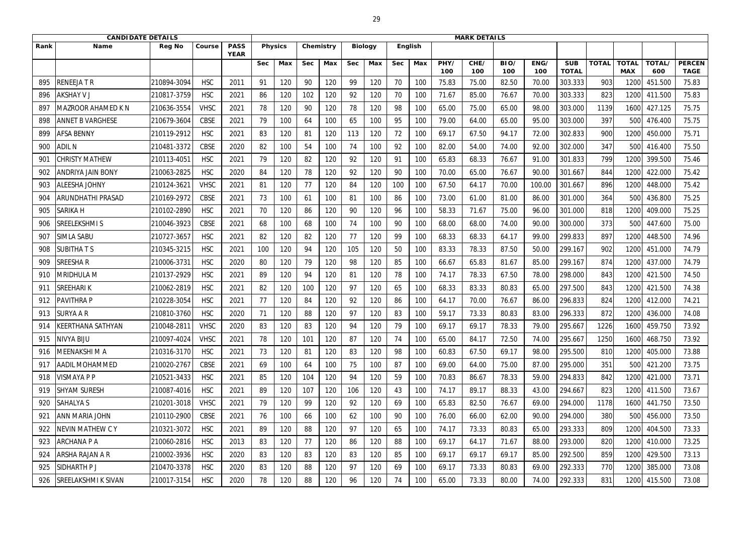|      | <b>CANDIDATE DETAILS</b>   |               |             |                            |                |                |            |           |            |                |            | <b>MARK DETAILS</b> |             |             |             |             |                            |              |                            |               |                              |
|------|----------------------------|---------------|-------------|----------------------------|----------------|----------------|------------|-----------|------------|----------------|------------|---------------------|-------------|-------------|-------------|-------------|----------------------------|--------------|----------------------------|---------------|------------------------------|
| Rank | <b>Name</b>                | <b>Reg No</b> | Course      | <b>PASS</b><br><b>YEAR</b> |                | <b>Physics</b> |            | Chemistry |            | <b>Biology</b> |            | <b>English</b>      |             |             |             |             |                            |              |                            |               |                              |
|      |                            |               |             |                            | <b>Sec</b>     | Max            | <b>Sec</b> | Max       | <b>Sec</b> | Max            | <b>Sec</b> | Max                 | PHY/<br>100 | CHE/<br>100 | BIO/<br>100 | ENG/<br>100 | <b>SUB</b><br><b>TOTAL</b> | <b>TOTAL</b> | <b>TOTAL</b><br><b>MAX</b> | TOTAL/<br>600 | <b>PERCEN</b><br><b>TAGE</b> |
| 895  | <b>RENEEJATR</b>           | 210894-3094   | <b>HSC</b>  | 2011                       | 9 <sup>2</sup> | 120            | 90         | 120       | 99         | 120            | 70         | 100                 | 75.83       | 75.00       | 82.50       | 70.00       | 303.333                    | 903          | 120                        | 451.500       | 75.83                        |
| 896  | <b>AKSHAY V J</b>          | 210817-3759   | <b>HSC</b>  | 2021                       | 86             | 120            | 102        | 120       | 92         | 120            | 70         | 100                 | 71.67       | 85.00       | 76.67       | 70.00       | 303.333                    | 823          | 1200                       | 411.500       | 75.83                        |
| 89   | MAZROOR AHAMED K N         | 210636-3554   | <b>VHSC</b> | 2021                       | 78             | 120            | 90         | 120       | 78         | 120            | 98         | 100                 | 65.00       | 75.00       | 65.00       | 98.00       | 303.000                    | 1139         | 1600                       | 427.125       | 75.75                        |
| 898  | <b>ANNET B VARGHESE</b>    | 210679-3604   | <b>CBSE</b> | 2021                       | 79             | 100            | 64         | 100       | 65         | 100            | 95         | 100                 | 79.00       | 64.00       | 65.00       | 95.00       | 303.000                    | 397          | 500                        | 476.400       | 75.75                        |
| 899  | <b>AFSA BENNY</b>          | 210119-2912   | <b>HSC</b>  | 2021                       | 83             | 120            | 81         | 120       | 113        | 120            | 72         | 100                 | 69.17       | 67.50       | 94.17       | 72.00       | 302.833                    | 900          | 1200                       | 450.000       | 75.71                        |
| 900  | <b>ADIL N</b>              | 210481-3372   | <b>CBSE</b> | 2020                       | 82             | 100            | 54         | 100       | 74         | 100            | 92         | 100                 | 82.00       | 54.00       | 74.00       | 92.00       | 302.000                    | 347          | 500                        | 416.400       | 75.50                        |
| 901  | CHRISTY MATHEW             | 210113-4051   | <b>HSC</b>  | 2021                       | 79             | 120            | 82         | 120       | 92         | 120            | 91         | 100                 | 65.83       | 68.33       | 76.67       | 91.00       | 301.833                    | 799          | 1200                       | 399.500       | 75.46                        |
| 902  | <b>ANDRIYA JAIN BONY</b>   | 210063-2825   | <b>HSC</b>  | 2020                       | 84             | 120            | 78         | 120       | 92         | 120            | 90         | 100                 | 70.00       | 65.00       | 76.67       | 90.00       | 301.667                    | 844          | 1200                       | 422.000       | 75.42                        |
| 903  | <b>ALEESHA JOHNY</b>       | 210124-3621   | <b>VHSC</b> | 2021                       | 81             | 120            | 77         | 120       | 84         | 120            | 100        | 100                 | 67.50       | 64.17       | 70.00       | 100.00      | 301.667                    | 896          | 1200                       | 448.000       | 75.42                        |
| 904  | ARUNDHATHI PRASAD          | 210169-2972   | <b>CBSE</b> | 2021                       | 73             | 100            | 61         | 100       | 81         | 100            | 86         | 100                 | 73.00       | 61.00       | 81.00       | 86.00       | 301.000                    | 364          | 500                        | 436.800       | 75.25                        |
| 905  | <b>SARIKA H</b>            | 210102-2890   | <b>HSC</b>  | 2021                       | 70             | 120            | 86         | 120       | 90         | 120            | 96         | 100                 | 58.33       | 71.67       | 75.00       | 96.00       | 301.000                    | 818          | 1200                       | 409.000       | 75.25                        |
| 906  | SREELEKSHMI S              | 210046-3923   | <b>CBSE</b> | 2021                       | 68             | 100            | 68         | 100       | 74         | 100            | 90         | 100                 | 68.00       | 68.00       | 74.00       | 90.00       | 300.000                    | 373          | 500                        | 447.600       | 75.00                        |
| 907  | <b>SIMLA SABU</b>          | 210727-3657   | <b>HSC</b>  | 2021                       | 82             | 120            | 82         | 120       | 77         | 120            | 99         | 100                 | 68.33       | 68.33       | 64.17       | 99.00       | 299.833                    | 897          | 1200                       | 448.500       | 74.96                        |
| 908  | <b>SUBITHATS</b>           | 210345-3215   | <b>HSC</b>  | 2021                       | 100            | 120            | 94         | 120       | 105        | 120            | 50         | 100                 | 83.33       | 78.33       | 87.50       | 50.00       | 299.167                    | 902          | 1200                       | 451.000       | 74.79                        |
| 909  | <b>SREESHAR</b>            | 210006-3731   | <b>HSC</b>  | 2020                       | 80             | 120            | 79         | 120       | 98         | 120            | 85         | 100                 | 66.67       | 65.83       | 81.67       | 85.00       | 299.167                    | 874          | 1200                       | 437.000       | 74.79                        |
| 910  | MRIDHULA M                 | 210137-2929   | <b>HSC</b>  | 2021                       | 89             | 120            | 94         | 120       | 81         | 120            | 78         | 100                 | 74.17       | 78.33       | 67.50       | 78.00       | 298.000                    | 843          | 1200                       | 421.500       | 74.50                        |
| 911  | <b>SREEHARIK</b>           | 210062-2819   | <b>HSC</b>  | 2021                       | 82             | 120            | 100        | 120       | 97         | 120            | 65         | 100                 | 68.33       | 83.33       | 80.83       | 65.00       | 297.500                    | 843          | 1200                       | 421.500       | 74.38                        |
| 912  | <b>PAVITHRA P</b>          | 210228-3054   | <b>HSC</b>  | 2021                       | 77             | 120            | 84         | 120       | 92         | 120            | 86         | 100                 | 64.17       | 70.00       | 76.67       | 86.00       | 296.833                    | 824          | 1200                       | 412.000       | 74.21                        |
| 913  | <b>SURYA A R</b>           | 210810-3760   | <b>HSC</b>  | 2020                       | 71             | 120            | 88         | 120       | 97         | 120            | 83         | 100                 | 59.17       | 73.33       | 80.83       | 83.00       | 296.333                    | 872          | 1200                       | 436.000       | 74.08                        |
| 914  | KEERTHANA SATHYAN          | 210048-2811   | <b>VHSC</b> | 2020                       | 83             | 120            | 83         | 120       | 94         | 120            | 79         | 100                 | 69.17       | 69.17       | 78.33       | 79.00       | 295.667                    | 1226         | 1600                       | 459.750       | 73.92                        |
| 915  | NIVYA BIJU                 | 210097-4024   | <b>VHSC</b> | 2021                       | 78             | 120            | 101        | 120       | 87         | 120            | 74         | 100                 | 65.00       | 84.17       | 72.50       | 74.00       | 295.667                    | 1250         | 1600                       | 468.750       | 73.92                        |
| 916  | MEENAKSHI M A              | 210316-3170   | <b>HSC</b>  | 2021                       | 73             | 120            | 81         | 120       | 83         | 120            | 98         | 100                 | 60.83       | 67.50       | 69.17       | 98.00       | 295.500                    | 810          | 1200                       | 405.000       | 73.88                        |
| 917  | <b>AADIL MOHAMMED</b>      | 210020-2767   | <b>CBSE</b> | 2021                       | 69             | 100            | 64         | 100       | 75         | 100            | 87         | 100                 | 69.00       | 64.00       | 75.00       | 87.00       | 295.000                    | 351          | 500                        | 421.200       | 73.75                        |
| 918  | <b>VISMAYA P P</b>         | 210521-3433   | <b>HSC</b>  | 2021                       | 85             | 120            | 104        | 120       | 94         | 120            | 59         | 100                 | 70.83       | 86.67       | 78.33       | 59.00       | 294.833                    | 842          | 1200                       | 421.000       | 73.71                        |
| 919  | <b>SHYAM SURESH</b>        | 210087-4016   | <b>HSC</b>  | 2021                       | 89             | 120            | 107        | 120       | 106        | 120            | 43         | 100                 | 74.17       | 89.17       | 88.33       | 43.00       | 294.667                    | 823          | 1200                       | 411.500       | 73.67                        |
| 920  | <b>SAHALYA S</b>           | 210201-3018   | <b>VHSC</b> | 2021                       | 79             | 120            | 99         | 120       | 92         | 120            | 69         | 100                 | 65.83       | 82.50       | 76.67       | 69.00       | 294.000                    | 1178         | 1600                       | 441.750       | 73.50                        |
| 921  | <b>ANN MARIA JOHN</b>      | 210110-2900   | CBSE        | 2021                       | 76             | 100            | 66         | 100       | 62         | 100            | 90         | 100                 | 76.00       | 66.00       | 62.00       | 90.00       | 294.000                    | 380          | 500                        | 456.000       | 73.50                        |
| 922  | <b>NEVIN MATHEW C Y</b>    | 210321-3072   | <b>HSC</b>  | 2021                       | 89             | 120            | 88         | 120       | 97         | 120            | 65         | 100                 | 74.17       | 73.33       | 80.83       | 65.00       | 293.333                    | 809          | 1200                       | 404.500       | 73.33                        |
| 923  | <b>ARCHANA P A</b>         | 210060-2816   | <b>HSC</b>  | 2013                       | 83             | 120            | 77         | 120       | 86         | 120            | 88         | 100                 | 69.17       | 64.17       | 71.67       | 88.00       | 293.000                    | 820          | 1200                       | 410.000       | 73.25                        |
| 924  | ARSHA RAJAN A R            | 210002-3936   | <b>HSC</b>  | 2020                       | 83             | 120            | 83         | 120       | 83         | 120            | 85         | 100                 | 69.17       | 69.17       | 69.17       | 85.00       | 292.500                    | 859          | 1200                       | 429.500       | 73.13                        |
| 925  | SIDHARTH P J               | 210470-3378   | <b>HSC</b>  | 2020                       | 83             | 120            | 88         | 120       | 97         | 120            | 69         | 100                 | 69.17       | 73.33       | 80.83       | 69.00       | 292.333                    | 770          | 1200                       | 385.000       | 73.08                        |
| 926  | <b>SREELAKSHMI K SIVAN</b> | 210017-3154   | <b>HSC</b>  | 2020                       | 78             | 120            | 88         | 120       | 96         | 120            | 74         | 100                 | 65.00       | 73.33       | 80.00       | 74.00       | 292.333                    | 831          | 1200                       | 415.500       | 73.08                        |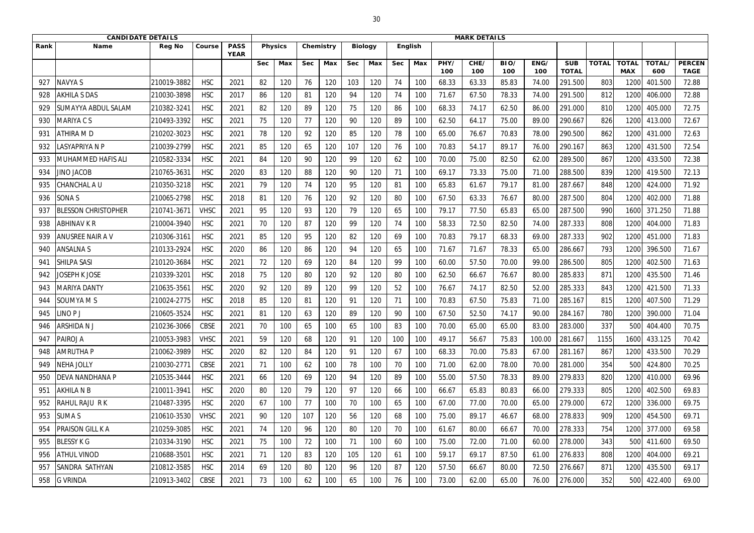|      | <b>CANDIDATE DETAILS</b>   |               |             |                            |             |                |            |           |            |                |            | <b>MARK DETAILS</b> |             |             |             |             |                            |              |                            |                      |                              |
|------|----------------------------|---------------|-------------|----------------------------|-------------|----------------|------------|-----------|------------|----------------|------------|---------------------|-------------|-------------|-------------|-------------|----------------------------|--------------|----------------------------|----------------------|------------------------------|
| Rank | <b>Name</b>                | <b>Reg No</b> | Course      | <b>PASS</b><br><b>YEAR</b> |             | <b>Physics</b> |            | Chemistry |            | <b>Biology</b> |            | <b>English</b>      |             |             |             |             |                            |              |                            |                      |                              |
|      |                            |               |             |                            | <b>Sec</b>  | Max            | <b>Sec</b> | Max       | <b>Sec</b> | Max            | <b>Sec</b> | Max                 | PHY/<br>100 | CHE/<br>100 | BIO/<br>100 | ENG/<br>100 | <b>SUB</b><br><b>TOTAL</b> | <b>TOTAL</b> | <b>TOTAL</b><br><b>MAX</b> | <b>TOTAL/</b><br>600 | <b>PERCEN</b><br><b>TAGE</b> |
| 927  | <b>NAVYA S</b>             | 210019-3882   | <b>HSC</b>  | 2021                       | 82          | 120            | 76         | 120       | 103        | 120            | 74         | 100                 | 68.33       | 63.33       | 85.83       | 74.00       | 291.500                    | 803          | 120                        | 401.500              | 72.88                        |
| 928  | <b>AKHILA S DAS</b>        | 210030-3898   | <b>HSC</b>  | 2017                       | 86          | 120            | 81         | 120       | 94         | 120            | 74         | 100                 | 71.67       | 67.50       | 78.33       | 74.00       | 291.500                    | 812          | 1200                       | 406.000              | 72.88                        |
| 929  | SUMAYYA ABDUL SALAM        | 210382-3241   | <b>HSC</b>  | 2021                       | 82          | 120            | 89         | 120       | 75         | 120            | 86         | 100                 | 68.33       | 74.17       | 62.50       | 86.00       | 291.000                    | 810          | 1200                       | 405.000              | 72.75                        |
| 930  | MARIYA C S                 | 210493-3392   | <b>HSC</b>  | 2021                       | 75          | 120            | 77         | 120       | 90         | 120            | 89         | 100                 | 62.50       | 64.17       | 75.00       | 89.00       | 290.667                    | 826          | 1200                       | 413.000              | 72.67                        |
| 931  | <b>ATHIRA MD</b>           | 210202-3023   | <b>HSC</b>  | 2021                       | 78          | 120            | 92         | 120       | 85         | 120            | 78         | 100                 | 65.00       | 76.67       | 70.83       | 78.00       | 290.500                    | 862          | 1200                       | 431.000              | 72.63                        |
| 932  | LASYAPRIYA N P             | 210039-2799   | <b>HSC</b>  | 2021                       | 85          | 120            | 65         | 120       | 107        | 120            | 76         | 100                 | 70.83       | 54.17       | 89.17       | 76.00       | 290.167                    | 863          | 1200                       | 431.500              | 72.54                        |
| 933  | MUHAMMED HAFIS ALI         | 210582-3334   | <b>HSC</b>  | 2021                       | 84          | 120            | 90         | 120       | 99         | 120            | 62         | 100                 | 70.00       | 75.00       | 82.50       | 62.00       | 289.500                    | 867          | 1200                       | 433.500              | 72.38                        |
| 934  | JINO JACOB                 | 210765-3631   | <b>HSC</b>  | 2020                       | 83          | 120            | 88         | 120       | 90         | 120            | 71         | 100                 | 69.17       | 73.33       | 75.00       | 71.00       | 288.500                    | 839          | 1200                       | 419.500              | 72.13                        |
| 935  | CHANCHAL A U               | 210350-3218   | <b>HSC</b>  | 2021                       | 79          | 120            | 74         | 120       | 95         | 120            | 81         | 100                 | 65.83       | 61.67       | 79.17       | 81.00       | 287.667                    | 848          | 1200                       | 424.000              | 71.92                        |
| 936  | SONA <sub>S</sub>          | 210065-2798   | <b>HSC</b>  | 2018                       | $8^{\circ}$ | 120            | 76         | 120       | 92         | 120            | 80         | 100                 | 67.50       | 63.33       | 76.67       | 80.00       | 287.500                    | 804          | 1200                       | 402.000              | 71.88                        |
| 937  | <b>BLESSON CHRISTOPHER</b> | 210741-3671   | <b>VHSC</b> | 2021                       | 95          | 120            | 93         | 120       | 79         | 120            | 65         | 100                 | 79.17       | 77.50       | 65.83       | 65.00       | 287.500                    | 990          | 1600                       | 371.250              | 71.88                        |
| 938  | <b>ABHINAV K R</b>         | 210004-3940   | <b>HSC</b>  | 2021                       | 70          | 120            | 87         | 120       | 99         | 120            | 74         | 100                 | 58.33       | 72.50       | 82.50       | 74.00       | 287.333                    | 808          | 1200                       | 404.000              | 71.83                        |
| 939  | ANUSREE NAIR A V           | 210306-3161   | <b>HSC</b>  | 2021                       | 85          | 120            | 95         | 120       | 82         | 120            | 69         | 100                 | 70.83       | 79.17       | 68.33       | 69.00       | 287.333                    | 902          | 1200                       | 451.000              | 71.83                        |
| 940  | <b>ANSALNAS</b>            | 210133-2924   | <b>HSC</b>  | 2020                       | 86          | 120            | 86         | 120       | 94         | 120            | 65         | 100                 | 71.67       | 71.67       | 78.33       | 65.00       | 286.667                    | 793          | 1200                       | 396.500              | 71.67                        |
| 941  | <b>SHILPA SASI</b>         | 210120-3684   | <b>HSC</b>  | 2021                       | 72          | 120            | 69         | 120       | 84         | 120            | 99         | 100                 | 60.00       | 57.50       | 70.00       | 99.00       | 286.500                    | 805          | 1200                       | 402.500              | 71.63                        |
| 942  | <b>JOSEPH K JOSE</b>       | 210339-3201   | <b>HSC</b>  | 2018                       | 75          | 120            | 80         | 120       | 92         | 120            | 80         | 100                 | 62.50       | 66.67       | 76.67       | 80.00       | 285.833                    | 871          | 1200                       | 435.500              | 71.46                        |
| 943  | MARIYA DANTY               | 210635-3561   | <b>HSC</b>  | 2020                       | 92          | 120            | 89         | 120       | 99         | 120            | 52         | 100                 | 76.67       | 74.17       | 82.50       | 52.00       | 285.333                    | 843          | 1200                       | 421.500              | 71.33                        |
| 944  | SOUMYA M S                 | 210024-2775   | <b>HSC</b>  | 2018                       | 85          | 120            | 81         | 120       | 91         | 120            | 71         | 100                 | 70.83       | 67.50       | 75.83       | 71.00       | 285.167                    | 815          | 1200                       | 407.500              | 71.29                        |
| 945  | INO <sub>PJ</sub>          | 210605-3524   | <b>HSC</b>  | 2021                       | 81          | 120            | 63         | 120       | 89         | 120            | 90         | 100                 | 67.50       | 52.50       | 74.17       | 90.00       | 284.167                    | 780          | 1200                       | 390.000              | 71.04                        |
| 946  | <b>ARSHIDANJ</b>           | 210236-3066   | CBSE        | 2021                       | 70          | 100            | 65         | 100       | 65         | 100            | 83         | 100                 | 70.00       | 65.00       | 65.00       | 83.00       | 283.000                    | 337          | 500                        | 404.400              | 70.75                        |
| 947  | PAIROJ A                   | 210053-3983   | <b>VHSC</b> | 2021                       | 59          | 120            | 68         | 120       | 91         | 120            | 100        | 100                 | 49.17       | 56.67       | 75.83       | 100.00      | 281.667                    | 1155         | 1600                       | 433.125              | 70.42                        |
| 948  | <b>AMRUTHA P</b>           | 210062-3989   | <b>HSC</b>  | 2020                       | 82          | 120            | 84         | 120       | 91         | 120            | 67         | 100                 | 68.33       | 70.00       | 75.83       | 67.00       | 281.167                    | 867          | 1200                       | 433.500              | 70.29                        |
| 949  | <b>NEHA JOLLY</b>          | 210030-2771   | CBSE        | 2021                       | 71          | 100            | 62         | 100       | 78         | 100            | 70         | 100                 | 71.00       | 62.00       | 78.00       | 70.00       | 281.000                    | 354          | 500                        | 424.800              | 70.25                        |
| 950  | <b>DEVA NANDHANA P</b>     | 210535-3444   | <b>HSC</b>  | 2021                       | 66          | 120            | 69         | 120       | 94         | 120            | 89         | 100                 | 55.00       | 57.50       | 78.33       | 89.00       | 279.833                    | 820          | 1200                       | 410.000              | 69.96                        |
| 951  | <b>AKHILA N B</b>          | 210011-3941   | <b>HSC</b>  | 2020                       | 80          | 120            | 79         | 120       | 97         | 120            | 66         | 100                 | 66.67       | 65.83       | 80.83       | 66.00       | 279.333                    | 805          | 1200                       | 402.500              | 69.83                        |
| 952  | <b>RAHUL RAJU RK</b>       | 210487-3395   | <b>HSC</b>  | 2020                       | 67          | 100            | 77         | 100       | 70         | 100            | 65         | 100                 | 67.00       | 77.00       | 70.00       | 65.00       | 279.000                    | 672          | 1200                       | 336.000              | 69.75                        |
| 953  | <b>SUMA S</b>              | 210610-3530   | <b>VHSC</b> | 2021                       | 90          | 120            | 107        | 120       | 56         | 120            | 68         | 100                 | 75.00       | 89.17       | 46.67       | 68.00       | 278.833                    | 909          | 1200                       | 454.500              | 69.71                        |
| 954  | <b>PRAISON GILL K A</b>    | 210259-3085   | <b>HSC</b>  | 2021                       | 74          | 120            | 96         | 120       | 80         | 120            | 70         | 100                 | 61.67       | 80.00       | 66.67       | 70.00       | 278.333                    | 754          | 1200                       | 377.000              | 69.58                        |
| 955  | <b>BLESSY K G</b>          | 210334-3190   | <b>HSC</b>  | 2021                       | 75          | 100            | 72         | 100       | 71         | 100            | 60         | 100                 | 75.00       | 72.00       | 71.00       | 60.00       | 278.000                    | 343          | 500                        | 411.600              | 69.50                        |
| 956  | <b>ATHUL VINOD</b>         | 210688-3501   | <b>HSC</b>  | 2021                       | 71          | 120            | 83         | 120       | 105        | 120            | 61         | 100                 | 59.17       | 69.17       | 87.50       | 61.00       | 276.833                    | 808          | 1200                       | 404.000              | 69.21                        |
| 957  | SANDRA SATHYAN             | 210812-3585   | <b>HSC</b>  | 2014                       | 69          | 120            | 80         | 120       | 96         | 120            | 87         | 120                 | 57.50       | 66.67       | 80.00       | 72.50       | 276.667                    | 871          | 1200                       | 435.500              | 69.17                        |
| 958  | <b>G VRINDA</b>            | 210913-3402   | <b>CBSE</b> | 2021                       | 73          | 100            | 62         | 100       | 65         | 100            | 76         | 100                 | 73.00       | 62.00       | 65.00       | 76.00       | 276.000                    | 352          | 500                        | 422.400              | 69.00                        |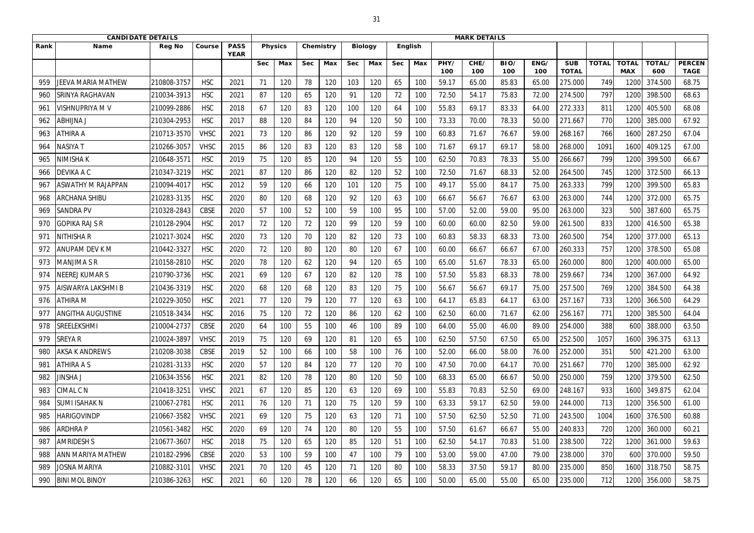|      | <b>CANDIDATE DETAILS</b>  |               |             |                            |            |                |            |           |            |                |            | <b>MARK DETAILS</b> |             |             |             |             |                            |              |                            |               |                              |
|------|---------------------------|---------------|-------------|----------------------------|------------|----------------|------------|-----------|------------|----------------|------------|---------------------|-------------|-------------|-------------|-------------|----------------------------|--------------|----------------------------|---------------|------------------------------|
| Rank | <b>Name</b>               | <b>Reg No</b> | Course      | <b>PASS</b><br><b>YEAR</b> |            | <b>Physics</b> |            | Chemistry |            | <b>Biology</b> |            | <b>English</b>      |             |             |             |             |                            |              |                            |               |                              |
|      |                           |               |             |                            | <b>Sec</b> | Max            | <b>Sec</b> | Max       | <b>Sec</b> | Max            | <b>Sec</b> | Max                 | PHY/<br>100 | CHE/<br>100 | BIO/<br>100 | ENG/<br>100 | <b>SUB</b><br><b>TOTAL</b> | <b>TOTAL</b> | <b>TOTAL</b><br><b>MAX</b> | TOTAL/<br>600 | <b>PERCEN</b><br><b>TAGE</b> |
| 959  | JEEVA MARIA MATHEW        | 210808-3757   | <b>HSC</b>  | 2021                       | 71         | 120            | 78         | 120       | 103        | 120            | 65         | 100                 | 59.17       | 65.00       | 85.83       | 65.00       | 275.000                    | 749          | 1200                       | 374.500       | 68.75                        |
| 960  | <b>SRINYA RAGHAVAN</b>    | 210034-3913   | <b>HSC</b>  | 2021                       | 87         | 120            | 65         | 120       | 91         | 120            | 72         | 100                 | 72.50       | 54.17       | 75.83       | 72.00       | 274.500                    | 797          | 1200                       | 398.500       | 68.63                        |
| 961  | <b>VISHNUPRIYA M V</b>    | 210099-2886   | <b>HSC</b>  | 2018                       | 67         | 120            | 83         | 120       | 100        | 120            | 64         | 100                 | 55.83       | 69.17       | 83.33       | 64.00       | 272.333                    | 811          | 1200                       | 405.500       | 68.08                        |
| 962  | <b>ABHIJNA J</b>          | 210304-2953   | <b>HSC</b>  | 2017                       | 88         | 120            | 84         | 120       | 94         | 120            | 50         | 100                 | 73.33       | 70.00       | 78.33       | 50.00       | 271.667                    | 770          | 1200                       | 385.000       | 67.92                        |
| 963  | <b>ATHIRA A</b>           | 210713-3570   | <b>VHSC</b> | 2021                       | 73         | 120            | 86         | 120       | 92         | 120            | 59         | 100                 | 60.83       | 71.67       | 76.67       | 59.00       | 268.167                    | 766          | 1600                       | 287.250       | 67.04                        |
| 964  | NASIYA T                  | 210266-3057   | <b>VHSC</b> | 2015                       | 86         | 120            | 83         | 120       | 83         | 120            | 58         | 100                 | 71.67       | 69.17       | 69.17       | 58.00       | 268.000                    | 1091         | 1600                       | 409.125       | 67.00                        |
| 965  | NIMISHA K                 | 210648-357    | <b>HSC</b>  | 2019                       | 75         | 120            | 85         | 120       | 94         | 120            | 55         | 100                 | 62.50       | 70.83       | 78.33       | 55.00       | 266.667                    | 799          | 1200                       | 399.500       | 66.67                        |
| 966  | DEVIKA A C                | 210347-3219   | <b>HSC</b>  | 2021                       | 87         | 120            | 86         | 120       | 82         | 120            | 52         | 100                 | 72.50       | 71.67       | 68.33       | 52.00       | 264.500                    | 745          | 1200                       | 372.500       | 66.13                        |
| 967  | <b>ASWATHY M RAJAPPAN</b> | 210094-4017   | <b>HSC</b>  | 2012                       | 59         | 120            | 66         | 120       | 101        | 120            | 75         | 100                 | 49.17       | 55.00       | 84.17       | 75.00       | 263.333                    | 799          | 1200                       | 399.500       | 65.83                        |
| 968  | <b>ARCHANA SHIBU</b>      | 210283-3135   | <b>HSC</b>  | 2020                       | 80         | 120            | 68         | 120       | 92         | 120            | 63         | 100                 | 66.67       | 56.67       | 76.67       | 63.00       | 263.000                    | 744          | 1200                       | 372.000       | 65.75                        |
| 969  | <b>SANDRA PV</b>          | 210328-2843   | <b>CBSE</b> | 2020                       | 57         | 100            | 52         | 100       | 59         | 100            | 95         | 100                 | 57.00       | 52.00       | 59.00       | 95.00       | 263.000                    | 323          | 500                        | 387.600       | 65.75                        |
| 970  | GOPIKA RAJ S R            | 210128-2904   | <b>HSC</b>  | 2017                       | 72         | 120            | 72         | 120       | 99         | 120            | 59         | 100                 | 60.00       | 60.00       | 82.50       | 59.00       | 261.500                    | 833          | 1200                       | 416.500       | 65.38                        |
| 971  | <b>NITHISHAR</b>          | 210217-3024   | <b>HSC</b>  | 2020                       | 73         | 120            | 70         | 120       | 82         | 120            | 73         | 100                 | 60.83       | 58.33       | 68.33       | 73.00       | 260.500                    | 754          | 1200                       | 377.000       | 65.13                        |
| 972  | <b>ANUPAM DEV KM</b>      | 210442-3327   | <b>HSC</b>  | 2020                       | 72         | 120            | 80         | 120       | 80         | 120            | 67         | 100                 | 60.00       | 66.67       | 66.67       | 67.00       | 260.333                    | 757          | 1200                       | 378.500       | 65.08                        |
| 973  | MANJIMA S R               | 210158-2810   | <b>HSC</b>  | 2020                       | 78         | 120            | 62         | 120       | 94         | 120            | 65         | 100                 | 65.00       | 51.67       | 78.33       | 65.00       | 260.000                    | 800          | 1200                       | 400.000       | 65.00                        |
| 974  | <b>NEEREJ KUMAR S</b>     | 210790-3736   | <b>HSC</b>  | 2021                       | 69         | 120            | 67         | 120       | 82         | 120            | 78         | 100                 | 57.50       | 55.83       | 68.33       | 78.00       | 259.667                    | 734          | 1200                       | 367.000       | 64.92                        |
| 975  | <b>AISWARYA LAKSHMI B</b> | 210436-3319   | <b>HSC</b>  | 2020                       | 68         | 120            | 68         | 120       | 83         | 120            | 75         | 100                 | 56.67       | 56.67       | 69.17       | 75.00       | 257.500                    | 769          | 1200                       | 384.500       | 64.38                        |
| 976  | <b>ATHIRA M</b>           | 210229-3050   | <b>HSC</b>  | 2021                       | 77         | 120            | 79         | 120       | 77         | 120            | 63         | 100                 | 64.17       | 65.83       | 64.17       | 63.00       | 257.167                    | 733          | 1200                       | 366.500       | 64.29                        |
| 977  | <b>ANGITHA AUGUSTINE</b>  | 210518-3434   | <b>HSC</b>  | 2016                       | 75         | 120            | 72         | 120       | 86         | 120            | 62         | 100                 | 62.50       | 60.00       | 71.67       | 62.00       | 256.167                    | 771          | 1200                       | 385.500       | 64.04                        |
| 978  | <b>SREELEKSHMI</b>        | 210004-2737   | <b>CBSE</b> | 2020                       | 64         | 100            | 55         | 100       | 46         | 100            | 89         | 100                 | 64.00       | 55.00       | 46.00       | 89.00       | 254.000                    | 388          | 600                        | 388.000       | 63.50                        |
| 979  | <b>SREYAR</b>             | 210024-3897   | <b>VHSC</b> | 2019                       | 75         | 120            | 69         | 120       | 81         | 120            | 65         | 100                 | 62.50       | 57.50       | 67.50       | 65.00       | 252.500                    | 1057         | 1600                       | 396.375       | 63.13                        |
| 980  | <b>AKSA K ANDREWS</b>     | 210208-3038   | CBSE        | 2019                       | 52         | 100            | 66         | 100       | 58         | 100            | 76         | 100                 | 52.00       | 66.00       | 58.00       | 76.00       | 252.000                    | 351          | 500                        | 421.200       | 63.00                        |
| 981  | <b>ATHIRA A S</b>         | 210281-3133   | <b>HSC</b>  | 2020                       | 57         | 120            | 84         | 120       | 77         | 120            | 70         | 100                 | 47.50       | 70.00       | 64.17       | 70.00       | 251.667                    | 770          | 1200                       | 385.000       | 62.92                        |
| 982  | <b>JINSHA J</b>           | 210634-3556   | <b>HSC</b>  | 2021                       | 82         | 120            | 78         | 120       | 80         | 120            | 50         | 100                 | 68.33       | 65.00       | 66.67       | 50.00       | 250.000                    | 759          | 1200                       | 379.500       | 62.50                        |
| 983  | <b>CIMAL C N</b>          | 210418-3251   | <b>VHSC</b> | 2021                       | 67         | 120            | 85         | 120       | 63         | 120            | 69         | 100                 | 55.83       | 70.83       | 52.50       | 69.00       | 248.167                    | 933          | 1600                       | 349.875       | 62.04                        |
| 984  | <b>SUMI ISAHAK N</b>      | 210067-2781   | <b>HSC</b>  | 2011                       | 76         | 120            | 71         | 120       | 75         | 120            | 59         | 100                 | 63.33       | 59.17       | 62.50       | 59.00       | 244.000                    | 713          | 1200                       | 356.500       | 61.00                        |
| 985  | <b>HARIGOVINDP</b>        | 210667-3582   | <b>VHSC</b> | 2021                       | 69         | 120            | 75         | 120       | 63         | 120            | 71         | 100                 | 57.50       | 62.50       | 52.50       | 71.00       | 243.500                    | 1004         | 1600                       | 376.500       | 60.88                        |
| 986  | <b>ARDHRAP</b>            | 210561-3482   | <b>HSC</b>  | 2020                       | 69         | 120            | 74         | 120       | 80         | 120            | 55         | 100                 | 57.50       | 61.67       | 66.67       | 55.00       | 240.833                    | 720          | 1200                       | 360.000       | 60.21                        |
| 987  | <b>AMRIDESH S</b>         | 210677-3607   | <b>HSC</b>  | 2018                       | 75         | 120            | 65         | 120       | 85         | 120            | 51         | 100                 | 62.50       | 54.17       | 70.83       | 51.00       | 238.500                    | 722          | 1200                       | 361.000       | 59.63                        |
| 988  | <b>ANN MARIYA MATHEW</b>  | 210182-2996   | CBSE        | 2020                       | 53         | 100            | 59         | 100       | 47         | 100            | 79         | 100                 | 53.00       | 59.00       | 47.00       | 79.00       | 238.000                    | 370          | 600                        | 370.000       | 59.50                        |
| 989  | <b>JOSNA MARIYA</b>       | 210882-3101   | <b>VHSC</b> | 2021                       | 70         | 120            | 45         | 120       | 71         | 120            | 80         | 100                 | 58.33       | 37.50       | 59.17       | 80.00       | 235.000                    | 850          | 1600                       | 318.750       | 58.75                        |
| 990  | <b>BINI MOL BINOY</b>     | 210386-3263   | <b>HSC</b>  | 2021                       | 60         | 120            | 78         | 120       | 66         | 120            | 65         | 100                 | 50.00       | 65.00       | 55.00       | 65.00       | 235.000                    | 712          | 1200                       | 356.000       | 58.75                        |